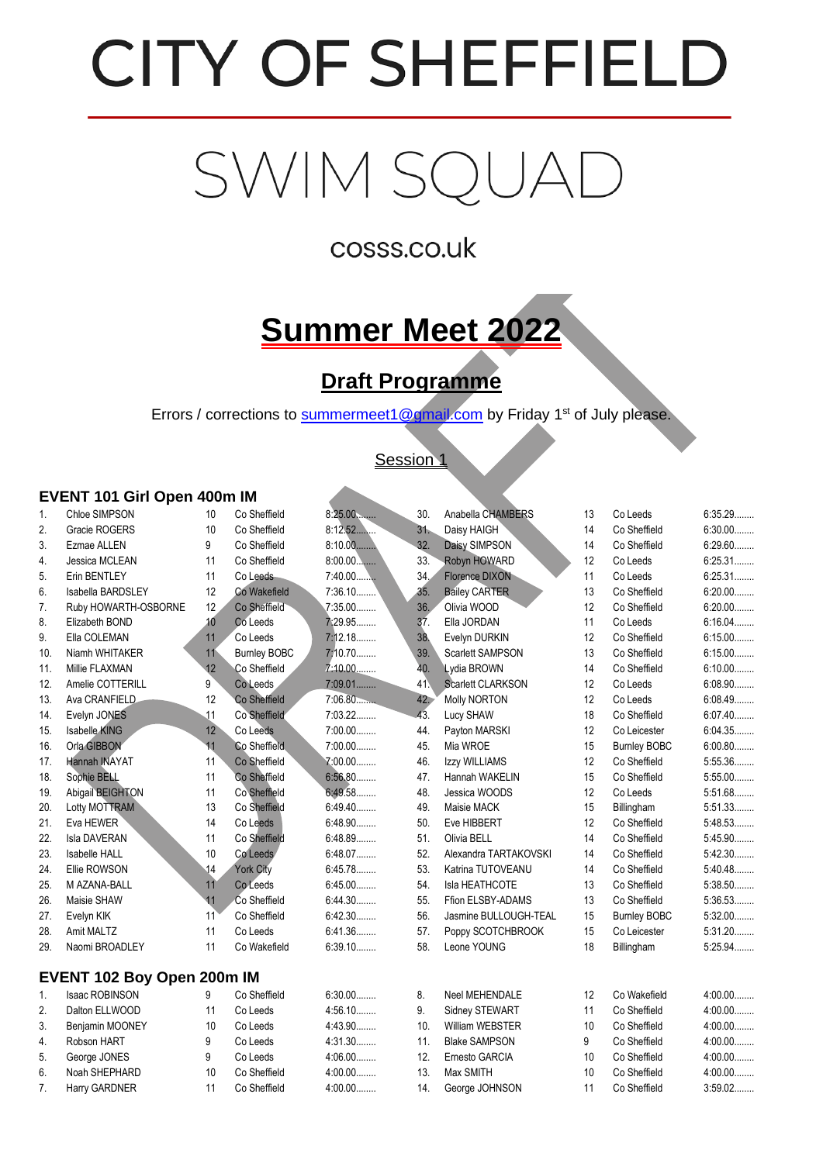# **CITY OF SHEFFIELD**

# SWIM SQUAD

# cosss.co.uk

# **Summer Meet 2022**

# **Draft Programme**

Errors / corrections to **summermeet1@gmail.com** by Friday 1<sup>st</sup> of July please.

#### Session 1

#### **EVENT 101 Girl Open 400m IM**

| 1.  | Chloe SIMPSON              | 10          | Co Sheffield        | 8:25.00   | 30. | Anabella CHAMBERS        | 13 | Co Leeds            | 6:35.29   |
|-----|----------------------------|-------------|---------------------|-----------|-----|--------------------------|----|---------------------|-----------|
| 2.  | Gracie ROGERS              | 10          | Co Sheffield        | $8:12.52$ | 31. | Daisy HAIGH              | 14 | Co Sheffield        | 6:30.00   |
| 3.  | Ezmae ALLEN                | 9           | Co Sheffield        | $8:10.00$ | 32. | Daisy SIMPSON            | 14 | Co Sheffield        | 6:29.60   |
| 4.  | Jessica MCLEAN             | 11          | Co Sheffield        | $8:00.00$ | 33. | Robyn HOWARD             | 12 | Co Leeds            | 6:25.31   |
| 5.  | Erin BENTLEY               | 11          | Co Leeds            | $7:40.00$ | 34. | Florence DIXON           | 11 | Co Leeds            | 6:25.31   |
| 6.  | Isabella BARDSLEY          | 12          | Co Wakefield        | $7:36.10$ | 35. | <b>Bailey CARTER</b>     | 13 | Co Sheffield        | $6:20.00$ |
| 7.  | Ruby HOWARTH-OSBORNE       | 12          | Co Sheffield        | 7:35.00   | 36. | Olivia WOOD              | 12 | Co Sheffield        | $6:20.00$ |
| 8.  | Elizabeth BOND             | 10          | Co Leeds            | 7:29.95   | 37. | Ella JORDAN              | 11 | Co Leeds            | 6:16.04   |
| 9.  | Ella COLEMAN               | 11          | Co Leeds            | 7:12.18   | 38. | Evelyn DURKIN            | 12 | Co Sheffield        | $6:15.00$ |
| 10. | Niamh WHITAKER             | 11          | <b>Burnley BOBC</b> | 7:10.70   | 39. | Scarlett SAMPSON         | 13 | Co Sheffield        | $6:15.00$ |
| 11. | Millie FLAXMAN             | 12          | Co Sheffield        | 7:10.00   | 40. | Lydia BROWN              | 14 | Co Sheffield        | $6:10.00$ |
| 12. | Amelie COTTERILL           | $9^{\circ}$ | <b>Co</b> Leeds     | $7:09.01$ | 41. | <b>Scarlett CLARKSON</b> | 12 | Co Leeds            | 6:08.90   |
| 13. | Ava CRANFIELD              | 12          | Co Sheffield        | 7:06.80   | 42. | <b>Molly NORTON</b>      | 12 | Co Leeds            | 6:08.49   |
| 14. | Evelyn JONES               | 11          | Co Sheffield        | 7:03.22   | 43. | Lucy SHAW                | 18 | Co Sheffield        | 6:07.40   |
| 15. | <b>Isabelle KING</b>       | 12          | Co Leeds            | 7:00.00   | 44. | Payton MARSKI            | 12 | Co Leicester        | 6:04.35   |
| 16. | Orla GIBBON                | 11          | Co Sheffield        | 7:00.00   | 45. | Mia WROE                 | 15 | <b>Burnley BOBC</b> | 6:00.80   |
| 17. | Hannah INAYAT              | 11          | Co Sheffield        | $7:00.00$ | 46. | Izzy WILLIAMS            | 12 | Co Sheffield        | 5:55.36   |
| 18. | Sophie BELL                | 11          | Co Sheffield        | 6:56.80   | 47. | Hannah WAKELIN           | 15 | Co Sheffield        | $5:55.00$ |
| 19. | Abigail BEIGHTON           | 11          | Co Sheffield        | 6:49.58   | 48. | Jessica WOODS            | 12 | Co Leeds            | 5:51.68   |
| 20. | Lotty MOTTRAM              | 13          | Co Sheffield        | 6:49.40   | 49. | Maisie MACK              | 15 | Billingham          | 5:51.33   |
| 21. | Eva HEWER                  | 14          | Co Leeds            | 6:48.90   | 50. | Eve HIBBERT              | 12 | Co Sheffield        | 5:48.53   |
| 22. | <b>Isla DAVERAN</b>        | 11          | Co Sheffield        | 6:48.89   | 51. | Olivia BELL              | 14 | Co Sheffield        | $5:45.90$ |
| 23. | Isabelle HALL              | 10          | Co Leeds            | 6:48.07   | 52. | Alexandra TARTAKOVSKI    | 14 | Co Sheffield        | 5:42.30   |
| 24. | Ellie ROWSON               | 14          | <b>York City</b>    | 6:45.78   | 53. | Katrina TUTOVEANU        | 14 | Co Sheffield        | 5:40.48   |
| 25. | M AZANA-BALL               | 11          | Co Leeds            | $6:45.00$ | 54. | Isla HEATHCOTE           | 13 | Co Sheffield        | 5:38.50   |
| 26. | Maisie SHAW                | 11          | Co Sheffield        | 6:44.30   | 55. | Ffion ELSBY-ADAMS        | 13 | Co Sheffield        | 5:36.53   |
| 27. | Evelyn KIK                 | 11          | Co Sheffield        | 6:42.30   | 56. | Jasmine BULLOUGH-TEAL    | 15 | <b>Burnley BOBC</b> | $5:32.00$ |
| 28. | Amit MALTZ                 | 11          | Co Leeds            | 6:41.36   | 57. | Poppy SCOTCHBROOK        | 15 | Co Leicester        | $5:31.20$ |
| 29. | Naomi BROADLEY             | 11          | Co Wakefield        | 6:39.10   | 58. | Leone YOUNG              | 18 | Billingham          | 5:25.94   |
|     | EVENT 102 Boy Open 200m IM |             |                     |           |     |                          |    |                     |           |
| 1.  | <b>Isaac ROBINSON</b>      | 9           | Co Sheffield        | $6:30.00$ | 8.  | <b>Neel MEHENDALE</b>    | 12 | Co Wakefield        | 4:00.00   |
| 2.  | Dalton ELLWOOD             | 11          | Co Leeds            | 4:56.10   | 9.  | Sidney STEWART           | 11 | Co Sheffield        | $4:00.00$ |
| 3.  | Benjamin MOONEY            | 10          | Co Leeds            | 4:43.90   | 10. | <b>William WEBSTER</b>   | 10 | Co Sheffield        | 4:00.00   |
| 4.  | Robson HART                | 9           | Co Leeds            | 4:31.30   | 11. | <b>Blake SAMPSON</b>     | 9  | Co Sheffield        | 4:00.00   |
| 5.  | George JONES               | 9           | Co Leeds            | $4:06.00$ | 12. | Ernesto GARCIA           | 10 | Co Sheffield        | 4:00.00   |
| 6.  | Noah SHEPHARD              | 10          | Co Sheffield        | $4:00.00$ | 13. | Max SMITH                | 10 | Co Sheffield        | $4:00.00$ |
| 7.  | Harry GARDNER              | 11          | Co Sheffield        | $4:00.00$ | 14. | George JOHNSON           | 11 | Co Sheffield        | $3:59.02$ |
|     |                            |             |                     |           |     |                          |    |                     |           |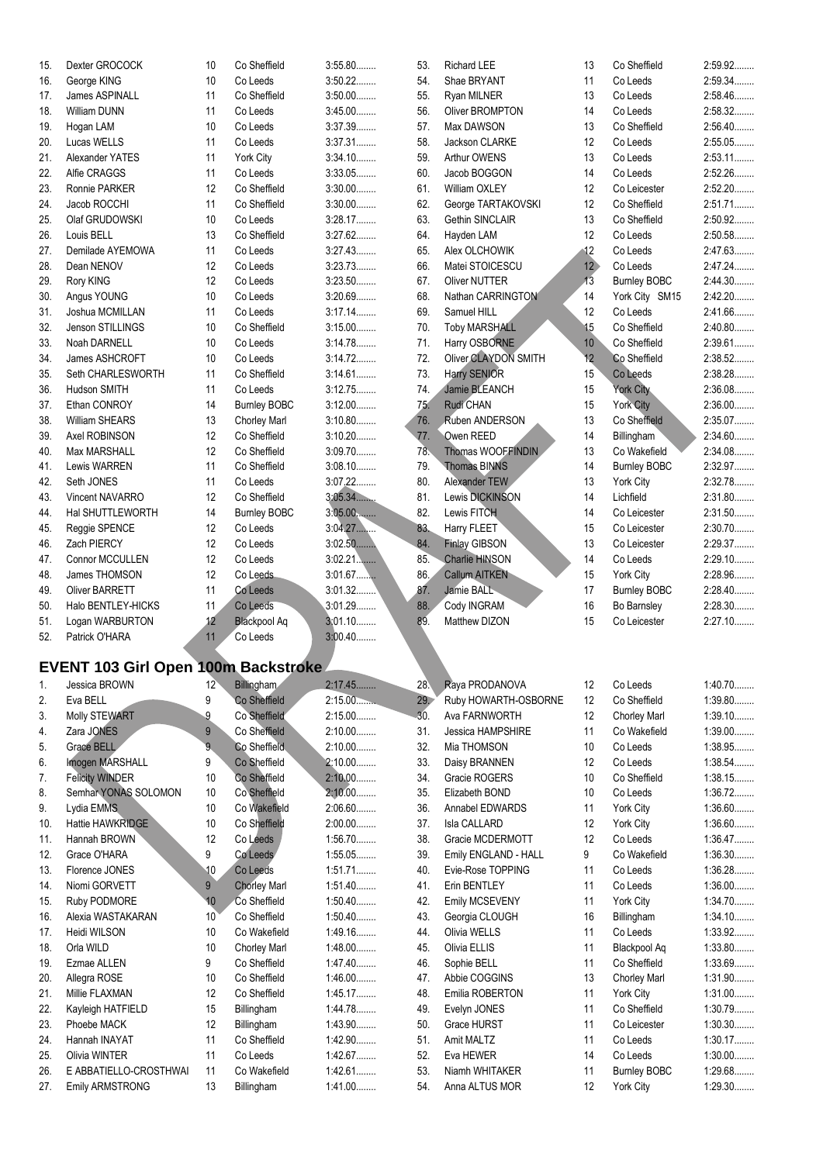| 15. | Dexter GROCOCK        | 10 | Co Sheffield        | 3:55.80   | 53.             | <b>Richard LEE</b>     | 13              | Co Sheffield        | 2:59.92  |
|-----|-----------------------|----|---------------------|-----------|-----------------|------------------------|-----------------|---------------------|----------|
| 16. | George KING           | 10 | Co Leeds            | $3:50.22$ | 54.             | Shae BRYANT            | 11              | Co Leeds            | 2:59.34  |
| 17. | James ASPINALL        | 11 | Co Sheffield        | $3:50.00$ | 55.             | Ryan MILNER            | 13              | Co Leeds            | 2:58.46  |
| 18. | <b>William DUNN</b>   | 11 | Co Leeds            | $3:45.00$ | 56.             | Oliver BROMPTON        | 14              | Co Leeds            | 2:58.32  |
| 19. | Hogan LAM             | 10 | Co Leeds            | 3:37.39   | 57.             | Max DAWSON             | 13              | Co Sheffield        | 2:56.40  |
| 20. | Lucas WELLS           | 11 | Co Leeds            | 3:37.31   | 58.             | Jackson CLARKE         | 12              | Co Leeds            | 2:55.05  |
| 21. | Alexander YATES       | 11 | York City           | 3:34.10   | 59.             | <b>Arthur OWENS</b>    | 13              | Co Leeds            | 2:53.11  |
| 22. | Alfie CRAGGS          | 11 | Co Leeds            | 3:33.05   | 60.             | Jacob BOGGON           | 14              | Co Leeds            | 2:52.26  |
| 23. | Ronnie PARKER         | 12 | Co Sheffield        | $3:30.00$ | 61.             | William OXLEY          | 12              | Co Leicester        | 2:52.20  |
| 24. | Jacob ROCCHI          | 11 | Co Sheffield        | $3:30.00$ | 62.             | George TARTAKOVSKI     | 12              | Co Sheffield        | 2:51.71  |
| 25. | Olaf GRUDOWSKI        | 10 | Co Leeds            | 3:28.17   | 63.             | <b>Gethin SINCLAIR</b> | 13              | Co Sheffield        | 2:50.92  |
| 26. | Louis BELL            | 13 | Co Sheffield        | $3:27.62$ | 64.             | Hayden LAM             | 12              | Co Leeds            | 2:50.58  |
| 27. | Demilade AYEMOWA      | 11 | Co Leeds            | 3:27.43   | 65.             | Alex OLCHOWIK          | 12              | Co Leeds            | 2:47.63. |
| 28. | Dean NENOV            | 12 | Co Leeds            | 3:23.73   | 66.             | Matei STOICESCU        | $12 -$          | Co Leeds            | 2:47.24  |
| 29. | Rory KING             | 12 | Co Leeds            | $3:23.50$ | 67.             | <b>Oliver NUTTER</b>   | 13              | <b>Burnley BOBC</b> | 2:44.30. |
| 30. | Angus YOUNG           | 10 | Co Leeds            | 3:20.69   | 68.             | Nathan CARRINGTON      | 14              | York City SM15      | 2:42.20  |
| 31. | Joshua MCMILLAN       | 11 | Co Leeds            | 3:17.14   | 69.             | Samuel HILL            | 12              | Co Leeds            | 2:41.66  |
| 32. | Jenson STILLINGS      | 10 | Co Sheffield        | $3:15.00$ | 70.             | <b>Toby MARSHALL</b>   | 15              | Co Sheffield        | 2:40.80  |
| 33. | Noah DARNELL          | 10 | Co Leeds            | 3:14.78   | 71.             | Harry OSBORNE          | 10 <sup>1</sup> | Co Sheffield        | 2:39.61  |
| 34. | James ASHCROFT        | 10 | Co Leeds            | 3:14.72   | 72.             | Oliver CLAYDON SMITH   | 12              | Co Sheffield        | 2:38.52  |
| 35. | Seth CHARLESWORTH     | 11 | Co Sheffield        | 3:14.61   | 73.             | <b>Harry SENIOR</b>    | 15              | Co Leeds            | 2:38.28  |
| 36. | Hudson SMITH          | 11 | Co Leeds            | 3:12.75   | 74.             | Jamie BLEANCH          | 15              | York City           | 2:36.08  |
| 37. | Ethan CONROY          | 14 | <b>Burnley BOBC</b> | $3:12.00$ | 75 <sub>1</sub> | Rudi CHAN              | 15              | <b>York City</b>    | 2:36.00  |
| 38. | <b>William SHEARS</b> | 13 | <b>Chorley Marl</b> | 3:10.80   | 76.             | <b>Ruben ANDERSON</b>  | 13              | Co Sheffield        | 2:35.07  |
| 39. | Axel ROBINSON         | 12 | Co Sheffield        | $3:10.20$ | 77.             | Owen REED              | 14              | Billingham          | 2:34.60  |
| 40. | <b>Max MARSHALL</b>   | 12 | Co Sheffield        | 3:09.70   | 78.             | Thomas WOOFFINDIN      | 13              | Co Wakefield        | 2:34.08  |
| 41. | <b>Lewis WARREN</b>   | 11 | Co Sheffield        | $3:08.10$ | 79.             | <b>Thomas BINNS</b>    | 14              | <b>Burnley BOBC</b> | 2:32.97  |
| 42. | Seth JONES            | 11 | Co Leeds            | 3:07.22   | 80.             | Alexander TEW          | 13              | York City           | 2:32.78  |
| 43. | Vincent NAVARRO       | 12 | Co Sheffield        | 3:05.34   | 81.             | Lewis DICKINSON        | 14              | Lichfield           | 2:31.80  |
| 44. | Hal SHUTTLEWORTH      | 14 | <b>Burnley BOBC</b> | 3:05.00   | 82.             | Lewis FITCH            | 14              | Co Leicester        | 2:31.50  |
| 45. | Reggie SPENCE         | 12 | Co Leeds            | 3:04.27   | 83.             | Harry FLEET            | 15              | Co Leicester        | 2:30.70  |
| 46. | Zach PIERCY           | 12 | Co Leeds            | $3:02.50$ | 84.             | <b>Finlay GIBSON</b>   | 13              | Co Leicester        | 2:29.37  |
| 47. | Connor MCCULLEN       | 12 | Co Leeds            | $3:02.21$ | 85              | <b>Charlie HINSON</b>  | 14              | Co Leeds            | 2:29.10  |
| 48. | James THOMSON         | 12 | Co Leeds            | 3.01.67   | 86.             | Callum AITKEN          | 15              | York City           | 2:28.96  |
| 49. | <b>Oliver BARRETT</b> | 11 | Co Leeds            | 3:01.32   | 87.             | Jamie BALL             | 17              | <b>Burnley BOBC</b> | 2:28.40  |
| 50. | Halo BENTLEY-HICKS    | 11 | Co Leeds            | 3:01.29   | 88.             | Cody INGRAM            | 16              | Bo Barnsley         | 2:28.30  |
| 51. | Logan WARBURTON       | 12 | <b>Blackpool Aq</b> | 3:01.10   | 89.             | Matthew DIZON          | 15              | Co Leicester        | 2:27.10  |
| 52. | Patrick O'HARA        | 11 | Co Leeds            | $3:00.40$ |                 |                        |                 |                     |          |

# **EVENT 103 Girl Open 100m Backstroke**

| 1.  | Jessica BROWN           | 12 <sup>7</sup> | <b>Billingham</b>   | 2:17.45   |
|-----|-------------------------|-----------------|---------------------|-----------|
| 2.  | Eva BELL                | 9               | Co Sheffield        | $2:15.00$ |
| 3.  | <b>Molly STEWART</b>    | 9               | Co Sheffield        | $2:15.00$ |
| 4.  | Zara JONES              | 9               | Co Sheffield        | $2:10.00$ |
| 5.  | <b>Grace BELL</b>       | 9 <sub>1</sub>  | Co Sheffield        | $2:10.00$ |
| 6.  | <b>Imogen MARSHALL</b>  | 9               | Co Sheffield        | $2:10.00$ |
| 7.  | <b>Felicity WINDER</b>  | 10              | Co Sheffield        | 2:10.00   |
| 8.  | Semhar YONAS SOLOMON    | 10              | Co Sheffield        | 2:10.00   |
| 9.  | Lydia EMMS              | 10              | Co Wakefield        | 2:06.60   |
| 10. | <b>Hattie HAWKRIDGE</b> | 10 <sup>1</sup> | Co Sheffield        | 2:00.00   |
| 11. | Hannah BROWN            | 12              | Co Leeds            | 1:56.70   |
| 12. | Grace O'HARA            | 9               | Co Leeds            | 1:55.05   |
| 13. | Florence JONES          | 10              | Co Leeds            | 1:51.71   |
| 14. | Niomi GORVETT           | 9               | <b>Chorley Marl</b> | 1:51.40   |
| 15. | Ruby PODMORE            | 10              | Co Sheffield        | $1:50.40$ |
| 16. | Alexia WASTAKARAN       | 10 <sup>1</sup> | Co Sheffield        | $1:50.40$ |
| 17. | Heidi WILSON            | 10              | Co Wakefield        | 1:49.16   |
| 18. | Orla WILD               | 10              | Chorley Marl        | $1:48.00$ |
| 19. | Ezmae ALLEN             | 9               | Co Sheffield        | $1:47.40$ |
| 20. | Allegra ROSE            | 10 <sup>1</sup> | Co Sheffield        | $1:46.00$ |
| 21. | Millie FLAXMAN          | 12              | Co Sheffield        | 1:45.17   |
| 22. | Kayleigh HATFIELD       | 15              | Billingham          | 1:44.78   |
| 23. | Phoebe MACK             | 12              | Billingham          | 1:43.90   |
| 24. | Hannah INAYAT           | 11              | Co Sheffield        | 1:42.90   |
| 25. | Olivia WINTER           | 11              | Co Leeds            | 1:42.67   |
| 26. | E ABBATIELLO-CROSTHWAI  | 11              | Co Wakefield        | 1:42.61   |
| 27. | <b>Emily ARMSTRONG</b>  | 13              | Billingham          | $1:41.00$ |

| 28. | Raya PRODANOVA       | 12               | Co Leeds            | 1:40.70   |
|-----|----------------------|------------------|---------------------|-----------|
| 29. | Ruby HOWARTH-OSBORNE | 12               | Co Sheffield        | 1:39.80   |
| 30. | Ava FARNWORTH        | 12 <sup>°</sup>  | Chorley Marl        | 1:39.10   |
| 31. | Jessica HAMPSHIRE    | 11               | Co Wakefield        | 1:39.00   |
| 32. | Mia THOMSON          | 10               | Co Leeds            | 1:38.95   |
| 33. | Daisy BRANNEN        | 12 <sup>°</sup>  | Co Leeds            | 1:38.54   |
| 34. | Gracie ROGERS        | 10               | Co Sheffield        | 1:38.15   |
| 35. | Elizabeth BOND       | 10 <sup>10</sup> | Co Leeds            | 1:36.72   |
| 36. | Annabel EDWARDS      | 11               | York City           | 1:36.60   |
| 37. | Isla CALLARD         | 12 <sup>°</sup>  | York City           | 1:36.60   |
| 38. | Gracie MCDERMOTT     | 12 <sup>°</sup>  | Co Leeds            | 1:36.47   |
| 39. | Emily ENGLAND - HALL | 9                | Co Wakefield        | 1:36.30   |
| 40. | Evie-Rose TOPPING    | 11               | Co Leeds            | 1:36.28   |
| 41. | Erin BENTLEY         | 11               | Co Leeds            | $1:36.00$ |
| 42. | Emily MCSEVENY       | 11               | York City           | 1:34.70   |
| 43. | Georgia CLOUGH       | 16               | Billingham          | 1:34.10   |
| 44. | Olivia WELLS         | 11               | Co Leeds            | 1:33.92   |
| 45. | Olivia ELLIS         | 11               | Blackpool Ag        | 1:33.80   |
| 46. | Sophie BELL          | 11               | Co Sheffield        | 1:33.69   |
| 47. | Abbie COGGINS        | 13               | Chorley Marl        | 1:31.90   |
| 48. | Emilia ROBERTON      | 11               | York City           | 1:31.00   |
| 49. | Evelyn JONES         | 11               | Co Sheffield        | 1:30.79   |
| 50. | Grace HURST          | 11               | Co Leicester        | 1:30.30   |
| 51. | Amit MALTZ           | 11               | Co Leeds            | 1:30.17   |
| 52. | Eva HEWER            | 14               | Co Leeds            | $1:30.00$ |
| 53. | Niamh WHITAKER       | 11               | <b>Burnley BOBC</b> | 1:29.68   |
| 54. | Anna ALTUS MOR       | 12               | <b>York City</b>    | 1:29.30   |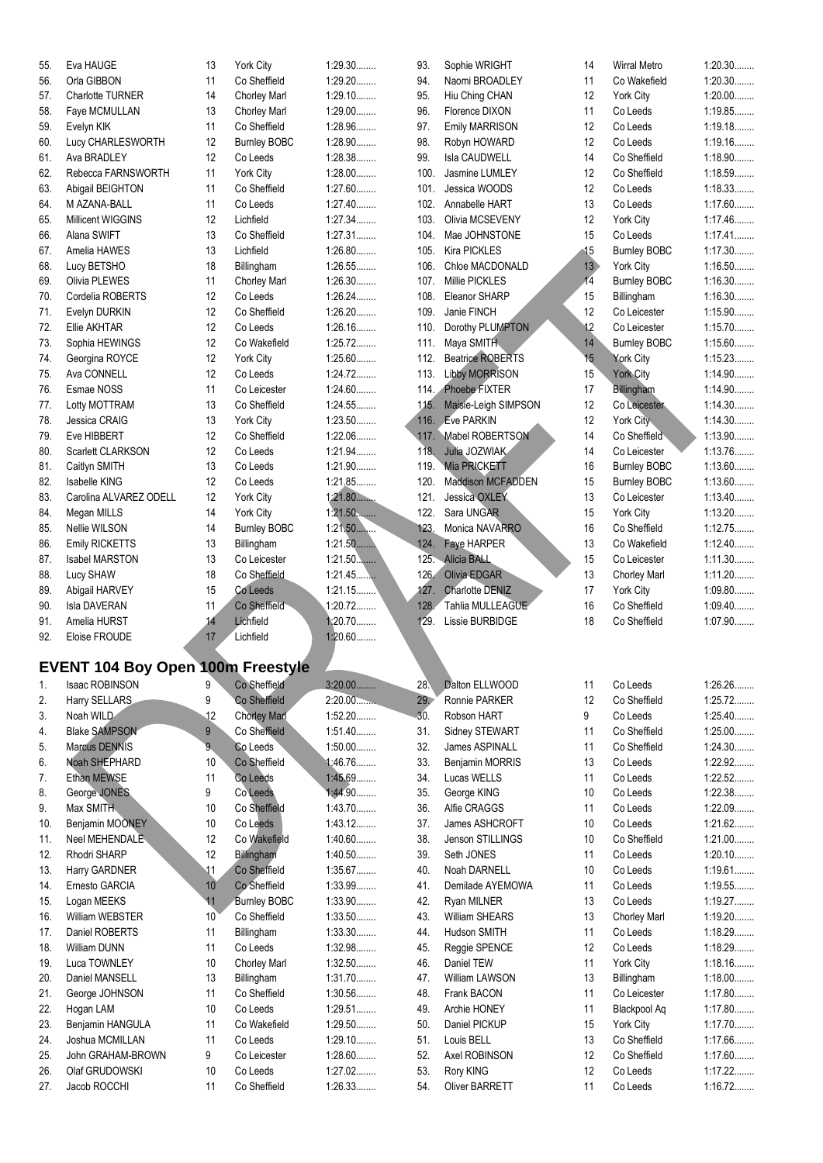| 55. | Eva HAUGE                                  | 13              | York City                | 1:29.30   | 93.        | Sophie WRIGHT                    | 14              | <b>Wirral Metro</b> | 1:20.30   |
|-----|--------------------------------------------|-----------------|--------------------------|-----------|------------|----------------------------------|-----------------|---------------------|-----------|
| 56. | Orla GIBBON                                | 11              | Co Sheffield             | 1:29.20   | 94.        | Naomi BROADLEY                   | 11              | Co Wakefield        | 1:20.30   |
| 57. | Charlotte TURNER                           | 14              | Chorley Marl             | $1:29.10$ | 95.        | Hiu Ching CHAN                   | 12              | York City           | $1:20.00$ |
| 58. | Faye MCMULLAN                              | 13              | <b>Chorley Marl</b>      | $1:29.00$ | 96.        | Florence DIXON                   | 11              | Co Leeds            | 1:19.85   |
| 59. | Evelyn KIK                                 | 11              | Co Sheffield             | 1:28.96   | 97.        | Emily MARRISON                   | 12              | Co Leeds            | 1:19.18   |
| 60. | Lucy CHARLESWORTH                          | 12              | <b>Burnley BOBC</b>      | 1:28.90   | 98.        | Robyn HOWARD                     | 12              | Co Leeds            | 1:19.16   |
| 61. | Ava BRADLEY                                | 12              | Co Leeds                 | 1:28.38   | 99.        | Isla CAUDWELL                    | 14              | Co Sheffield        | 1:18.90   |
| 62. | Rebecca FARNSWORTH                         | 11              | York City                | $1:28.00$ | 100.       | Jasmine LUMLEY                   | 12              | Co Sheffield        | 1:18.59   |
| 63. | Abigail BEIGHTON                           | 11              | Co Sheffield             | 1:27.60   | 101.       | Jessica WOODS                    | 12              | Co Leeds            | 1:18.33   |
| 64. | M AZANA-BALL                               | 11              | Co Leeds                 | 1:27.40   |            | 102. Annabelle HART              | 13              | Co Leeds            | 1:17.60   |
| 65. | Millicent WIGGINS                          | 12              | Lichfield                | 1:27.34   | 103.       | Olivia MCSEVENY                  | 12              | York City           | 1:17.46   |
| 66. | Alana SWIFT                                | 13              | Co Sheffield             | 1:27.31   | 104.       | Mae JOHNSTONE                    | 15              | Co Leeds            | 1:17.41   |
| 67. | Amelia HAWES                               | 13              | Lichfield                | 1:26.80   | 105.       | Kira PICKLES                     | 15              | <b>Burnley BOBC</b> | 1:17.30   |
| 68. | Lucy BETSHO                                | 18              | Billingham               | 1:26.55   | 106.       | Chloe MACDONALD                  | 13 <sup>°</sup> | York City           | 1:16.50   |
| 69. | Olivia PLEWES                              | 11              | Chorley Marl             | 1:26.30   | 107.       | Millie PICKLES                   | 14              | <b>Burnley BOBC</b> | 1:16.30   |
| 70. | Cordelia ROBERTS                           | 12              | Co Leeds                 | 1:26.24   | 108.       | Eleanor SHARP                    | 15              | Billingham          | 1:16.30   |
| 71. | Evelyn DURKIN                              | 12              | Co Sheffield             | 1:26.20   | 109.       | Janie FINCH                      | 12              | Co Leicester        | 1:15.90   |
| 72. | Ellie AKHTAR                               | 12              | Co Leeds                 | 1:26.16   | 110.       | Dorothy PLUMPTON                 | 12              | Co Leicester        | 1:15.70   |
| 73. | Sophia HEWINGS                             | 12              | Co Wakefield             | 1:25.72   | 111.       | Maya SMITH                       | 14              | <b>Burnley BOBC</b> | 1:15.60   |
| 74. | Georgina ROYCE                             | 12              | York City                | 1:25.60   | 112.       | <b>Beatrice ROBERTS</b>          | 15              | <b>York City</b>    | 1:15.23   |
| 75. | Ava CONNELL                                | 12              | Co Leeds                 | 1:24.72   | 113.       | <b>Libby MORRISON</b>            | 15              | <b>York City</b>    | 1:14.90   |
| 76. | Esmae NOSS                                 | 11              | Co Leicester             | 1:24.60   | 114.       | Phoebe FIXTER                    | 17              | <b>Billingham</b>   | 1:14.90   |
| 77. | Lotty MOTTRAM                              | 13              | Co Sheffield             | 1:24.55   | 115.       | Maisie-Leigh SIMPSON             | 12              | Co Leicester        | 1:14.30   |
| 78. | Jessica CRAIG                              | 13              | York City                | 1:23.50   |            | 116. Eve PARKIN                  | 12              | York City           | 1:14.30   |
| 79. | Eve HIBBERT                                | 12              | Co Sheffield             | 1:22.06   |            | 117. Mabel ROBERTSON             | 14              | Co Sheffield        | 1:13.90   |
| 80. | Scarlett CLARKSON                          | 12              | Co Leeds                 | 1:21.94   |            | 118. Julia JOZWIAK               | 14              | Co Leicester        | 1:13.76   |
| 81. | Caitlyn SMITH                              | 13              | Co Leeds                 | 1:21.90   | 119.       | Mia PRICKETT                     | 16              | <b>Burnley BOBC</b> | 1:13.60   |
| 82. | Isabelle KING                              | 12              | Co Leeds                 | 1:21.85   | 120.       | <b>Maddison MCFADDEN</b>         | 15              | <b>Burnley BOBC</b> | 1:13.60   |
| 83. | Carolina ALVAREZ ODELL                     | 12              | York City                | 1.21.80   | 121.       | Jessica OXLEY                    | 13              | Co Leicester        | 1:13.40   |
| 84. | Megan MILLS                                | 14              | York City                | $1:21.50$ | 122.       | Sara UNGAR                       | 15              | York City           | 1:13.20   |
| 85. | Nellie WILSON                              | 14              | <b>Burnley BOBC</b>      | 1:21.50   | 123.       | Monica NAVARRO                   | 16              | Co Sheffield        | 1:12.75   |
| 86. | <b>Emily RICKETTS</b>                      | 13              | Billingham               | $1:21.50$ | 124.       | Faye HARPER                      | 13              | Co Wakefield        | 1:12.40   |
| 87. | <b>Isabel MARSTON</b>                      | 13              | Co Leicester             | $1:21.50$ |            | 125. Alicia BALL                 | 15              | Co Leicester        | 1:11.30   |
| 88. | Lucy SHAW                                  | 18              | Co Sheffield             | 1:21.45   | 126        | Olivia EDGAR                     | 13              | Chorley Marl        | 1:11.20   |
| 89. | Abigail HARVEY                             | 15              | Co Leeds                 | 1:21.15   |            | 127. Charlotte DENIZ             | 17              | York City           | 1:09.80   |
| 90. | Isla DAVERAN                               | 11              | Co Sheffield             | $1:20.72$ | 128.       | Tahlia MULLEAGUE                 | 16              | Co Sheffield        | 1:09.40   |
| 91. | Amelia HURST                               | 14              | Lichfield                | $1:20.70$ | 129.       | Lissie BURBIDGE                  | 18              | Co Sheffield        | 1:07.90   |
| 92. | Eloise FROUDE                              | 17              | Lichfield                | $1:20.60$ |            |                                  |                 |                     |           |
|     |                                            |                 |                          |           |            |                                  |                 |                     |           |
|     | <b>EVENT 104 Boy Open 100m Freestyle</b>   |                 |                          |           |            |                                  |                 |                     |           |
| 1.  | Isaac ROBINSON                             | 9               | Co Sheffield             | $3:20.00$ | 28.        | Dalton ELLWOOD                   | 11              | Co Leeds            | 1:26.26   |
| 2.  | Harry SELLARS                              | 9               | Co Sheffield             | $2:20.00$ | 29.        | Ronnie PARKER                    | 12              | Co Sheffield        | 1:25.72   |
| 3.  | Noah WILD                                  | 12              | <b>Chorley Marl</b>      | $1:52.20$ | 30.        | Robson HART                      | 9               | Co Leeds            | $1:25.40$ |
|     | <b>Blake SAMPSON</b>                       | $9\phantom{.}$  | Co Sheffield             | 1:51.40   | 31.        |                                  | 11              | Co Sheffield        | $1:25.00$ |
| 4.  |                                            | 9 <sub>1</sub>  |                          | $1:50.00$ | 32.        | Sidney STEWART<br>James ASPINALL |                 |                     | 1:24.30   |
| 5.  | Marcus DENNIS                              |                 | Co Leeds<br>Co Sheffield | 1:46.76   |            |                                  | 11              | Co Sheffield        | 1:22.92   |
| 6.  | <b>Noah SHEPHARD</b><br><b>Ethan MEWSE</b> | $10$            |                          | 1:45.69   | 33.<br>34. | Benjamin MORRIS                  | 13              | Co Leeds            | 1:22.52   |
| 7.  |                                            | 11              | Co Leeds                 | 1:44.90   |            | Lucas WELLS<br>George KING       | 11              | Co Leeds            | 1:22.38   |
| 8.  | George JONES                               | 9               | Co Leeds<br>Co Sheffield |           | 35.        |                                  | 10              | Co Leeds            | 1:22.09   |
| 9.  | Max SMITH                                  | 10              |                          | 1:43.70   | 36.        | Alfie CRAGGS                     | 11              | Co Leeds            |           |
| 10. | Benjamin MOONEY                            | 10              | Co Leeds                 | 1:43.12   | 37.        | James ASHCROFT                   | 10              | Co Leeds            | 1:21.62   |
| 11. | Neel MEHENDALE                             | 12              | Co Wakefield             | $1:40.60$ | 38.        | Jenson STILLINGS                 | 10              | Co Sheffield        | $1:21.00$ |
| 12. | Rhodri SHARP                               | 12              | Billingham               | 1:40.50   | 39.        | Seth JONES                       | 11              | Co Leeds            | $1:20.10$ |
| 13. | Harry GARDNER                              | 11              | Co Sheffield             | 1:35.67   | 40.        | Noah DARNELL                     | 10              | Co Leeds            | 1:19.61   |
| 14. | Ernesto GARCIA                             | 10              | Co-Sheffield             | 1:33.99   | 41.        | Demilade AYEMOWA                 | 11              | Co Leeds            | 1:19.55   |
| 15. | Logan MEEKS                                | 11              | <b>Burnley BOBC</b>      | 1:33.90   | 42.        | Ryan MILNER                      | 13              | Co Leeds            | 1:19.27   |
| 16. | William WEBSTER                            | 10 <sup>7</sup> | Co Sheffield             | $1:33.50$ | 43.        | William SHEARS                   | 13              | Chorley Marl        | $1:19.20$ |

17. Daniel ROBERTS 11 Billingham 1:33.30........<br>18. William DUNN 11 Coleeds 1:32.98........ 18. William DUNN 11 Co Leeds 19. Luca TOWNLEY 10 Chorley Marl 1:32.50........<br>20. Daniel MANSELL 13 Billingham 1:31.70........ 20. Daniel MANSELL 13 Billingham 1:31.70........<br>21. George JOHNSON 11 Co Sheffield 1:30.56........ 21. George JOHNSON 11 Co Sheffield 22. Hogan LAM 10 Co Leeds 1:29.51........<br>23. Benjamin HANGULA 11 Co Wakefield 1:29.50........ 23. Benjamin HANGULA 11 Co Wakefield 1:29.50........<br>24. Joshua MCMILLAN 11 Co Leeds 1:29.10........ 24. Joshua MCMILLAN 11 Co Leeds 1:29.10........<br>25. John GRAHAM-BROWN 9 Co Leicester 1:28.60........ 44. Hudson SMITH 11 Co Leeds 1:18.29........ 45. Reggie SPENCE 12 Co Leeds 1:18.29........ 46. Daniel TEW 11 York City 1:18.16........<br>47. William LAWSON 13 Billingham 1:18.00........ 47. William LAWSON 13 Billingham 1:18.00........ 48. Frank BACON 11 Co Leicester 1:17.80........ 49. Archie HONEY 11 Blackpool Aq 1:17.80........ 50. Daniel PICKUP 15 York City 1:17.70........ 51. Louis BELL 13 Co Sheffield 1:17.66........

52. Axel ROBINSON 12 Co Sheffield 1:17.60........ 53. Rory KING 12 Co Leeds 1:17.22........ 54. Oliver BARRETT 11 Co Leeds 1:16.72........

25. John GRAHAM-BROWN 9 Co Leicester 1:28.60........<br>26. Olaf GRUDOWSKI 10 Co Leeds 1:27.02........

27. Jacob ROCCHI 11 Co Sheffield 1:26.33........

26. Olaf GRUDOWSKI 10 Co Leeds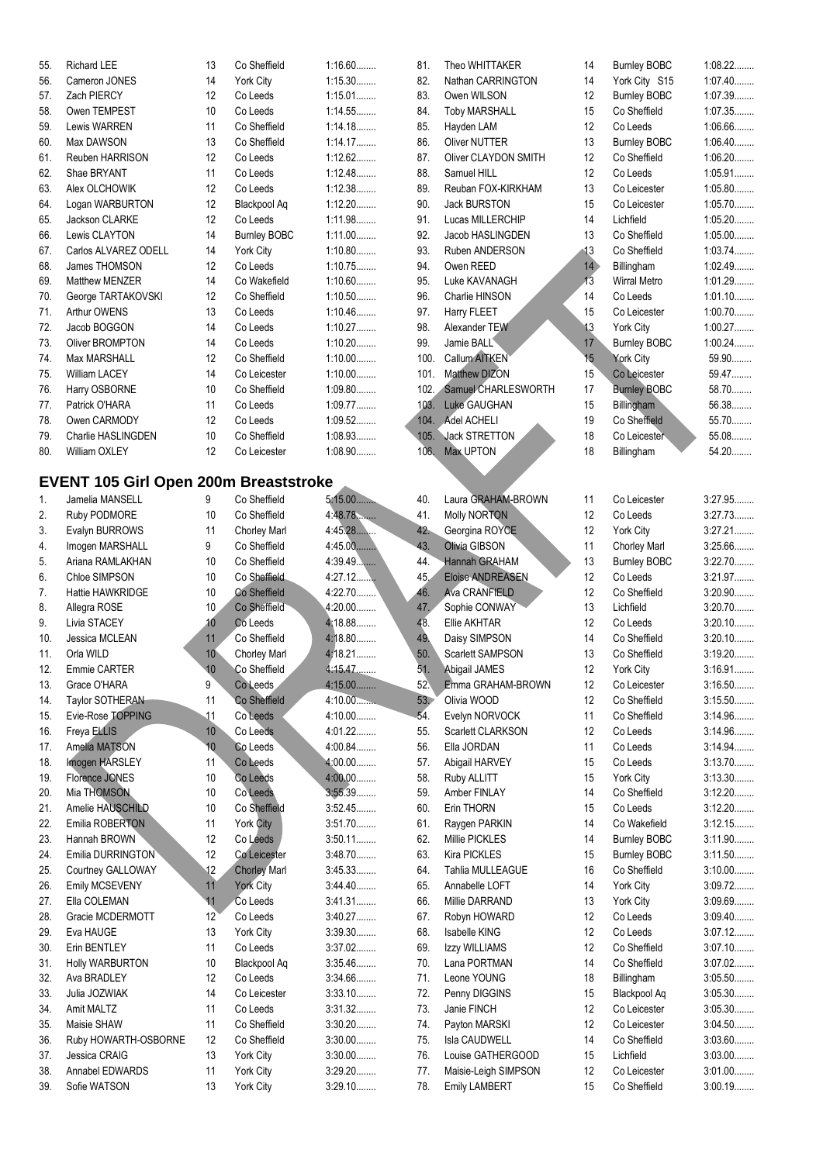| 55.        | Richard LEE                                  | 13              | Co Sheffield                 | 1:16.60              | 81.        | Theo WHITTAKER                | 14              | <b>Burnley BOBC</b>          | 1:08.22                |
|------------|----------------------------------------------|-----------------|------------------------------|----------------------|------------|-------------------------------|-----------------|------------------------------|------------------------|
| 56.        | Cameron JONES                                | 14              | York City                    | 1:15.30              | 82.        | Nathan CARRINGTON             | 14              | York City S15                | 1:07.40                |
| 57.        | Zach PIERCY                                  | 12              | Co Leeds                     | $1:15.01$            | 83.        | Owen WILSON                   | 12              | <b>Burnley BOBC</b>          | 1:07.39                |
| 58.        | Owen TEMPEST                                 | 10              | Co Leeds                     | 1:14.55              | 84.        | <b>Toby MARSHALL</b>          | 15              | Co Sheffield                 | 1:07.35                |
| 59.        | Lewis WARREN                                 | 11              | Co Sheffield                 | 1:14.18              | 85.        | Hayden LAM                    | 12              | Co Leeds                     | 1:06.66                |
| 60.        | Max DAWSON                                   | 13              | Co Sheffield                 | 1:14.17              | 86.        | Oliver NUTTER                 | 13              | <b>Burnley BOBC</b>          | 1:06.40                |
| 61.        | Reuben HARRISON                              | 12              | Co Leeds                     | 1:12.62              | 87.        | Oliver CLAYDON SMITH          | 12              | Co Sheffield                 | 1:06.20                |
| 62.        | Shae BRYANT                                  | 11              | Co Leeds                     | 1:12.48              | 88.        | Samuel HILL                   | 12              | Co Leeds                     | 1:05.91                |
| 63.        | Alex OLCHOWIK                                | 12              | Co Leeds                     | 1:12.38              | 89.        | Reuban FOX-KIRKHAM            | 13              | Co Leicester                 | 1:05.80                |
| 64.        | Logan WARBURTON                              | 12              | Blackpool Aq                 | 1:12.20              | 90.        | <b>Jack BURSTON</b>           | 15              | Co Leicester                 | 1:05.70                |
| 65.        | Jackson CLARKE                               | 12              | Co Leeds                     | 1:11.98              | 91.        | Lucas MILLERCHIP              | 14              | Lichfield                    | 1:05.20                |
| 66.        | Lewis CLAYTON                                | 14              | <b>Burnley BOBC</b>          | $1:11.00$            | 92.        | Jacob HASLINGDEN              | 13              | Co Sheffield                 | $1:05.00$              |
| 67.        | Carlos ALVAREZ ODELL                         | 14              | <b>York City</b>             | $1:10.80$            | 93.        | Ruben ANDERSON                | 13              | Co Sheffield                 | 1:03.74                |
| 68.        | James THOMSON                                | 12              | Co Leeds                     | 1:10.75              | 94.        | Owen REED                     | 14              | Billingham                   | 1:02.49                |
| 69.        | Matthew MENZER                               | 14              | Co Wakefield                 | $1:10.60$            | 95.        | Luke KAVANAGH                 | $\overline{13}$ | <b>Wirral Metro</b>          | 1:01.29                |
| 70.        | George TARTAKOVSKI                           | 12              | Co Sheffield                 | 1:10.50              | 96.        | Charlie HINSON                | 14              | Co Leeds                     | 1:01.10                |
| 71.        | Arthur OWENS                                 | 13              | Co Leeds                     | 1:10.46              | 97.        | Harry FLEET                   | 15              | Co Leicester                 | 1:00.70                |
| 72.        | Jacob BOGGON                                 | 14              | Co Leeds                     | 1:10.27              | 98.        | Alexander TEW                 | 13              | York City                    | 1:00.27                |
| 73.        | Oliver BROMPTON                              | 14              | Co Leeds                     | 1:10.20              | 99.        | Jamie BALL                    | 17              | <b>Burnley BOBC</b>          | 1:00.24                |
| 74.        | Max MARSHALL                                 | 12              | Co Sheffield                 | $1:10.00$            | 100.       | <b>Callum AITKEN</b>          | 15              | <b>York City</b>             | 59.90                  |
| 75.        | <b>William LACEY</b>                         | 14              | Co Leicester                 | $1:10.00$            | 101.       | Matthew DIZON                 | 15              | Co Leicester                 | 59.47                  |
| 76.        | Harry OSBORNE                                | 10              | Co Sheffield                 | 1:09.80              |            | 102. Samuel CHARLESWORTH      | 17              | <b>Bumley BOBC</b>           | 58.70                  |
| 77.        | Patrick O'HARA                               | 11              | Co Leeds                     | 1:09.77              |            | 103. Luke GAUGHAN             | 15              | <b>Billingham</b>            | 56.38                  |
| 78.        | Owen CARMODY                                 | 12              | Co Leeds                     | 1:09.52              |            | 104. Adel ACHELI              | 19              | Co Sheffield                 | 55.70                  |
| 79.        | Charlie HASLINGDEN                           | 10              | Co Sheffield                 | 1:08.93              |            | 105. Jack STRETTON            | 18              |                              | 55.08                  |
|            |                                              |                 |                              |                      |            | 106. Max UPTON                | 18              | Co Leicester                 |                        |
| 80.        | William OXLEY                                | 12              | Co Leicester                 | 1:08.90              |            |                               |                 | Billingham                   | 54.20                  |
|            | <b>EVENT 105 Girl Open 200m Breaststroke</b> |                 |                              |                      |            |                               |                 |                              |                        |
|            |                                              |                 |                              |                      |            |                               |                 |                              |                        |
| 1.<br>2.   | Jamelia MANSELL                              | 9               | Co Sheffield<br>Co Sheffield | $5:15.00$<br>4:48.78 | 40.<br>41. | Laura GRAHAM-BROWN            | 11<br>12        | Co Leicester<br>Co Leeds     | 3:27.95<br>3:27.73     |
|            | Ruby PODMORE                                 | 10              |                              | 4:45.28              |            | <b>Molly NORTON</b>           |                 |                              |                        |
| 3.         | Evalyn BURROWS                               | 11              | <b>Chorley Marl</b>          |                      | 42.        | Georgina ROYCE                | 12              | York City                    | $3:27.21$              |
| 4.         | Imogen MARSHALL                              | 9               | Co Sheffield                 | $4:45.00$            | 43.        | Olivia GIBSON                 | 11              | Chorley Marl                 | 3:25.66                |
| 5.         | Ariana RAMLAKHAN                             | 10              | Co Sheffield                 | 4:39.49              | 44.        | Hannah GRAHAM                 | 13              | <b>Burnley BOBC</b>          | 3:22.70                |
| 6.         | Chloe SIMPSON                                | 10              | Co Sheffield                 | 4:27.12              | 45.        | <b>Eloise ANDREASEN</b>       | 12              | Co Leeds                     | 3:21.97                |
| 7.         | Hattie HAWKRIDGE                             | 10              | Co Sheffield                 | $4:22.70$            | 46.        | <b>Ava CRANFIELD</b>          | 12              | Co Sheffield                 | 3:20.90                |
| 8.         | Allegra ROSE                                 | 10              | Co Sheffield                 | $4:20.00$            | 47.        | Sophie CONWAY                 | 13              | Lichfield                    | 3:20.70                |
| 9.         | Livia STACEY                                 | 10              | Co Leeds                     | 4:18.88              | 48.        | Ellie AKHTAR                  | 12              | Co Leeds                     | $3:20.10$              |
| 10.        | Jessica MCLEAN                               | 11              | Co Sheffield                 | 4:18.80<br>4:18.21   | 49.        | Daisy SIMPSON                 | 14              | Co Sheffield                 | $3:20.10$<br>$3:19.20$ |
| 11.        | Orla WILD                                    | 10 <sup>°</sup> | Chorley Marl                 |                      | 50.        | Scarlett SAMPSON              | 13              | Co Sheffield                 |                        |
| 12.        | Emmie CARTER                                 | 10<br>9         | Co Sheffield                 | 4:15.47<br>$4:15.00$ | 51.        | Abigail JAMES                 | 12              | York City                    | 3:16.91<br>3:16.50     |
| 13.        | Grace O'HARA                                 | 11              | Co Leeds<br>Co Sheffield     | $4:10.00$            | 52.<br>53. | Emma GRAHAM-BROWN             | 12              | Co Leicester                 | 3:15.50                |
| 14.        | Taylor SOTHERAN<br>Evie-Rose TOPPING         | 11              | Co Leeds                     | $4:10.00$            | 54.        | Olivia WOOD<br>Evelyn NORVOCK | 12<br>11        | Co Sheffield<br>Co Sheffield | 3:14.96                |
| 15.<br>16. | Freya ELLIS                                  | 10              | Co Leeds                     | 4:01.22              | 55.        | Scarlett CLARKSON             | 12              | Co Leeds                     | 3:14.96                |
| 17.        | Amelia MATSON                                | 10              | Co Leeds                     | 4:00.84              | 56.        | Ella JORDAN                   | 11              | Co Leeds                     | 3:14.94                |
| 18.        | Imogen HARSLEY                               | 11              | Co Leeds                     | 4:00.00              | 57.        | Abigail HARVEY                | 15              | Co Leeds                     | 3:13.70                |
| 19.        | Florence JONES                               | 10              | Co Leeds                     | $4:00.00$            | 58.        | Ruby ALLITT                   | 15              | York City                    | 3:13.30                |
|            | Mia THOMSON                                  |                 |                              | 3:55.39              |            |                               |                 |                              |                        |
| 20.        |                                              | 10              | Co Leeds                     |                      | 59.        | Amber FINLAY                  | 14              | Co Sheffield                 | $3:12.20$              |
| 21.        | Amelie HAUSCHILD                             | 10              | Co Sheffield                 | 3:52.45              | 60.        | Erin THORN                    | 15              | Co Leeds                     | $3:12.20$              |
| 22.        | Emilia ROBERTON                              | 11              | York City                    | 3:51.70              | 61.        | Raygen PARKIN                 | 14              | Co Wakefield                 | 3:12.15                |
| 23.        | Hannah BROWN                                 | 12              | Co Leeds                     | $3:50.11$            | 62.        | Millie PICKLES                | 14              | <b>Burnley BOBC</b>          | 3:11.90                |
| 24.        | Emilia DURRINGTON                            | 12              | Co Leicester                 | 3:48.70              | 63.        | Kira PICKLES                  | 15              | <b>Burnley BOBC</b>          | 3:11.50                |
| 25.        | Courtney GALLOWAY                            | 12              | <b>Chorley Marl</b>          | 3:45.33              | 64.        | Tahlia MULLEAGUE              | 16              | Co Sheffield                 | $3:10.00$              |
| 26.        | Emily MCSEVENY                               | 11              | York City                    | 3:44.40              | 65.        | Annabelle LOFT                | 14              | York City                    | 3:09.72                |
| 27.        | Ella COLEMAN                                 | 11              | Co Leeds                     | 3:41.31              | 66.        | Millie DARRAND                | 13              | York City                    | 3:09.69                |
| 28.<br>29. | Gracie MCDERMOTT<br>Eva HAUGE                | 12<br>13        | Co Leeds<br>York City        | 3:40.27<br>3:39.30   | 67.<br>68. | Robyn HOWARD<br>Isabelle KING | 12<br>12        | Co Leeds<br>Co Leeds         | $3.09.40$<br>$3.07.12$ |
| 30.        | Erin BENTLEY                                 | 11              | Co Leeds                     | 3:37.02              | 69.        | Izzy WILLIAMS                 | 12              | Co Sheffield                 | $3.07.10$              |
| 31.        | Holly WARBURTON                              | 10              | Blackpool Aq                 | 3:35.46              | 70.        | Lana PORTMAN                  | 14              | Co Sheffield                 | $3:07.02$              |
| 32.        | Ava BRADLEY                                  | 12              | Co Leeds                     | 3:34.66              | 71.        | Leone YOUNG                   | 18              | Billingham                   | 3:05.50                |
| 33.        | Julia JOZWIAK                                | 14              | Co Leicester                 | $3:33.10$            | 72.        | Penny DIGGINS                 | 15              | Blackpool Aq                 | 3:05.30                |
| 34.        | Amit MALTZ                                   | 11              | Co Leeds                     | 3:31.32              | 73.        | Janie FINCH                   | 12              | Co Leicester                 | 3:05.30                |
| 35.        | Maisie SHAW                                  | 11              | Co Sheffield                 | $3:30.20$            | 74.        | Payton MARSKI                 | 12              | Co Leicester                 | 3:04.50                |
| 36.        | Ruby HOWARTH-OSBORNE                         | 12              | Co Sheffield                 | 3:30.00              | 75.        | Isla CAUDWELL                 | 14              | Co Sheffield                 | $3:03.60$              |
| 37.        | Jessica CRAIG                                | 13              | York City                    | $3:30.00$            | 76.        | Louise GATHERGOOD             | 15              | Lichfield                    | $3:03.00$              |
| 38.        | Annabel EDWARDS                              | 11              | York City                    | 3:29.20              | 77.        | Maisie-Leigh SIMPSON          | 12              | Co Leicester                 | $3:01.00$              |
| 39.        | Sofie WATSON                                 | 13              | York City                    | 3:29.10              | 78.        | <b>Emily LAMBERT</b>          | 15              | Co Sheffield                 | 3:00.19                |
|            |                                              |                 |                              |                      |            |                               |                 |                              |                        |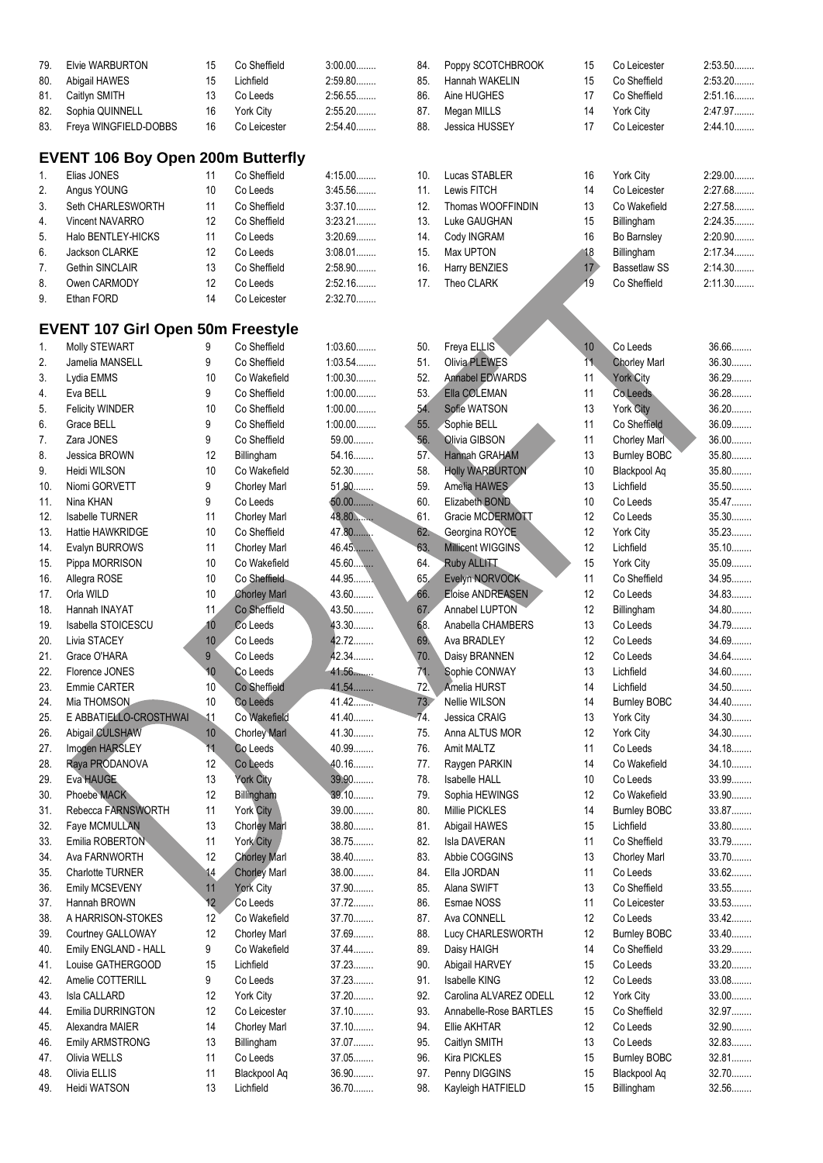| 79. | <b>Elvie WARBURTON</b> | 15 | Co Sheffield | $3:00.00$ |
|-----|------------------------|----|--------------|-----------|
| 80. | Abigail HAWES          | 15 | Lichfield    | 2:59.80   |
|     | 81. Caitlyn SMITH      | 13 | Co Leeds     | 2:56.55   |
| 82. | Sophia QUINNELL        | 16 | York City    | $2:55.20$ |
| 83. | Freya WINGFIELD-DOBBS  | 16 | Co Leicester | $2:54.40$ |

#### **EVENT 106 Boy Open 200m Butterfly**

| $\mathbf{1}$ .   | Elias JONES        | 11 | Co Sheffield | $4:15.00$ |
|------------------|--------------------|----|--------------|-----------|
| 2.               | Angus YOUNG        | 10 | Co Leeds     | 3:45.56   |
| 3.               | Seth CHARLESWORTH  | 11 | Co Sheffield | 3:37.10   |
| $\overline{4}$ . | Vincent NAVARRO    | 12 | Co Sheffield | $3:23.21$ |
| 5.               | Halo BENTLEY-HICKS | 11 | Co Leeds     | 3:20.69   |
| 6.               | Jackson CLARKE     | 12 | Co Leeds     | $3:08.01$ |
| 7.               | Gethin SINCLAIR    | 13 | Co Sheffield | 2:58.90   |
| 8.               | Owen CARMODY       | 12 | Co Leeds     | 2:52.16   |
| 9.               | Ethan FORD         | 14 | Co Leicester | 2:32.70   |

#### **EVENT 107 Girl Open 50m Freestyle**

| 1.  | Molly STEWART           | 9               | Co Sheffield        | 1:03.60   | 50.  | Freya ELLIS            | 10 <sup>1</sup> | Co Leeds            | 36.66   |
|-----|-------------------------|-----------------|---------------------|-----------|------|------------------------|-----------------|---------------------|---------|
| 2.  | Jamelia MANSELL         | 9               | Co Sheffield        | 1:03.54   | 51.  | <b>Olivia PLEWES</b>   | 11              | <b>Chorley Marl</b> | 36.30   |
| 3.  | Lydia EMMS              | 10              | Co Wakefield        | 1:00.30   | 52.  | <b>Annabel EDWARDS</b> | 11              | <b>York City</b>    | 36.29   |
| 4.  | Eva BELL                | 9               | Co Sheffield        | $1:00.00$ | 53.  | Ella COLEMAN           | 11              | Co Leeds            | 36.28   |
| 5.  | <b>Felicity WINDER</b>  | 10              | Co Sheffield        | $1:00.00$ | 54.  | Sofie WATSON           | 13              | York City           | $36.20$ |
| 6.  | Grace BELL              | 9               | Co Sheffield        | $1:00.00$ | 55.  | Sophie BELL            | 11              | Co Sheffield        | 36.09   |
| 7.  | Zara JONES              | 9               | Co Sheffield        | 59.00     | 56.  | <b>Olivia GIBSON</b>   | 11              | Chorley Marl        | 36.00   |
| 8.  | Jessica BROWN           | 12              | <b>Billingham</b>   | 54.16     | 57   | Hannah GRAHAM          | 13              | <b>Burnley BOBC</b> | 35.80   |
| 9.  | Heidi WILSON            | 10              | Co Wakefield        | 52.30     | 58.  | <b>Holly WARBURTON</b> | 10              | Blackpool Aq        | 35.80   |
| 10. | Niomi GORVETT           | 9               | <b>Chorley Marl</b> | 51.90     | 59.  | Amelia HAWES           | 13              | Lichfield           | 35.50   |
| 11. | Nina KHAN               | 9               | Co Leeds            | $50.00$   | 60.  | Elizabeth BOND         | 10              | Co Leeds            | 35.47   |
| 12. | <b>Isabelle TURNER</b>  | 11              | <b>Chorley Marl</b> | 48.80.    | 61.  | Gracie MCDERMOTT       | 12              | Co Leeds            | $35.30$ |
| 13. | Hattie HAWKRIDGE        | 10              | Co Sheffield        | 47.80     | 62.  | Georgina ROYCE         | 12              | York City           | 35.23   |
| 14. | Evalyn BURROWS          | 11              | <b>Chorley Marl</b> | $46.45$   | 63.  | Millicent WIGGINS      | 12              | Lichfield           | $35.10$ |
| 15. | Pippa MORRISON          | 10              | Co Wakefield        | 45.60     | 64.  | <b>Ruby ALLITT</b>     | 15              | York City           | 35.09   |
| 16. | Allegra ROSE            | 10              | Co Sheffield        | 44.95     | 65.  | Evelyn NORVOCK         | 11              | Co Sheffield        | 34.95   |
| 17. | Orla WILD               | 10              | <b>Chorley Marl</b> | 43.60     | 66.  | Eloise ANDREASEN       | 12              | Co Leeds            | 34.83.  |
| 18. | Hannah INAYAT           | 11              | Co Sheffield        | 43.50     | 67.  | Annabel LUPTON         | 12              | Billingham          | 34.80   |
| 19. | Isabella STOICESCU      | 10              | Co Leeds            | 43.30     | 68.  | Anabella CHAMBERS      | 13              | Co Leeds            | 34.79   |
| 20. | Livia STACEY            | 10              | Co Leeds            | 42.72     | 69.  | Ava BRADLEY            | 12              | Co Leeds            | 34.69   |
| 21. | Grace O'HARA            | 9 <sup>°</sup>  | Co Leeds            | 42.34     | 70.  | Daisy BRANNEN          | 12              | Co Leeds            | 34.64.  |
| 22. | Florence JONES          | 10 <sup>1</sup> | Co Leeds            | 41.56     | 71.  | Sophie CONWAY          | 13              | Lichfield           | 34.60   |
| 23. | Emmie CARTER            | 10              | Co Sheffield        | 41.54.    | 72.  | Amelia HURST           | 14              | Lichfield           | 34.50   |
| 24. | Mia THOMSON             | 10              | Co Leeds            | 41.42     | 73.7 | Nellie WILSON          | 14              | <b>Burnley BOBC</b> | 34.40   |
| 25. | E ABBATIELLO-CROSTHWAI  | 11              | Co Wakefield        | 41.40     | 74.  | Jessica CRAIG          | 13              | York City           | 34.30   |
| 26. | Abigail CULSHAW         | 10              | <b>Chorley Marl</b> | 41.30     | 75.  | Anna ALTUS MOR         | 12              | York City           | 34.30   |
| 27. | Imogen HARSLEY          | 11              | Co Leeds            | 40.99     | 76.  | Amit MALTZ             | 11              | Co Leeds            | 34.18   |
| 28. | Raya PRODANOVA          | 12              | Co Leeds            | 40.16     | 77.  | Raygen PARKIN          | 14              | Co Wakefield        | 34.10   |
| 29. | Eva HAUGE               | 13              | <b>York City</b>    | 39.90     | 78.  | <b>Isabelle HALL</b>   | 10              | Co Leeds            | 33.99   |
| 30. | Phoebe MACK             | 12              | Billingham          | 39.10.    | 79.  | Sophia HEWINGS         | 12              | Co Wakefield        | 33.90   |
| 31. | Rebecca FARNSWORTH      | 11              | York City           | 39.00     | 80.  | Millie PICKLES         | 14              | <b>Burnley BOBC</b> | 33.87   |
| 32. | Faye MCMULLAN           | 13              | <b>Chorley Marl</b> | 38.80     | 81.  | Abigail HAWES          | 15              | Lichfield           | 33.80   |
| 33. | Emilia ROBERTON         | 11              | <b>York City</b>    | 38.75     | 82.  | <b>Isla DAVERAN</b>    | 11              | Co Sheffield        | 33.79   |
| 34. | Ava FARNWORTH           | 12              | <b>Chorley Marl</b> | 38.40     | 83.  | Abbie COGGINS          | 13              | <b>Chorley Marl</b> | 33.70   |
| 35. | <b>Charlotte TURNER</b> | 14              | <b>Chorley Marl</b> | $38.00$   | 84.  | Ella JORDAN            | 11              | Co Leeds            | 33.62   |
| 36. | Emily MCSEVENY          | 11              | York City           | 37.90     | 85.  | Alana SWIFT            | 13              | Co Sheffield        | 33.55   |
| 37. | Hannah BROWN            | 12              | Co Leeds            | $37.72$   | 86.  | Esmae NOSS             | 11              | Co Leicester        | 33.53   |
| 38. | A HARRISON-STOKES       | 12              | Co Wakefield        | 37.70     | 87.  | Ava CONNELL            | 12              | Co Leeds            | 33.42   |
| 39. | Courtney GALLOWAY       | 12              | <b>Chorley Marl</b> | 37.69     | 88.  | Lucy CHARLESWORTH      | 12              | <b>Burnley BOBC</b> | 33.40   |
| 40. | Emily ENGLAND - HALL    | 9               | Co Wakefield        | 37.44     | 89.  | Daisy HAIGH            | 14              | Co Sheffield        | 33.29   |
| 41. | Louise GATHERGOOD       | 15              | Lichfield           | 37.23     | 90.  | Abigail HARVEY         | 15              | Co Leeds            | 33.20   |
| 42. | Amelie COTTERILL        | 9               | Co Leeds            | 37.23     | 91.  | Isabelle KING          | 12              | Co Leeds            | $33.08$ |
| 43. | Isla CALLARD            | 12              | York City           | 37.20     | 92.  | Carolina ALVAREZ ODELL | 12              | York City           | $33.00$ |
| 44. | Emilia DURRINGTON       | 12              | Co Leicester        | 37.10     | 93.  | Annabelle-Rose BARTLES | 15              | Co Sheffield        | 32.97   |
| 45. | Alexandra MAIER         | 14              | Chorley Marl        | 37.10     | 94.  | Ellie AKHTAR           | 12              | Co Leeds            | 32.90   |
| 46. | Emily ARMSTRONG         | 13              | Billingham          | 37.07     | 95.  | Caitlyn SMITH          | 13              | Co Leeds            | 32.83   |
| 47. | Olivia WELLS            | 11              | Co Leeds            | 37.05     | 96.  | Kira PICKLES           | 15              | <b>Burnley BOBC</b> | 32.81   |
| 48. | Olivia ELLIS            | 11              | <b>Blackpool Aq</b> | 36.90     | 97.  | Penny DIGGINS          | 15              | Blackpool Aq        | 32.70   |
| 49. | Heidi WATSON            | 13              | Lichfield           | 36.70     | 98.  | Kayleigh HATFIELD      | 15              | Billingham          | 32.56   |

| 85. | Hannah WAKELIN    | 15 | Co Sheffield        | $2:53.20$      |
|-----|-------------------|----|---------------------|----------------|
| 86. | Aine HUGHES       | 17 | Co Sheffield        | 2:51.16        |
| 87. | Megan MILLS       | 14 | York City           | 2:47.97        |
| 88. | Jessica HUSSEY    | 17 | Co Leicester        | 2:44.10        |
|     |                   |    |                     |                |
| 10. | Lucas STABLER     | 16 | York City           | $2:29.00$      |
| 11. | Lewis FITCH       | 14 | Co Leicester        | 2:27.68        |
| 12. | Thomas WOOFFINDIN | 13 | Co Wakefield        | 2:27.58        |
| 13. | Luke GAUGHAN      | 15 | Billingham          | 2:24.35        |
| 14. | Cody INGRAM       | 16 | <b>Bo Barnsley</b>  | $2:20.90\dots$ |
| 15. | Max UPTON         | 18 | Billingham          | 2:17.34        |
| 16. | Harry BENZIES     | 17 | <b>Bassetlaw SS</b> | 2:14.30        |

16. Harry BENZIES 17 Bassetlaw SS 2:14.30........<br>17. Theo CLARK 19 Co Sheffield 2:11.30........

17. Theo CLARK

84. Poppy SCOTCHBROOK 15 Co Leicester 2:53.50........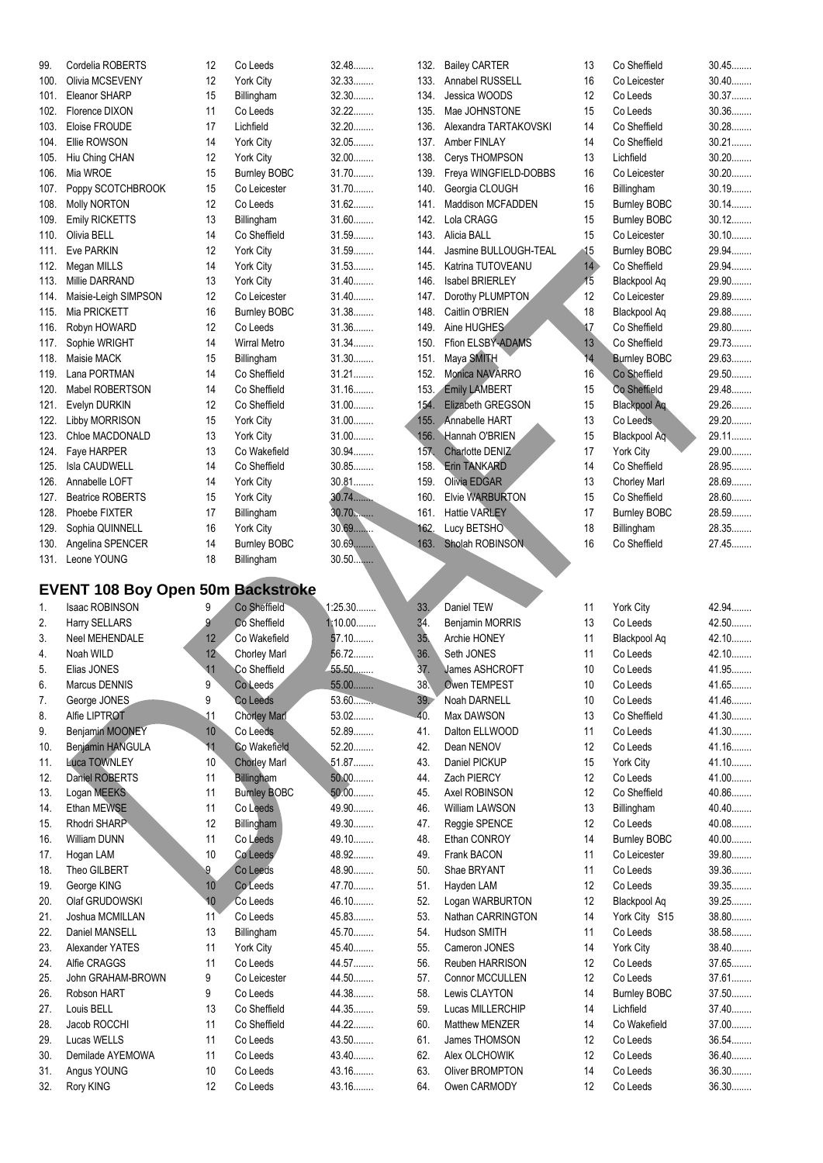| 99.        | Cordelia ROBERTS                         | 12       | Co Leeds             | 32.48           | 132.       | <b>Bailey CARTER</b>            | 13              | Co Sheffield         | 30.45                                                                                                                        |
|------------|------------------------------------------|----------|----------------------|-----------------|------------|---------------------------------|-----------------|----------------------|------------------------------------------------------------------------------------------------------------------------------|
| 100.       | Olivia MCSEVENY                          | 12       | York City            | 32.33           | 133.       | Annabel RUSSELL                 | 16              | Co Leicester         | $30.40$                                                                                                                      |
| 101.       | Eleanor SHARP                            | 15       | Billingham           | 32.30           | 134.       | Jessica WOODS                   | 12              | Co Leeds             | 30.37                                                                                                                        |
| 102.       | Florence DIXON                           | 11       | Co Leeds             | 32.22           | 135.       | Mae JOHNSTONE                   | 15              | Co Leeds             | 30.36                                                                                                                        |
| 103.       | Eloise FROUDE                            | 17       | Lichfield            | 32.20           | 136.       | Alexandra TARTAKOVSKI           | 14              | Co Sheffield         | 30.28                                                                                                                        |
| 104.       | Ellie ROWSON                             | 14       | York City            | 32.05           | 137.       | Amber FINLAY                    | 14              | Co Sheffield         | $30.21$                                                                                                                      |
| 105.       | Hiu Ching CHAN                           | 12       | York City            | 32.00           | 138.       | Cerys THOMPSON                  | 13              | Lichfield            | $30.20$                                                                                                                      |
| 106.       | Mia WROE                                 | 15       | <b>Burnley BOBC</b>  | 31.70           | 139.       | Freya WINGFIELD-DOBBS           | 16              | Co Leicester         | $30.20$                                                                                                                      |
| 107.       | Poppy SCOTCHBROOK                        | 15       | Co Leicester         | 31.70           | 140.       | Georgia CLOUGH                  | 16              | Billingham           | 30.19                                                                                                                        |
| 108.       | <b>Molly NORTON</b>                      | 12       | Co Leeds             | 31.62           | 141.       | Maddison MCFADDEN               | 15              | <b>Burnley BOBC</b>  | $30.14$                                                                                                                      |
| 109.       | <b>Emily RICKETTS</b>                    | 13       | Billingham           | $31.60$         | 142.       | Lola CRAGG                      | 15              | <b>Burnley BOBC</b>  | $30.12$                                                                                                                      |
| 110.       | Olivia BELL                              | 14       | Co Sheffield         | 31.59           | 143.       | Alicia BALL                     | 15              | Co Leicester         | $30.10$                                                                                                                      |
| 111.       | Eve PARKIN                               | 12       | York City            | 31.59           | 144.       | Jasmine BULLOUGH-TEAL           | 15              | <b>Burnley BOBC</b>  | 29.94                                                                                                                        |
| 112.       | Megan MILLS                              | 14       | York City            | 31.53           | 145.       | Katrina TUTOVEANU               | 14              | Co Sheffield         | 29.94                                                                                                                        |
| 113.       | Millie DARRAND                           | 13       | York City            | $31.40$         | 146.       | <b>Isabel BRIERLEY</b>          | $\overline{15}$ | Blackpool Aq         | 29.90                                                                                                                        |
| 114.       | Maisie-Leigh SIMPSON                     | 12       | Co Leicester         | $31.40$         | 147.       | Dorothy PLUMPTON                | 12              | Co Leicester         | 29.89                                                                                                                        |
| 115.       | Mia PRICKETT                             | 16       | <b>Burnley BOBC</b>  | 31.38           | 148.       | Caitlin O'BRIEN                 | 18              | Blackpool Aq         | 29.88                                                                                                                        |
| 116.       | Robyn HOWARD                             | 12       | Co Leeds             | 31.36           | 149.       | Aine HUGHES                     | 17              | Co Sheffield         | 29.80                                                                                                                        |
| 117.       | Sophie WRIGHT                            | 14       | <b>Wirral Metro</b>  | 31.34           | 150.       | Ffion ELSBY-ADAMS               | 13              | Co Sheffield         | 29.73                                                                                                                        |
| 118.       | Maisie MACK                              | 15       | Billingham           | 31.30           | 151.       | Maya SMITH                      | 14              | <b>Burnley BOBC</b>  | 29.63                                                                                                                        |
| 119.       | Lana PORTMAN                             | 14       | Co Sheffield         | $31.21$         | 152.       | Monica NAVARRO                  | 16              | Co Sheffield         | 29.50                                                                                                                        |
| 120.       | Mabel ROBERTSON                          | 14       | Co Sheffield         | $31.16$         | 153.       | <b>Emily LAMBERT</b>            | 15              | Co Sheffield         | 29.48                                                                                                                        |
| 121.       | Evelyn DURKIN                            | 12       | Co Sheffield         | $31.00$         | 154.       | Elizabeth GREGSON               | 15              | <b>Blackpool Aq</b>  | 29.26                                                                                                                        |
| 122.       | <b>Libby MORRISON</b>                    | 15       | York City            | $31.00$         | 155.       | Annabelle HART                  | 13              | Co Leeds             | 29.20                                                                                                                        |
| 123.       | Chloe MACDONALD                          | 13       | York City            | $31.00$         | 156.       | Hannah O'BRIEN                  | 15              | Blackpool Aq         | 29.11.                                                                                                                       |
| 124.       | Faye HARPER                              | 13       | Co Wakefield         | 30.94           | 157.       | <b>Charlotte DENIZ</b>          | 17              | <b>York City</b>     | 29.00                                                                                                                        |
| 125.       | Isla CAUDWELL                            | 14       | Co Sheffield         | 30.85           | 158.       | <b>Erin TANKARD</b>             | 14              | Co Sheffield         | 28.95                                                                                                                        |
| 126.       | Annabelle LOFT                           | 14       | York City            | 30.81           | 159.       | <b>Olivia EDGAR</b>             | 13              | Chorley Marl         | 28.69                                                                                                                        |
| 127.       | <b>Beatrice ROBERTS</b>                  | 15       | York City            | 30.74           | 160.       | <b>Elvie WARBURTON</b>          | 15              | Co Sheffield         | 28.60                                                                                                                        |
| 128.       | Phoebe FIXTER                            | 17       | Billingham           | $30.70$         | 161.       | <b>Hattie VARLEY</b>            | 17              | <b>Burnley BOBC</b>  | 28.59                                                                                                                        |
| 129.       | Sophia QUINNELL                          | 16       | York City            | $30.69$         | 162.       | Lucy BETSHO                     | 18              | Billingham           | 28.35                                                                                                                        |
| 130.       | Angelina SPENCER                         | 14       | <b>Burnley BOBC</b>  | $30.69$         | 163.       | Sholah ROBINSON                 | 16              | Co Sheffield         | 27.45                                                                                                                        |
| 131.       | Leone YOUNG                              | 18       |                      | 30.50           |            |                                 |                 |                      |                                                                                                                              |
|            |                                          |          | Billingham           |                 |            |                                 |                 |                      |                                                                                                                              |
|            |                                          |          |                      |                 |            |                                 |                 |                      |                                                                                                                              |
|            |                                          |          |                      |                 |            |                                 |                 |                      |                                                                                                                              |
|            | <b>EVENT 108 Boy Open 50m Backstroke</b> |          |                      |                 |            |                                 |                 |                      |                                                                                                                              |
| 1.         | Isaac ROBINSON                           | 9        | Co Sheffield         | 1:25.30         | 33.        | Daniel TEW                      | 11              | <b>York City</b>     |                                                                                                                              |
| 2.         | Harry SELLARS                            | 9        | Co Sheffield         | $1:10.00$       | 34.        | Benjamin MORRIS                 | 13              | Co Leeds             | 42.50                                                                                                                        |
| 3.         | Neel MEHENDALE                           | 12       | Co Wakefield         | 57.10           | 35.        | <b>Archie HONEY</b>             | 11              | Blackpool Aq         |                                                                                                                              |
| 4.         | Noah WILD                                | 12       | Chorley Marl         | 56.72           | 36.        | Seth JONES                      | 11              | Co Leeds             |                                                                                                                              |
| 5.         | Elias JONES                              | 11       | Co Sheffield         | 55.50           | 37.        | <b>James ASHCROFT</b>           | 10              | Co Leeds             | 41.95                                                                                                                        |
| 6.         | Marcus DENNIS                            | 9        | Co Leeds             | 55.00           | 38.        | Owen TEMPEST                    | 10              | Co Leeds             | 41.65                                                                                                                        |
| 7.         | George JONES                             | 9        | Co Leeds             | 53.60           | 39.        | Noah DARNELL                    | 10              | Co Leeds             |                                                                                                                              |
| 8.         | Alfie LIPTROT                            | 11       | <b>Chorley Marl</b>  | $53.02$         | 40.        | Max DAWSON                      | 13              | Co Sheffield         |                                                                                                                              |
| 9.         | Benjamin MOONEY                          | 10       | Co Leeds             | 52.89           | 41.        | Dalton ELLWOOD                  | 11              | Co Leeds             |                                                                                                                              |
| 10.        | Benjamin HANGULA                         | 11       | Co Wakefield         | 52.20           | 42.        | Dean NENOV                      | 12              | Co Leeds             |                                                                                                                              |
| 11.        | Luca TOWNLEY                             | 10       | <b>Chorley Marl</b>  | 51.87           | 43.        | Daniel PICKUP                   | 15              | York City            |                                                                                                                              |
| 12.        | Daniel ROBERTS                           | 11       | <b>Billingham</b>    | $50.00$         | 44.        | Zach PIERCY                     | 12              | Co Leeds             |                                                                                                                              |
| 13.        | Logan MEEKS                              | 11       | <b>Bumley BOBC</b>   | 50.00           | 45.        | Axel ROBINSON                   | 12              | Co Sheffield         |                                                                                                                              |
| 14.        | Ethan MEWSE                              | 11       | Co Leeds             | 49.90           | 46.        | William LAWSON                  | 13              | Billingham           | 40.40                                                                                                                        |
| 15.        | Rhodri SHARP                             | 12       | Billingham           | 49.30           | 47.        | Reggie SPENCE                   | 12              | Co Leeds             |                                                                                                                              |
| 16.        | William DUNN                             | 11       | Co Leeds             | 49.10           | 48.        | Ethan CONROY                    | 14              | <b>Burnley BOBC</b>  |                                                                                                                              |
| 17.        | Hogan LAM                                | 10       | Co Leeds             | 48.92           | 49.        | Frank BACON                     | 11              | Co Leicester         |                                                                                                                              |
| 18.        | Theo GILBERT                             | 9        | Co Leeds             | 48.90           | 50.        | Shae BRYANT                     | 11              | Co Leeds             | 42.94<br>42.10.<br>42.10.<br>41.46<br>41.30<br>41.30<br>41.16<br>41.10<br>41.00<br>40.86<br>40.08<br>40.00<br>39.80<br>39.36 |
| 19.        | George KING                              | 10       | Co Leeds             | 47.70           | 51.        | Hayden LAM                      | 12              | Co Leeds             | 39.35                                                                                                                        |
| 20.        | Olaf GRUDOWSKI                           | 10       | Co Leeds             | 46.10           | 52.        | Logan WARBURTON                 | 12              | Blackpool Aq         | 39.25                                                                                                                        |
| 21.        | Joshua MCMILLAN                          | 11       | Co Leeds             | 45.83           | 53.        | Nathan CARRINGTON               | 14              | York City S15        | 38.80                                                                                                                        |
| 22.        | Daniel MANSELL                           | 13       | Billingham           | 45.70           | 54.        | Hudson SMITH                    | 11              | Co Leeds             | 38.58                                                                                                                        |
| 23.        | Alexander YATES                          | 11       | York City            | 45.40           | 55.        | Cameron JONES                   | 14              | York City            | 38.40                                                                                                                        |
| 24.        | Alfie CRAGGS                             | 11       | Co Leeds             | 44.57           | 56.        | Reuben HARRISON                 | 12              | Co Leeds             | 37.65                                                                                                                        |
| 25.        | John GRAHAM-BROWN                        | 9        | Co Leicester         | 44.50           | 57.        | Connor MCCULLEN                 | 12              | Co Leeds             | 37.61                                                                                                                        |
| 26.        | Robson HART                              | 9        | Co Leeds             | 44.38           |            | Lewis CLAYTON                   | 14              | <b>Burnley BOBC</b>  |                                                                                                                              |
|            |                                          |          | Co Sheffield         |                 | 58.        |                                 | 14              |                      | 37.50                                                                                                                        |
| 27.        | Louis BELL                               | 13       |                      | 44.35           | 59.        | Lucas MILLERCHIP                |                 | Lichfield            | 37.40                                                                                                                        |
| 28.        | Jacob ROCCHI                             | 11       | Co Sheffield         | 44.22           | 60.        | Matthew MENZER                  | 14              | Co Wakefield         |                                                                                                                              |
| 29.        | Lucas WELLS                              | 11       | Co Leeds             | 43.50           | 61.        | James THOMSON                   | 12              | Co Leeds             | 36.54                                                                                                                        |
| 30.        | Demilade AYEMOWA                         | 11       | Co Leeds             | 43.40           | 62.        | Alex OLCHOWIK                   | 12              | Co Leeds             | 36.40                                                                                                                        |
| 31.<br>32. | Angus YOUNG<br>Rory KING                 | 10<br>12 | Co Leeds<br>Co Leeds | 43.16<br>43.16. | 63.<br>64. | Oliver BROMPTON<br>Owen CARMODY | 14<br>12        | Co Leeds<br>Co Leeds | 37.00<br>36.30<br>36.30                                                                                                      |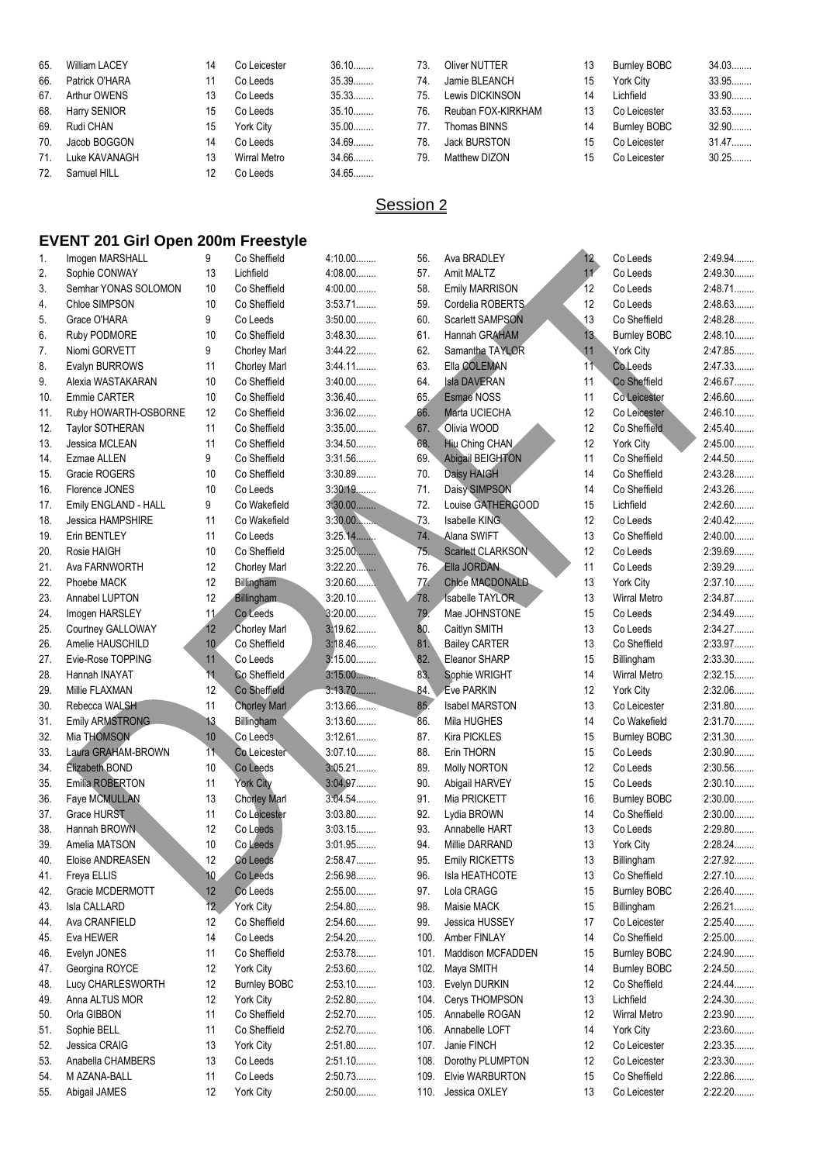| 65. | William LACEY       | 14 | Co Leicester | $36.10$ | 73. | Oliver NUTTER       | 13 | <b>Burnley BOBC</b> | 34.03   |
|-----|---------------------|----|--------------|---------|-----|---------------------|----|---------------------|---------|
| 66. | Patrick O'HARA      | 11 | Co Leeds     | 35.39   | 74. | Jamie BLEANCH       | 15 | York City           | 33.95   |
| 67. | <b>Arthur OWENS</b> | 13 | Co Leeds     | 35.33   | 75. | Lewis DICKINSON     | 14 | Lichfield           | 33.90   |
| 68. | Harry SENIOR        | 15 | Co Leeds     | $35.10$ | 76. | Reuban FOX-KIRKHAM  | 13 | Co Leicester        | 33.53   |
| 69. | Rudi CHAN           | 15 | York City    | $35.00$ | 77. | Thomas BINNS        | 14 | <b>Burnley BOBC</b> | 32.90   |
| 70. | Jacob BOGGON        | 14 | Co Leeds     | 34.69   | 78. | <b>Jack BURSTON</b> | 15 | Co Leicester        | 31.47   |
| 71. | Luke KAVANAGH       | 13 | Wirral Metro | 34.66   | 79. | Matthew DIZON       | 15 | Co Leicester        | $30.25$ |
| 72. | Samuel HILL         | 12 | Co Leeds     | 34.65   |     |                     |    |                     |         |

# Session 2

# **EVENT 201 Girl Open 200m Freestyle**

| 1.  | Imogen MARSHALL        | 9               | Co Sheffield        | 4:10.00   | 56.  | Ava BRADLEY             | 12 | Co Leeds            | 2:49.94   |
|-----|------------------------|-----------------|---------------------|-----------|------|-------------------------|----|---------------------|-----------|
| 2.  | Sophie CONWAY          | 13              | Lichfield           | $4:08.00$ | 57.  | Amit MALTZ              | 11 | Co Leeds            | 2:49.30   |
| 3.  | Semhar YONAS SOLOMON   | 10              | Co Sheffield        | $4:00.00$ | 58.  | Emily MARRISON          | 12 | Co Leeds            | 2:48.71   |
| 4.  | Chloe SIMPSON          | 10              | Co Sheffield        | 3:53.71   | 59.  | Cordelia ROBERTS        | 12 | Co Leeds            | 2:48.63   |
| 5.  | Grace O'HARA           | 9               | Co Leeds            | $3:50.00$ | 60.  | <b>Scarlett SAMPSON</b> | 13 | Co Sheffield        | 2:48.28   |
| 6.  | Ruby PODMORE           | 10              | Co Sheffield        | 3:48.30   | 61.  | Hannah GRAHAM           | 13 | <b>Burnley BOBC</b> | 2:48.10   |
| 7.  | Niomi GORVETT          | 9               | <b>Chorley Marl</b> | 3:44.22   | 62.  | Samantha TAYLOR         | 11 | York City           | 2:47.85   |
| 8.  | Evalyn BURROWS         | 11              | <b>Chorley Marl</b> | 3:44.11   | 63.  | Ella COLEMAN            | 11 | Co Leeds            | 2:47.33   |
| 9.  | Alexia WASTAKARAN      | 10              | Co Sheffield        | 3:40.00   | 64.  | <b>Isla DAVERAN</b>     | 11 | Co Sheffield        | 2:46.67   |
| 10. | Emmie CARTER           | 10              | Co Sheffield        | 3:36.40   | 65.  | Esmae NOSS              | 11 | Co Leicester        | 2:46.60   |
| 11. | Ruby HOWARTH-OSBORNE   | 12              | Co Sheffield        | 3:36.02   | 66.  | Marta UCIECHA           | 12 | Co Leicester        | 2:46.10   |
| 12. | Taylor SOTHERAN        | 11              | Co Sheffield        | $3:35.00$ | 67.  | Olivia WOOD             | 12 | Co Sheffield        | 2:45.40   |
| 13. | Jessica MCLEAN         | 11              | Co Sheffield        | 3:34.50   | 68.  | Hiu Ching CHAN          | 12 | York City           | $2:45.00$ |
| 14. | Ezmae ALLEN            | 9               | Co Sheffield        | 3:31.56   | 69.  | Abigail BEIGHTON        | 11 | Co Sheffield        | 2:44.50   |
| 15. | Gracie ROGERS          | 10              | Co Sheffield        | 3:30.89   | 70.  | Daisy HAIGH             | 14 | Co Sheffield        | 2:43.28   |
| 16. | Florence JONES         | 10              | Co Leeds            | 3:30.19   | 71.  | Daisy SIMPSON           | 14 | Co Sheffield        | 2:43.26   |
| 17. | Emily ENGLAND - HALL   | 9               | Co Wakefield        | $3:30.00$ | 72.  | Louise GATHERGOOD       | 15 | Lichfield           | 2:42.60   |
| 18. | Jessica HAMPSHIRE      | 11              | Co Wakefield        | 3:30.00   | 73.  | Isabelle KING           | 12 | Co Leeds            | 2:40.42   |
| 19. | Erin BENTLEY           | 11              | Co Leeds            | 3:25.14   | 74.  | Alana SWIFT             | 13 | Co Sheffield        | 2:40.00   |
| 20. | Rosie HAIGH            | 10              | Co Sheffield        | $3:25.00$ | 75.  | Scarlett CLARKSON       | 12 | Co Leeds            | 2:39.69   |
| 21. | Ava FARNWORTH          | 12              |                     | 3:22.20   | 76.  | Ella JORDAN             | 11 | Co Leeds            | 2:39.29   |
|     |                        |                 | Chorley Marl        |           |      |                         |    |                     |           |
| 22. | Phoebe MACK            | 12              | Billingham          | $3:20.60$ | 77.  | Chloe MACDONALD         | 13 | <b>York City</b>    | 2:37.10   |
| 23. | Annabel LUPTON         | 12              | Billingham          | $3:20.10$ | 78.  | Isabelle TAYLOR         | 13 | Wirral Metro        | 2:34.87   |
| 24. | Imogen HARSLEY         | 11              | Co Leeds            | 3:20.00   | 79.  | Mae JOHNSTONE           | 15 | Co Leeds            | 2:34.49   |
| 25. | Courtney GALLOWAY      | 12              | Chorley Marl        | 3:19.62   | 80.  | Caitlyn SMITH           | 13 | Co Leeds            | 2:34.27   |
| 26. | Amelie HAUSCHILD       | 10 <sup>1</sup> | Co Sheffield        | 3:18.46   | 81.  | <b>Bailey CARTER</b>    | 13 | Co Sheffield        | 2:33.97   |
| 27. | Evie-Rose TOPPING      | 11              | Co Leeds            | 3:15.00   | 82.  | Eleanor SHARP           | 15 | Billingham          | 2:33.30   |
| 28. | Hannah INAYAT          | 11              | Co Sheffield        | 3:15.00   | 83.  | Sophie WRIGHT           | 14 | Wirral Metro        | 2:32.15   |
| 29. | Millie FLAXMAN         | 12              | Co Sheffield        | 3:13.70   | 84.  | Eve PARKIN              | 12 | York City           | 2:32.06   |
| 30. | Rebecca WALSH          | 11              | <b>Chorley Marl</b> | 3:13.66   | 85.  | <b>Isabel MARSTON</b>   | 13 | Co Leicester        | 2:31.80   |
| 31. | <b>Emily ARMSTRONG</b> | 13              | Billingham          | 3:13.60   | 86.  | Mila HUGHES             | 14 | Co Wakefield        | 2:31.70   |
| 32. | Mia THOMSON            | 10              | Co Leeds            | 3:12.61   | 87.  | <b>Kira PICKLES</b>     | 15 | <b>Burnley BOBC</b> | 2:31.30   |
| 33. | Laura GRAHAM-BROWN     | 11              | Co Leicester        | $3:07.10$ | 88.  | Erin THORN              | 15 | Co Leeds            | 2:30.90   |
| 34. | <b>Elizabeth BOND</b>  | 10              | Co Leeds            | $3:05.21$ | 89.  | <b>Molly NORTON</b>     | 12 | Co Leeds            | 2:30.56   |
| 35. | Emilia ROBERTON        | 11              | <b>York City</b>    | 3:04.97   | 90.  | Abigail HARVEY          | 15 | Co Leeds            | 2:30.10   |
| 36. | Faye MCMULLAN          | 13              | <b>Chorley Marl</b> | 3:04.54   | 91.  | Mia PRICKETT            | 16 | <b>Burnley BOBC</b> | 2:30.00   |
| 37. | Grace HURST            | 11              | Co Leicester        | 3:03.80   | 92.  | Lydia BROWN             | 14 | Co Sheffield        | 2:30.00   |
| 38. | Hannah BROWN           | 12              | Co Leeds            | 3:03.15   | 93.  | Annabelle HART          | 13 | Co Leeds            | 2:29.80   |
| 39. | Amelia MATSON          | 10              | Co Leeds            | 3:01.95   | 94.  | Millie DARRAND          | 13 | York City           | 2:28.24   |
| 40. | Eloise ANDREASEN       | 12              | Co Leeds            | 2:58.47   | 95.  | Emily RICKETTS          | 13 | Billingham          | 2:27.92   |
| 41. | Freya ELLIS            | 10              | Co Leeds            | 2:56.98   | 96.  | Isla HEATHCOTE          | 13 | Co Sheffield        | 2:27.10   |
| 42. | Gracie MCDERMOTT       | 12              | Co <sup>Leeds</sup> | $2:55.00$ | 97.  | Lola CRAGG              | 15 | <b>Burnley BOBC</b> | 2:26.40   |
| 43. | Isla CALLARD           | 12 <sub>1</sub> | York City           | 2:54.80   | 98.  | Maisie MACK             | 15 | Billingham          | 2:26.21   |
| 44. | Ava CRANFIELD          | 12              | Co Sheffield        | 2:54.60   | 99.  | Jessica HUSSEY          | 17 | Co Leicester        | 2:25.40   |
| 45. | Eva HEWER              | 14              | Co Leeds            | 2:54.20   | 100. | Amber FINLAY            | 14 | Co Sheffield        | 2:25.00   |
| 46. | Evelyn JONES           | 11              | Co Sheffield        | 2:53.78   | 101. | Maddison MCFADDEN       | 15 | <b>Burnley BOBC</b> | 2:24.90   |
| 47. | Georgina ROYCE         | 12              | York City           | 2:53.60   | 102. | Maya SMITH              | 14 | <b>Burnley BOBC</b> | 2:24.50   |
| 48. | Lucy CHARLESWORTH      | 12              | <b>Burnley BOBC</b> | 2:53.10   | 103. | Evelyn DURKIN           | 12 | Co Sheffield        | 2:24.44   |
| 49. | Anna ALTUS MOR         | 12              | York City           | 2:52.80   | 104. | Cerys THOMPSON          | 13 | Lichfield           | 2:24.30   |
| 50. | Orla GIBBON            | 11              | Co Sheffield        | 2:52.70   | 105. | Annabelle ROGAN         | 12 | Wirral Metro        | 2:23.90   |
| 51. | Sophie BELL            | 11              | Co Sheffield        | 2:52.70   | 106. | Annabelle LOFT          | 14 | York City           | 2:23.60   |
| 52. | Jessica CRAIG          | 13              | York City           | 2:51.80   | 107. | Janie FINCH             | 12 | Co Leicester        | 2:23.35   |
|     |                        |                 |                     | 2:51.10   |      |                         | 12 | Co Leicester        | 2:23.30   |
| 53. | Anabella CHAMBERS      | 13              | Co Leeds            | 2:50.73   | 108. | Dorothy PLUMPTON        | 15 | Co Sheffield        | 2:22.86.  |
| 54. | M AZANA-BALL           | 11              | Co Leeds            |           | 109. | Elvie WARBURTON         |    |                     |           |
| 55. | Abigail JAMES          | 12              | York City           | 2:50.00   | 110. | Jessica OXLEY           | 13 | Co Leicester        | 2:22.20   |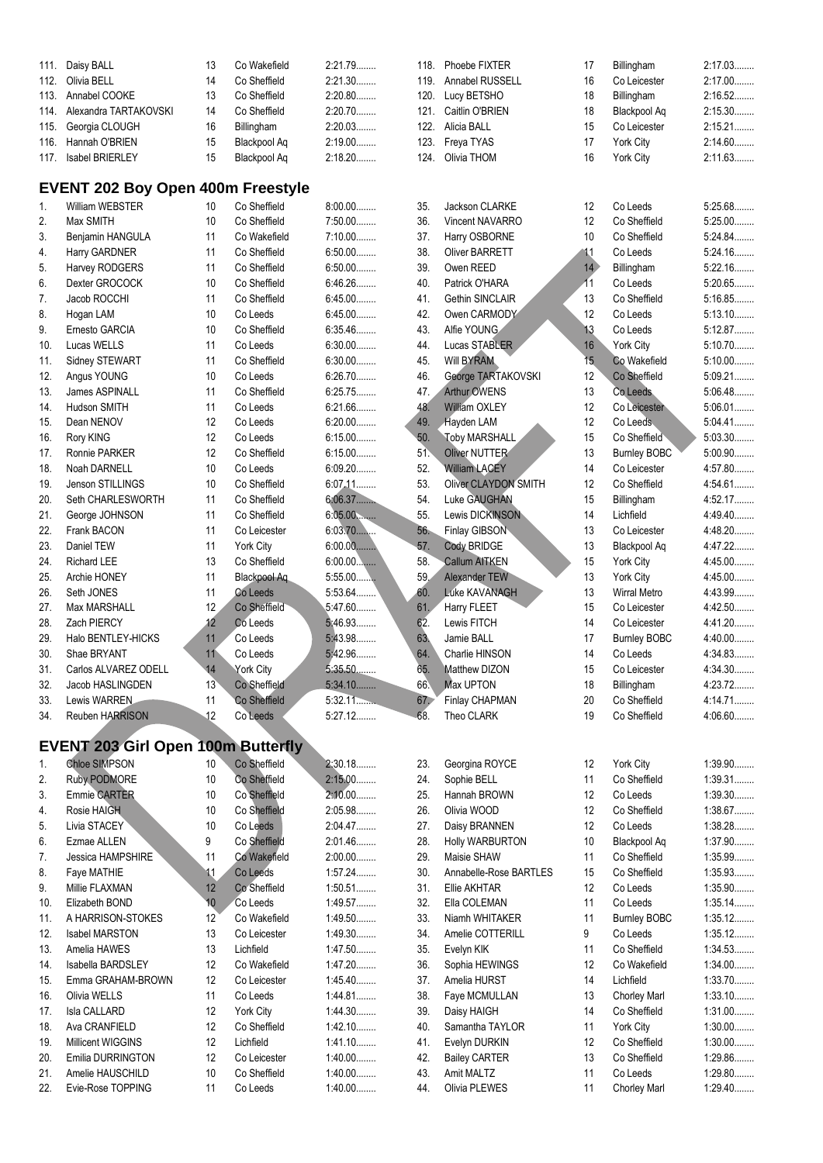| 111.           | Daisy BALL                                | 13 | Co Wakefield     | 2:21.79   | 118. | <b>Phoebe FIXTER</b>        | 17               | <b>Billingham</b>   | 2:17.03   |
|----------------|-------------------------------------------|----|------------------|-----------|------|-----------------------------|------------------|---------------------|-----------|
| 112.           | Olivia BELL                               | 14 | Co Sheffield     | 2:21.30   | 119. | Annabel RUSSELL             | 16               | Co Leicester        | 2:17.00   |
| 113.           | Annabel COOKE                             | 13 | Co Sheffield     | 2:20.80   | 120. | Lucy BETSHO                 | 18               | Billingham          | 2:16.52   |
|                |                                           |    |                  |           |      |                             |                  |                     |           |
| 114.           | Alexandra TARTAKOVSKI                     | 14 | Co Sheffield     | 2:20.70   |      | 121. Caitlin O'BRIEN        | 18               | Blackpool Aq        | 2:15.30   |
| 115.           | Georgia CLOUGH                            | 16 | Billingham       | 2:20.03   | 122. | Alicia BALL                 | 15               | Co Leicester        | 2:15.21   |
| 116.           | Hannah O'BRIEN                            | 15 | Blackpool Aq     | 2:19.00   | 123. | Freya TYAS                  | 17               | York City           | 2:14.60   |
|                | 117. Isabel BRIERLEY                      | 15 | Blackpool Aq     | 2:18.20   |      | 124. Olivia THOM            | 16               | York City           | 2:11.63   |
|                |                                           |    |                  |           |      |                             |                  |                     |           |
|                | <b>EVENT 202 Boy Open 400m Freestyle</b>  |    |                  |           |      |                             |                  |                     |           |
|                |                                           |    |                  |           |      |                             |                  |                     |           |
| $\mathbf{1}$ . | William WEBSTER                           | 10 | Co Sheffield     | $8:00.00$ | 35.  | Jackson CLARKE              | 12               | Co Leeds            | 5:25.68   |
| 2.             | Max SMITH                                 | 10 | Co Sheffield     | 7:50.00   | 36.  | Vincent NAVARRO             | 12               | Co Sheffield        | 5:25.00   |
| 3.             | Benjamin HANGULA                          | 11 | Co Wakefield     | 7:10.00   | 37.  | Harry OSBORNE               | 10 <sup>°</sup>  | Co Sheffield        | 5:24.84   |
| 4.             | Harry GARDNER                             | 11 | Co Sheffield     | $6:50.00$ | 38.  | <b>Oliver BARRETT</b>       | $\blacksquare$   | Co Leeds            | 5:24.16   |
| 5.             | Harvey RODGERS                            | 11 | Co Sheffield     | $6:50.00$ | 39.  | Owen REED                   | 14               | Billingham          | 5:22.16   |
| 6.             | Dexter GROCOCK                            | 10 | Co Sheffield     | 6:46.26   | 40.  | Patrick O'HARA              | 11               | Co Leeds            | 5:20.65   |
| 7.             | Jacob ROCCHI                              | 11 | Co Sheffield     | $6:45.00$ | 41.  | Gethin SINCLAIR             | 13               | Co Sheffield        | 5:16.85   |
|                |                                           | 10 | Co Leeds         | $6:45.00$ | 42.  | Owen CARMODY                | 12               | Co Leeds            | $5:13.10$ |
| 8.             | Hogan LAM                                 |    |                  |           |      |                             |                  |                     |           |
| 9.             | Ernesto GARCIA                            | 10 | Co Sheffield     | 6:35.46   | 43.  | Alfie YOUNG                 | 13               | Co Leeds            | 5:12.87   |
| 10.            | Lucas WELLS                               | 11 | Co Leeds         | $6:30.00$ | 44.  | Lucas STABLER               | 16               | York City           | 5:10.70   |
| 11.            | Sidney STEWART                            | 11 | Co Sheffield     | $6:30.00$ | 45.  | <b>Will BYRAM</b>           | 15 <sub>15</sub> | Co Wakefield        | $5:10.00$ |
| 12.            | Angus YOUNG                               | 10 | Co Leeds         | $6:26.70$ | 46.  | George TARTAKOVSKI          | 12               | Co Sheffield        | 5:09.21   |
| 13.            | James ASPINALL                            | 11 | Co Sheffield     | 6:25.75   | 47.  | <b>Arthur OWENS</b>         | 13               | Co Leeds            | 5:06.48   |
| 14.            | Hudson SMITH                              | 11 | Co Leeds         | 6:21.66   | 48.  | William OXLEY               | 12               | Co Leicester        | $5:06.01$ |
| 15.            | Dean NENOV                                | 12 | Co Leeds         | $6:20.00$ | 49.  | Hayden LAM                  | 12               | Co Leeds            | 5:04.41   |
|                |                                           |    |                  |           |      |                             |                  |                     |           |
| 16.            | Rory KING                                 | 12 | Co Leeds         | $6:15.00$ | 50.  | <b>Toby MARSHALL</b>        | 15               | Co Sheffield        | $5:03.30$ |
| 17.            | Ronnie PARKER                             | 12 | Co Sheffield     | $6:15.00$ | 51.  | Oliver NUTTER               | 13               | <b>Burnley BOBC</b> | 5:00.90   |
| 18.            | Noah DARNELL                              | 10 | Co Leeds         | 6:09.20   | 52.  | <b>William LACEY</b>        | 14               | Co Leicester        | 4:57.80   |
| 19.            | Jenson STILLINGS                          | 10 | Co Sheffield     | 6:07.11   | 53.  | <b>Oliver CLAYDON SMITH</b> | 12               | Co Sheffield        | 4:54.61   |
| 20.            | Seth CHARLESWORTH                         | 11 | Co Sheffield     | 6:06.37   | 54.  | Luke GAUGHAN                | 15               | Billingham          | 4:52.17   |
| 21.            | George JOHNSON                            | 11 | Co Sheffield     | $6:05.00$ | 55.  | Lewis DICKINSON             | 14               | Lichfield           | 4:49.40   |
| 22.            | Frank BACON                               | 11 | Co Leicester     | 6:03.70   | 56.  | Finlay GIBSON               | 13               | Co Leicester        | 4:48.20   |
| 23.            |                                           | 11 |                  | $6:00.00$ | 57.  |                             |                  |                     | 4:47.22   |
|                | Daniel TEW                                |    | York City        |           |      | <b>Cody BRIDGE</b>          | 13               | Blackpool Aq        |           |
| 24.            | Richard LEE                               | 13 | Co Sheffield     | $6:00.00$ | 58.  | <b>Callum AITKEN</b>        | 15               | York City           | 4:45.00   |
| 25.            | Archie HONEY                              | 11 | Blackpool Aq     | $5:55.00$ | 59,  | Alexander TEW               | 13               | York City           | 4:45.00   |
| 26.            | Seth JONES                                | 11 | Co Leeds         | $5:53.64$ | 60.  | Luke KAVANAGH               | 13               | Wirral Metro        | 4:43.99   |
| 27.            | Max MARSHALL                              | 12 | Co Sheffield     | 5:47.60   | 61.  | Harry FLEET                 | 15               | Co Leicester        | 4:42.50   |
| 28.            | Zach PIERCY                               | 12 | Co Leeds         | 5:46.93   | 62.  | Lewis FITCH                 | 14               | Co Leicester        | 4:41.20   |
| 29.            | Halo BENTLEY-HICKS                        | 11 | Co Leeds         | 5:43.98   | 63.  | Jamie BALL                  | 17               | <b>Burnley BOBC</b> | 4:40.00   |
| 30.            | Shae BRYANT                               | 11 | Co Leeds         | 5:42.96   | 64.  | Charlie HINSON              | 14               | Co Leeds            | 4:34.83   |
|                |                                           |    |                  |           |      |                             |                  |                     |           |
| 31.            | Carlos ALVAREZ ODELL                      | 14 | York City        | $5:35.50$ | 65.  | Matthew DIZON               | 15               | Co Leicester        | 4:34.30   |
| 32.            | Jacob HASLINGDEN                          | 13 | Co Sheffield     | $5:34.10$ | 66.  | Max UPTON                   | 18               | <b>Billingham</b>   | 4:23.72   |
| 33.            | Lewis WARREN                              | 11 | Co Sheffield     | 5:32.11   | 67.  | Finlay CHAPMAN              | 20               | Co Sheffield        | 4:14.71   |
| 34.            | Reuben HARRISON                           | 12 | Co Leeds         | $5:27.12$ | 68.  | Theo CLARK                  | 19               | Co Sheffield        | 4:06.60   |
|                |                                           |    |                  |           |      |                             |                  |                     |           |
|                | <b>EVENT 203 Girl Open 100m Butterfly</b> |    |                  |           |      |                             |                  |                     |           |
|                | Chloe SIMPSON                             | 10 | Co Sheffield     | 2:30.18   | 23.  | Georgina ROYCE              |                  | York City           | 1:39.90   |
| $\mathbf{1}$ . |                                           |    |                  |           |      |                             | 12               |                     |           |
| 2.             | Ruby PODMORE                              | 10 | Co Sheffield     | $2:15.00$ | 24.  | Sophie BELL                 | 11               | Co Sheffield        | 1:39.31   |
| 3.             | <b>Emmie CARTER</b>                       | 10 | Co Sheffield     | 2:10.00   | 25.  | Hannah BROWN                | 12               | Co Leeds            | 1:39.30   |
| 4.             | Rosie HAIGH                               | 10 | Co Sheffield     | 2:05.98   | 26.  | Olivia WOOD                 | 12               | Co Sheffield        | 1:38.67   |
| 5.             | Livia STACEY                              | 10 | Co Leeds         | 2:04.47   | 27.  | Daisy BRANNEN               | 12               | Co Leeds            | 1:38.28   |
| 6.             | Ezmae ALLEN                               | 9  | Co Sheffield     | 2:01.46   | 28.  | <b>Holly WARBURTON</b>      | 10               | Blackpool Aq        | 1:37.90   |
| 7.             | Jessica HAMPSHIRE                         | 11 | Co Wakefield     | $2:00.00$ | 29.  | Maisie SHAW                 | 11               | Co Sheffield        | 1:35.99   |
| 8.             | Faye MATHIE                               | 11 | Co Leeds         | 1:57.24   | 30.  | Annabelle-Rose BARTLES      | 15               | Co Sheffield        | 1:35.93   |
|                |                                           |    |                  |           |      |                             |                  |                     | 1:35.90   |
| 9.             | Millie FLAXMAN                            | 12 | Co Sheffield     | 1:50.51   | 31.  | Ellie AKHTAR                | 12               | Co Leeds            |           |
| 10.            | Elizabeth BOND                            | 10 | Co Leeds         | 1:49.57   | 32.  | Ella COLEMAN                | 11               | Co Leeds            | $1:35.14$ |
| 11.            | A HARRISON-STOKES                         | 12 | Co Wakefield     | 1:49.50   | 33.  | Niamh WHITAKER              | 11               | <b>Burnley BOBC</b> | 1:35.12   |
| 12.            | <b>Isabel MARSTON</b>                     | 13 | Co Leicester     | 1:49.30   | 34.  | Amelie COTTERILL            | 9                | Co Leeds            | $1:35.12$ |
| 13.            | Amelia HAWES                              | 13 | Lichfield        | 1:47.50   | 35.  | Evelyn KIK                  | 11               | Co Sheffield        | 1:34.53   |
| 14.            | Isabella BARDSLEY                         | 12 | Co Wakefield     | 1:47.20   | 36.  | Sophia HEWINGS              | 12               | Co Wakefield        | $1:34.00$ |
| 15.            | Emma GRAHAM-BROWN                         | 12 | Co Leicester     | 1:45.40   | 37.  | Amelia HURST                | 14               | Lichfield           | 1:33.70   |
|                | Olivia WELLS                              | 11 | Co Leeds         | 1:44.81   | 38.  |                             | 13               |                     | 1:33.10   |
| 16.            |                                           |    |                  |           |      | Faye MCMULLAN               |                  | Chorley Marl        |           |
| 17.            | Isla CALLARD                              | 12 | <b>York City</b> | 1:44.30   | 39.  | Daisy HAIGH                 | 14               | Co Sheffield        | $1:31.00$ |
| 18.            | Ava CRANFIELD                             | 12 | Co Sheffield     | 1:42.10   | 40.  | Samantha TAYLOR             | 11               | York City           | $1:30.00$ |
| 19.            | Millicent WIGGINS                         | 12 | Lichfield        | 1.41.10   | 41.  | Evelyn DURKIN               | 12               | Co Sheffield        | $1:30.00$ |
| 20.            | Emilia DURRINGTON                         | 12 | Co Leicester     | $1:40.00$ | 42.  | <b>Bailey CARTER</b>        | 13               | Co Sheffield        | 1:29.86   |
| 21.            | Amelie HAUSCHILD                          | 10 | Co Sheffield     | $1:40.00$ | 43.  | Amit MALTZ                  | 11               | Co Leeds            | 1:29.80   |
| 22.            | Evie-Rose TOPPING                         | 11 | Co Leeds         | $1:40.00$ | 44.  | Olivia PLEWES               | 11               | Chorley Marl        | 1:29.40   |
|                |                                           |    |                  |           |      |                             |                  |                     |           |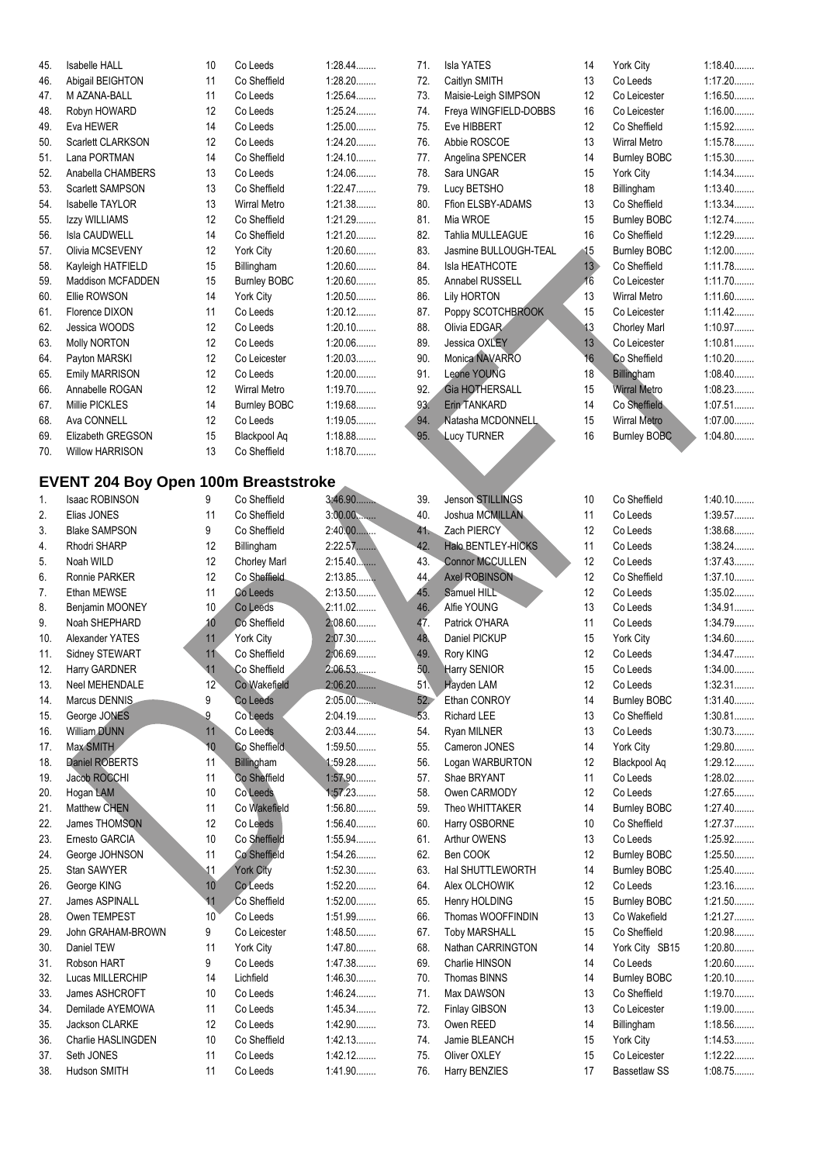| 45. | <b>Isabelle HALL</b>     | 10 | Co Leeds            | $1:28.44$ |
|-----|--------------------------|----|---------------------|-----------|
| 46. | Abigail BEIGHTON         | 11 | Co Sheffield        | 1:28.20   |
| 47. | M AZANA-BALL             | 11 | Co Leeds            | 1:25.64   |
| 48. | Robyn HOWARD             | 12 | Co Leeds            | 1:25.24   |
| 49. | Eva HEWER                | 14 | Co Leeds            | $1:25.00$ |
| 50. | Scarlett CLARKSON        | 12 | Co Leeds            | 1:24.20   |
| 51. | Lana PORTMAN             | 14 | Co Sheffield        | 1:24.10   |
| 52. | Anabella CHAMBERS        | 13 | Co Leeds            | 1:24.06   |
| 53. | Scarlett SAMPSON         | 13 | Co Sheffield        | 1:22.47   |
| 54. | Isabelle TAYLOR          | 13 | <b>Wirral Metro</b> | 1:21.38   |
| 55. | Izzy WILLIAMS            | 12 | Co Sheffield        | 1:21.29   |
| 56. | Isla CAUDWELL            | 14 | Co Sheffield        | 1:21.20   |
| 57. | Olivia MCSEVENY          | 12 | York City           | $1:20.60$ |
| 58. | Kayleigh HATFIELD        | 15 | Billingham          | $1:20.60$ |
| 59. | <b>Maddison MCFADDEN</b> | 15 | <b>Burnley BOBC</b> | $1:20.60$ |
| 60. | Ellie ROWSON             | 14 | York City           | 1:20.50   |
| 61. | Florence DIXON           | 11 | Co Leeds            | $1:20.12$ |
| 62. | Jessica WOODS            | 12 | Co Leeds            | 1:20.10   |
| 63. | <b>Molly NORTON</b>      | 12 | Co Leeds            | 1:20.06   |
| 64. | Payton MARSKI            | 12 | Co Leicester        | 1:20.03   |
| 65. | Emily MARRISON           | 12 | Co Leeds            | $1:20.00$ |
| 66. | Annabelle ROGAN          | 12 | Wirral Metro        | 1:19.70   |
| 67. | Millie PICKLES           | 14 | <b>Burnley BOBC</b> | 1:19.68   |
| 68. | Ava CONNELL              | 12 | Co Leeds            | 1:19.05   |
| 69. | Elizabeth GREGSON        | 15 | Blackpool Aq        | 1:18.88   |
| 70. | <b>Willow HARRISON</b>   | 13 | Co Sheffield        | 1:18.70   |
|     |                          |    |                     |           |

# **EVENT 204 Boy Open 100m Breaststroke**

| 1.  | <b>Isaac ROBINSON</b> | 9               | Co Sheffield     | 3:46.90.    |
|-----|-----------------------|-----------------|------------------|-------------|
| 2.  | Elias JONES           | 11              | Co Sheffield     | $3:00.00$   |
| 3.  | <b>Blake SAMPSON</b>  | 9               | Co Sheffield     | $2:40.00$   |
| 4.  | Rhodri SHARP          | 12              | Billingham       | 2:22.57     |
| 5.  | Noah WILD             | 12              | Chorley Marl     | 2:15.40.    |
| 6.  | Ronnie PARKER         | 12              | Co Sheffield     | $2:13.85$ . |
| 7.  | Ethan MEWSE           | 11              | Co Leeds         | 2:13.50     |
| 8.  | Benjamin MOONEY       | 10              | Co Leeds         | $2:11.02$   |
| 9.  | Noah SHEPHARD         | 10              | Co Sheffield     | 2:08.60     |
| 10. | Alexander YATES       | 11              | York City        | 2:07.30     |
| 11. | Sidney STEWART        | 11              | Co Sheffield     | 2:06.69     |
| 12. | Harry GARDNER         | 11              | Co Sheffield     | 2:06.53     |
| 13. | Neel MEHENDALE        | 12              | Co Wakefield     | 2:06.20     |
| 14. | Marcus DENNIS.        | 9               | Co Leeds         | $2:05.00$   |
| 15. | George JONES          | 9               | Co Leeds         | 2:04.19     |
| 16. | William DUNN          | 11              | Co Leeds         | 2:03.44     |
| 17. | Max SMITH             | 10 <sup>1</sup> | Co Sheffield     | 1:59.50     |
| 18. | <b>Daniel ROBERTS</b> | 11              | Billingham       | 1:59.28     |
| 19. | <b>Jacob ROCCHI</b>   | 11              | Co Sheffield     | 1:57.90     |
| 20. | Hogan LAM             | 10              | Co Leeds         | 1:57.23     |
| 21. | <b>Matthew CHEN</b>   | 11              | Co Wakefield     | 1:56.80     |
| 22. | <b>James THOMSON</b>  | 12              | Co Leeds         | 1:56.40     |
| 23. | Ernesto GARCIA        | 10              | Co Sheffield     | 1:55.94     |
| 24. | George JOHNSON        | 11              | Co Sheffield     | 1:54.26     |
| 25. | Stan SAWYER           | 11              | <b>York City</b> | 1:52.30     |
| 26. | George KING           | 10              | Co Leeds         | 1:52.20     |
| 27. | <b>James ASPINALL</b> | 11              | Co Sheffield     | $1:52.00$   |
| 28. | Owen TEMPEST          | 10 <sup>1</sup> | Co Leeds         | 1:51.99     |
| 29. | John GRAHAM-BROWN     | 9               | Co Leicester     | 1:48.50     |
| 30. | Daniel TEW            | 11              | York City        | 1:47.80     |
| 31. | Robson HART           | 9               | Co Leeds         | 1:47.38     |
| 32. | Lucas MILLERCHIP      | 14              | Lichfield        | 1:46.30     |
| 33. | James ASHCROFT        | 10              | Co Leeds         | 1:46.24     |
| 34. | Demilade AYEMOWA      | 11              | Co Leeds         | 1:45.34     |
| 35. | Jackson CLARKE        | 12              | Co Leeds         | 1:42.90     |
| 36. | Charlie HASLINGDEN    | 10              | Co Sheffield     | 1:42.13     |
| 37. | Seth JONES            | 11              | Co Leeds         | 1:42.12     |
| 38. | Hudson SMITH          | 11              | Co Leeds         | 1:41.90     |

| 71. | <b>Isla YATES</b>     | 14     | York City           | 1:18.40   |
|-----|-----------------------|--------|---------------------|-----------|
| 72. | Caitlyn SMITH         | 13     | Co Leeds            | 1:17.20   |
| 73. | Maisie-Leigh SIMPSON  | 12     | Co Leicester        | 1:16.50   |
| 74. | Freya WINGFIELD-DOBBS | 16     | Co Leicester        | $1:16.00$ |
| 75. | Eve HIBBERT           | 12     | Co Sheffield        | 1:15.92   |
| 76. | Abbie ROSCOE          | 13     | <b>Wirral Metro</b> | 1:15.78   |
| 77. | Angelina SPENCER      | 14     | <b>Burnley BOBC</b> | 1:15.30   |
| 78. | Sara UNGAR            | 15     | York City           | 1:14.34   |
| 79. | Lucy BETSHO           | 18     | Billingham          | 1:13.40   |
| 80. | Ffion ELSBY-ADAMS     | 13     | Co Sheffield        | 1:13.34   |
| 81. | Mia WROE              | 15     | <b>Burnley BOBC</b> | 1:12.74   |
| 82. | Tahlia MULLEAGUE      | 16     | Co Sheffield        | 1:12.29   |
| 83. | Jasmine BULLOUGH-TEAL | 15     | <b>Burnley BOBC</b> | $1:12.00$ |
| 84. | Isla HEATHCOTE        | $13 -$ | Co Sheffield        | 1:11.78   |
| 85. | Annabel RUSSELL       | 16     | Co Leicester        | 1:11.70   |
| 86. | Lily HORTON           | 13     | <b>Wirral Metro</b> | 1:11.60   |
| 87. | Poppy SCOTCHBROOK     | 15     | Co Leicester        | 1:11.42   |
| 88. | Olivia EDGAR          | 13     | Chorley Marl        | 1:10.97   |
| 89. | Jessica OXLEY         | 13     | Co Leicester        | 1:10.81   |
| 90. | Monica NAVARRO        | 16     | Co Sheffield        | $1:10.20$ |
| 91. | Leone YOUNG           | 18     | Billingham          | 1:08.40   |
| 92. | <b>Gia HOTHERSALL</b> | 15     | <b>Wirral Metro</b> | 1:08.23   |
| 93. | <b>Erin TANKARD</b>   | 14     | Co Sheffield        | 1:07.51   |
| 94. | Natasha MCDONNELL     | 15     | <b>Wirral Metro</b> | $1:07.00$ |
| 95. | <b>Lucy TURNER</b>    | 16     | <b>Burnley BOBC</b> | 1:04.80   |
|     |                       |        |                     |           |

| 39.    | <b>Jenson STILLINGS</b> | 10 | Co Sheffield        | 1:40.10   |
|--------|-------------------------|----|---------------------|-----------|
| 40.    | Joshua MCMILLAN         | 11 | Co Leeds            | 1:39.57   |
| $41 -$ | Zach PIERCY             | 12 | Co Leeds            | 1:38.68   |
| 42.    | Halo BENTLEY-HICKS      | 11 | Co Leeds            | 1:38.24   |
| 43.    | <b>Connor MCCULLEN</b>  | 12 | Co Leeds            | 1:37.43   |
| 44.    | <b>Axel ROBINSON</b>    | 12 | Co Sheffield        | 1:37.10   |
| 45.    | Samuel HILL             | 12 | Co Leeds            | $1:35.02$ |
| 46.    | Alfie YOUNG             | 13 | Co Leeds            | 1:34.91   |
| 47.    | Patrick O'HARA          | 11 | Co Leeds            | 1:34.79   |
| 48.    | Daniel PICKUP           | 15 | York City           | 1:34.60   |
| 49.    | Rory KING               | 12 | Co Leeds            | 1:34.47   |
| 50.    | <b>Harry SENIOR</b>     | 15 | Co Leeds            | $1:34.00$ |
| 51     | <b>Hayden LAM</b>       | 12 | Co Leeds            | 1:32.31   |
| 52.    | Ethan CONROY            | 14 | <b>Burnley BOBC</b> | 1:31.40   |
| 53.    | <b>Richard LEE</b>      | 13 | Co Sheffield        | 1:30.81   |
| 54.    | Ryan MILNER             | 13 | Co Leeds            | 1:30.73   |
| 55.    | Cameron JONES           | 14 | York City           | 1:29.80   |
| 56.    | Logan WARBURTON         | 12 | Blackpool Aq        | 1:29.12   |
| 57.    | Shae BRYANT             | 11 | Co Leeds            | 1:28.02   |
| 58.    | Owen CARMODY            | 12 | Co Leeds            | 1:27.65   |
| 59.    | Theo WHITTAKER          | 14 | <b>Burnley BOBC</b> | 1:27.40   |
| 60.    | Harry OSBORNE           | 10 | Co Sheffield        | 1:27.37   |
| 61.    | Arthur OWENS            | 13 | Co Leeds            | 1:25.92   |
| 62.    | Ben COOK                | 12 | <b>Burnley BOBC</b> | 1:25.50   |
| 63.    | Hal SHUTTLEWORTH        | 14 | <b>Burnley BOBC</b> | 1:25.40   |
| 64.    | Alex OLCHOWIK           | 12 | Co Leeds            | 1:23.16   |
| 65.    | Henry HOLDING           | 15 | <b>Burnley BOBC</b> | 1:21.50   |
| 66.    | Thomas WOOFFINDIN       | 13 | Co Wakefield        | 1:21.27   |
| 67.    | <b>Toby MARSHALL</b>    | 15 | Co Sheffield        | 1:20.98   |
| 68.    | Nathan CARRINGTON       | 14 | York City SB15      | 1:20.80   |
| 69.    | Charlie HINSON          | 14 | Co Leeds            | $1:20.60$ |
| 70.    | Thomas BINNS            | 14 | <b>Burnley BOBC</b> | $1:20.10$ |
| 71.    | Max DAWSON              | 13 | Co Sheffield        | 1:19.70   |
| 72.    | <b>Finlay GIBSON</b>    | 13 | Co Leicester        | 1:19.00   |
| 73.    | Owen REED               | 14 | Billingham          | 1:18.56   |
| 74.    | Jamie BLEANCH           | 15 | York City           | 1:14.53   |
| 75.    | Oliver OXLEY            | 15 | Co Leicester        | 1:12.22   |
| 76.    | Harry BENZIES           | 17 | <b>Bassetlaw SS</b> | 1:08.75   |
|        |                         |    |                     |           |

| Sheffield   | 1:40.10        |
|-------------|----------------|
| Leeds       | 1:39.57        |
| Leeds       | 1:38.68        |
| Leeds       | 1:38.24        |
| Leeds       | 1:37.43        |
| Sheffield   | 1:37.10        |
| Leeds       | 1:35.02        |
| Leeds       | 1:34.91        |
| Leeds       | 1:34.79        |
| k City      | 1:34.60        |
| Leeds       | 1:34.47        |
| Leeds       | 1:34.00        |
| Leeds       | 1:32.31        |
| nley BOBC   | 1:31.40        |
| Sheffield   | 1:30.81        |
| Leeds       | 1:30.73        |
| k City      | 1:29.80        |
| ckpool Aq   | $1:29.12\dots$ |
| Leeds       | 1:28.02        |
| Leeds       | 1:27.65        |
| nley BOBC   | 1:27.40        |
| Sheffield   | 1:27.37        |
| Leeds       | 1:25.92        |
| nley BOBC   | 1:25.50        |
| nley BOBC   | 1:25.40        |
| Leeds       | 1:23.16        |
| nley BOBC   | 1:21.50        |
| Wakefield   | 1:21.27        |
| Sheffield   | 1:20.98        |
| k City SB15 | 1:20.80        |
| Leeds       | $1:20.60$      |
| nley BOBC   | 1:20.10        |
| Sheffield   | 1:19.70        |
| Leicester   | $1:19.00$      |
| ngham       | 1:18.56        |
| k City      | 1:14.53        |
| Leicester   | 1:12.22        |
| cotlow CC   | 1.0075         |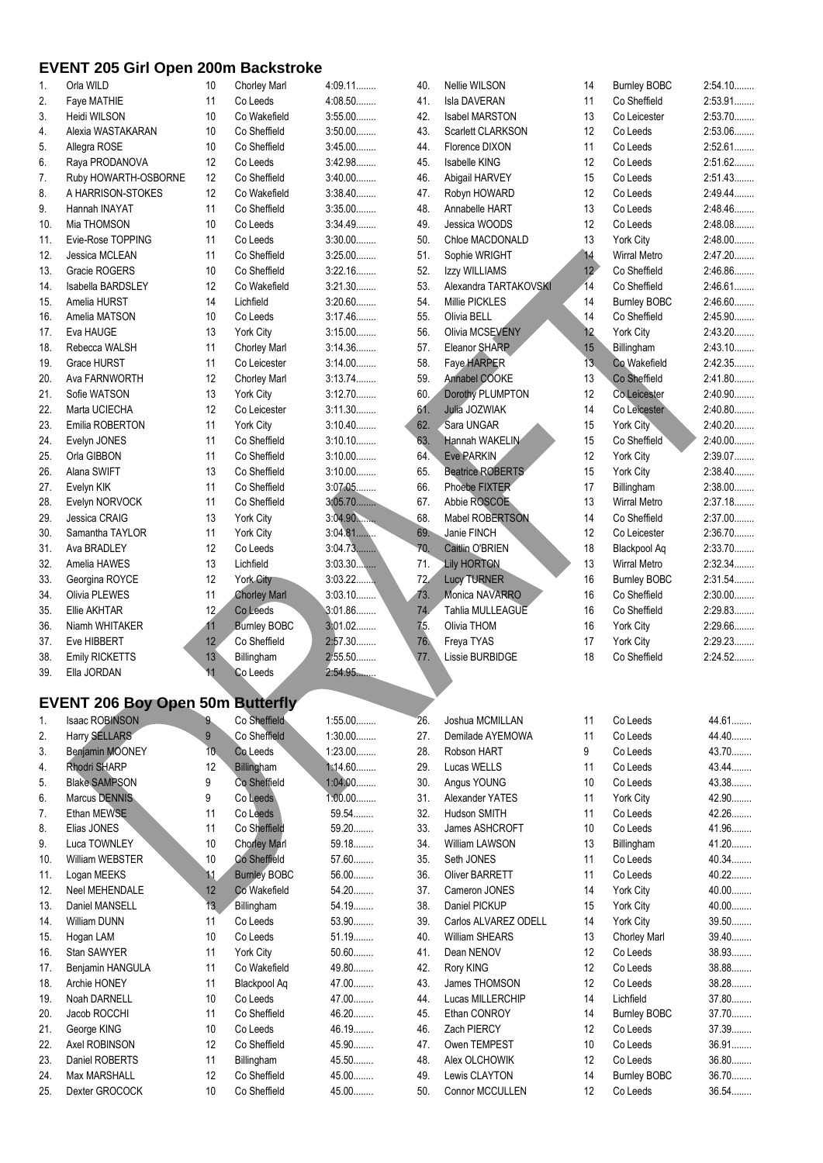### **EVENT 205 Girl Open 200m Backstroke**

|     | LVLIVI ZUJ GIII OPEII ZUUIII DACKSLIUKE |                 |                              |                |     |                         |                 |                     |           |
|-----|-----------------------------------------|-----------------|------------------------------|----------------|-----|-------------------------|-----------------|---------------------|-----------|
| 1.  | Orla WILD                               | 10              | Chorley Marl                 | 4:09.11        | 40. | Nellie WILSON           | 14              | <b>Burnley BOBC</b> | 2:54.10   |
| 2.  | Faye MATHIE                             | 11              | Co Leeds                     | 4:08.50        | 41. | Isla DAVERAN            | 11              | Co Sheffield        | 2:53.91   |
| 3.  | Heidi WILSON                            | 10              | Co Wakefield                 | $3:55.00$      | 42. | <b>Isabel MARSTON</b>   | 13              | Co Leicester        | 2:53.70   |
| 4.  | Alexia WASTAKARAN                       | 10              | Co Sheffield                 | $3:50.00$      | 43. | Scarlett CLARKSON       | 12 <sup>2</sup> | Co Leeds            | 2:53.06   |
| 5.  | Allegra ROSE                            | 10              | Co Sheffield                 | $3:45.00$      | 44. | Florence DIXON          | 11              | Co Leeds            | 2:52.61   |
| 6.  | Raya PRODANOVA                          | 12              | Co Leeds                     | 3.42.98        | 45. | Isabelle KING           | 12              | Co Leeds            | 2:51.62   |
| 7.  | Ruby HOWARTH-OSBORNE                    | 12              | Co Sheffield                 | $3:40.00$      | 46. | Abigail HARVEY          | 15              | Co Leeds            | 2:51.43   |
| 8.  | A HARRISON-STOKES                       | 12              | Co Wakefield                 | $3:38.40$      | 47. | Robyn HOWARD            | 12              | Co Leeds            | 2:49.44   |
| 9.  | Hannah INAYAT                           | 11              | Co Sheffield                 | $3:35.00$      | 48. | Annabelle HART          | 13              | Co Leeds            | 2:48.46   |
| 10. | Mia THOMSON                             | 10              | Co Leeds                     | 3:34.49        | 49. | Jessica WOODS           | 12              | Co Leeds            | 2:48.08   |
| 11. | Evie-Rose TOPPING                       | 11              | Co Leeds                     | $3:30.00$      | 50. | Chloe MACDONALD         | 13              | York City           | 2:48.00   |
| 12. | Jessica MCLEAN                          | 11              | Co Sheffield                 | $3:25.00$      | 51. | Sophie WRIGHT           | 14              | Wirral Metro        | 2:47.20   |
| 13. | Gracie ROGERS                           | 10              | Co Sheffield                 | $3:22.16$      | 52. | Izzy WILLIAMS           | 12 <sup>2</sup> | Co Sheffield        | 2:46.86   |
| 14. | Isabella BARDSLEY                       | 12              | Co Wakefield                 | 3:21.30        | 53. | Alexandra TARTAKOVSKI   | 14              | Co Sheffield        | 2:46.61   |
| 15. | Amelia HURST                            | 14              | Lichfield                    | $3:20.60$      | 54. | Millie PICKLES          | 14              | <b>Burnley BOBC</b> | 2:46.60   |
| 16. | Amelia MATSON                           | 10              | Co Leeds                     | 3:17.46        | 55. | Olivia BELL             | 14              | Co Sheffield        | 2:45.90   |
| 17. | Eva HAUGE                               | 13              | York City                    | $3:15.00$      | 56. | Olivia MCSEVENY         | 12              | York City           | 2:43.20   |
| 18. | Rebecca WALSH                           | 11              |                              | 3:14.36        | 57. |                         |                 |                     | 2:43.10   |
|     |                                         |                 | Chorley Marl<br>Co Leicester |                |     | Eleanor SHARP           | 15 <sup>2</sup> | Billingham          | 2:42.35   |
| 19. | Grace HURST                             | 11              |                              | $3:14.00$      | 58. | <b>Faye HARPER</b>      | 13 <sub>1</sub> | Co Wakefield        |           |
| 20. | Ava FARNWORTH                           | 12              | Chorley Marl                 | 3:13.74        | 59. | Annabel COOKE           | 13              | Co Sheffield        | 2:41.80   |
| 21. | Sofie WATSON                            | 13              | <b>York City</b>             | 3:12.70        | 60. | Dorothy PLUMPTON        | 12              | Co Leicester        | 2:40.90   |
| 22. | Marta UCIECHA                           | 12              | Co Leicester                 | 3:11.30        | 61. | Julia JOZWIAK           | 14              | Co Leicester        | 2:40.80   |
| 23. | Emilia ROBERTON                         | 11              | York City                    | $3:10.40$      | 62. | Sara UNGAR              | 15              | York City           | 2:40.20   |
| 24. | Evelyn JONES                            | 11              | Co Sheffield                 | $3:10.10$      | 63. | Hannah WAKELIN          | 15              | Co Sheffield        | $2:40.00$ |
| 25. | Orla GIBBON                             | 11              | Co Sheffield                 | $3:10.00$      | 64. | <b>Eve PARKIN</b>       | 12              | York City           | 2:39.07   |
| 26. | Alana SWIFT                             | 13              | Co Sheffield                 | $3:10.00$      | 65. | <b>Beatrice ROBERTS</b> | 15              | York City           | 2:38.40   |
| 27. | Evelyn KIK                              | 11              | Co Sheffield                 | $3:07.05$      | 66. | Phoebe FIXTER           | 17              | Billingham          | $2:38.00$ |
| 28. | Evelyn NORVOCK                          | 11              | Co Sheffield                 | $3:05.70$      | 67. | Abbie ROSCOE            | 13              | Wirral Metro        | 2:37.18   |
| 29. | Jessica CRAIG                           | 13              | York City                    | 3:04.90        | 68. | Mabel ROBERTSON         | 14              | Co Sheffield        | 2:37.00   |
| 30. | Samantha TAYLOR                         | 11              | York City                    | $3:04.81$      | 69. | Janie FINCH             | 12              | Co Leicester        | 2:36.70   |
| 31. | Ava BRADLEY                             | 12              | Co Leeds                     | $3:04.73$      | 70. | Caitlin O'BRIEN         | 18              | Blackpool Aq        | 2:33.70   |
| 32. | Amelia HAWES                            | 13              | Lichfield                    | 3:03.30        | 71. | <b>Lily HORTON</b>      | 13              | Wirral Metro        | 2:32.34   |
| 33. | Georgina ROYCE                          | 12              | York City                    | $3:03.22\dots$ | 72. | <b>Lucy TURNER</b>      | 16              | <b>Burnley BOBC</b> | 2:31.54   |
| 34. | Olivia PLEWES                           | 11              | <b>Chorley Marl</b>          | $3:03.10$      | 73. | Monica NAVARRO          | 16              | Co Sheffield        | 2:30.00   |
| 35. | Ellie AKHTAR                            | 12              | Co Leeds                     | 3:01.86        | 74. | Tahlia MULLEAGUE        | 16              | Co Sheffield        | 2:29.83   |
| 36. | Niamh WHITAKER                          | 11              | <b>Bumley BOBC</b>           | $3:01.02$      | 75. | Olivia THOM             | 16              | York City           | 2:29.66   |
| 37. | Eve HIBBERT                             | 12              | Co Sheffield                 | 2:57.30        | 76. | Freya TYAS              | 17              | York City           | 2:29.23   |
| 38. | <b>Emily RICKETTS</b>                   | 13              | Billingham                   | 2:55.50        | 77. | Lissie BURBIDGE         | 18              | Co Sheffield        | 2:24.52   |
| 39. | Ella JORDAN                             | 11              | Co Leeds                     | 2:54.95        |     |                         |                 |                     |           |
|     |                                         |                 |                              |                |     |                         |                 |                     |           |
|     | <b>EVENT 206 Boy Open 50m Butterfly</b> |                 |                              |                |     |                         |                 |                     |           |
|     | <b>Isaac ROBINSON</b>                   |                 | Co Sheffield                 |                |     |                         |                 |                     |           |
| 1.  |                                         | 9.              |                              | $1:55.00$      | 26. | Joshua MCMILLAN         | 11              | Co Leeds            | 44.61.    |
| 2.  | Harry SELLARS                           | 9               | Co Sheffield                 | $1:30.00$      | 27. | Demilade AYEMOWA        | 11              | Co Leeds            | 44.40     |
| 3.  | Benjamin MOONEY                         | 10              | Co Leeds                     | $1:23.00$      | 28. | Robson HART             | 9               | Co Leeds            | 43.70     |
| 4.  | <b>Rhodri SHARP</b>                     | 12              | Billingham                   | 1:14.60        | 29. | Lucas WELLS             | 11              | Co Leeds            | 43.44     |
| 5.  | <b>Blake SAMPSON</b>                    | 9               | Co Sheffield                 | $1:04.00$      | 30. | Angus YOUNG             | 10              | Co Leeds            | 43.38     |
| 6.  | Marcus DENNIS                           | 9               | Co Leeds                     | $1:00.00$      | 31. | Alexander YATES         | 11              | York City           | 42.90     |
| 7.  | Ethan MEWSE                             | 11              | Co Leeds                     | 59.54          | 32. | Hudson SMITH            | 11              | Co Leeds            | 42.26     |
| 8.  | Elias JONES                             | 11              | Co Sheffield                 | 59.20          | 33. | James ASHCROFT          | 10              | Co Leeds            | 41.96     |
| 9.  | Luca TOWNLEY                            | 10              | <b>Chorley Marl</b>          | 59.18          | 34. | <b>William LAWSON</b>   | 13              | Billingham          | 41.20     |
| 10. | William WEBSTER                         | 10              | Co Sheffield                 | 57.60          | 35. | Seth JONES              | 11              | Co Leeds            | 40.34     |
| 11. | Logan MEEKS                             | 11              | <b>Burnley BOBC</b>          | 56.00          | 36. | Oliver BARRETT          | 11              | Co Leeds            | $40.22$   |
| 12. | Neel MEHENDALE                          | 12              | Co Wakefield                 | 54.20          | 37. | Cameron JONES           | 14              | York City           | $40.00$   |
| 13. | Daniel MANSELL                          | 13 <sup>°</sup> | Billingham                   | 54.19          | 38. | Daniel PICKUP           | 15              | York City           | 40.00     |
| 14. | <b>William DUNN</b>                     | 11              | Co Leeds                     | 53.90          | 39. | Carlos ALVAREZ ODELL    | 14              | York City           | 39.50     |
| 15. | Hogan LAM                               | 10              | Co Leeds                     | 51.19          | 40. | <b>William SHEARS</b>   | 13              | Chorley Marl        | 39.40     |
| 16. | Stan SAWYER                             | 11              | York City                    | 50.60          | 41. | Dean NENOV              | 12              | Co Leeds            | 38.93     |
| 17. | Benjamin HANGULA                        | 11              | Co Wakefield                 | 49.80          | 42. | Rory KING               | 12              | Co Leeds            | 38.88     |
| 18. | Archie HONEY                            | 11              | Blackpool Aq                 | 47.00          | 43. | James THOMSON           | 12              | Co Leeds            | 38.28     |
| 19. | Noah DARNELL                            | 10              | Co Leeds                     | 47.00          | 44. | Lucas MILLERCHIP        | 14              | Lichfield           | 37.80     |
| 20. | Jacob ROCCHI                            | 11              | Co Sheffield                 | 46.20          | 45. | Ethan CONROY            | 14              | <b>Burnley BOBC</b> | 37.70     |
| 21. | George KING                             | 10              | Co Leeds                     | 46.19.         | 46. | Zach PIERCY             | 12              | Co Leeds            | 37.39     |
| 22. | Axel ROBINSON                           | 12              | Co Sheffield                 | 45.90          | 47. | Owen TEMPEST            | 10              | Co Leeds            | 36.91     |
|     |                                         |                 |                              |                |     |                         |                 |                     | 36.80     |
| 23. | Daniel ROBERTS                          | 11              | Billingham                   | 45.50          | 48. | Alex OLCHOWIK           | 12              | Co Leeds            |           |
| 24. | Max MARSHALL                            | 12              | Co Sheffield                 | 45.00          | 49. | Lewis CLAYTON           | 14              | <b>Burnley BOBC</b> | 36.70     |
| 25. | Dexter GROCOCK                          | 10              | Co Sheffield                 | 45.00          | 50. | Connor MCCULLEN         | 12              | Co Leeds            | 36.54     |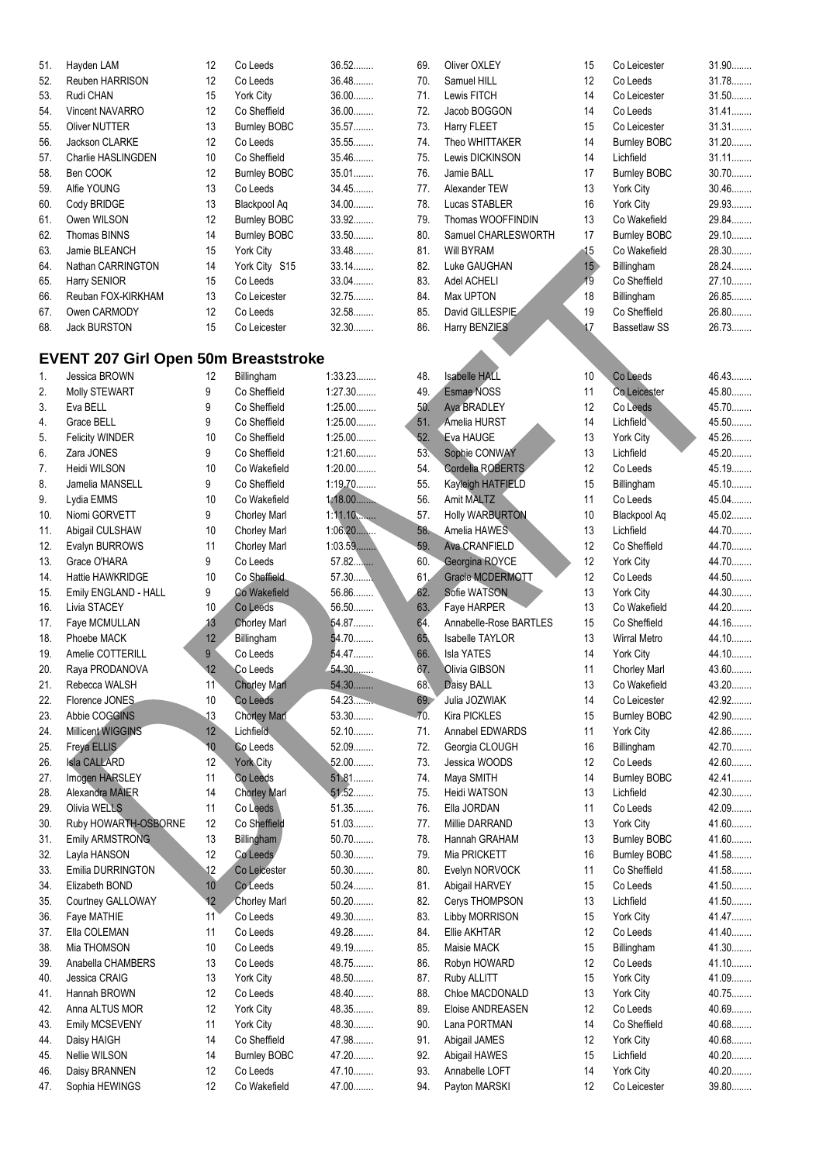| 51. | Hayden LAM                                  | 12             | Co Leeds            | $36.52$   | 69.    | Oliver OXLEY           | 15 | Co Leicester        | $31.90$ |
|-----|---------------------------------------------|----------------|---------------------|-----------|--------|------------------------|----|---------------------|---------|
| 52. | Reuben HARRISON                             | 12             | Co Leeds            | 36.48     | 70.    | Samuel HILL            | 12 | Co Leeds            | 31.78   |
| 53. | Rudi CHAN                                   | 15             | York City           | $36.00$   | 71.    | Lewis FITCH            | 14 | Co Leicester        | $31.50$ |
| 54. | Vincent NAVARRO                             | 12             | Co Sheffield        | 36.00     | 72.    | Jacob BOGGON           | 14 | Co Leeds            | $31.41$ |
| 55. | <b>Oliver NUTTER</b>                        | 13             | <b>Burnley BOBC</b> | 35.57     | 73.    | Harry FLEET            | 15 | Co Leicester        | 31.31   |
| 56. | Jackson CLARKE                              | 12             | Co Leeds            | 35.55     | 74.    | Theo WHITTAKER         | 14 | <b>Burnley BOBC</b> | $31.20$ |
| 57. | Charlie HASLINGDEN                          | 10             | Co Sheffield        | 35.46     | 75.    | Lewis DICKINSON        | 14 | Lichfield           | $31.11$ |
| 58. | Ben COOK                                    | 12             | <b>Burnley BOBC</b> | 35.01     | 76.    | Jamie BALL             | 17 | <b>Burnley BOBC</b> | $30.70$ |
| 59. | Alfie YOUNG                                 | 13             | Co Leeds            | 34.45     | 77.    | Alexander TEW          | 13 | York City           | $30.46$ |
| 60. | Cody BRIDGE                                 | 13             | Blackpool Aq        | 34.00     | 78.    | Lucas STABLER          | 16 | York City           | 29.93   |
| 61. | Owen WILSON                                 | 12             | <b>Burnley BOBC</b> | 33.92     | 79.    | Thomas WOOFFINDIN      | 13 | Co Wakefield        | 29.84   |
| 62. | Thomas BINNS                                | 14             | <b>Burnley BOBC</b> | $33.50$   | 80.    | Samuel CHARLESWORTH    | 17 | <b>Burnley BOBC</b> | 29.10   |
| 63. | Jamie BLEANCH                               | 15             | York City           | 33.48     | 81.    | <b>Will BYRAM</b>      | 15 | Co Wakefield        | 28.30   |
| 64. | Nathan CARRINGTON                           | 14             | York City S15       | $33.14$   | 82.    | Luke GAUGHAN           | 15 | Billingham          | 28.24   |
| 65. | Harry SENIOR                                | 15             | Co Leeds            | 33.04     | 83.    | Adel ACHELI            | 19 | Co Sheffield        | 27.10   |
| 66. | Reuban FOX-KIRKHAM                          | 13             | Co Leicester        | 32.75     | 84.    | Max UPTON              | 18 | Billingham          | 26.85   |
|     |                                             |                | Co Leeds            |           |        |                        |    |                     | 26.80   |
| 67. | Owen CARMODY                                | 12             |                     | 32.58     | 85.    | David GILLESPIE        | 19 | Co Sheffield        |         |
| 68. | <b>Jack BURSTON</b>                         | 15             | Co Leicester        | 32.30     | 86.    | Harry BENZIES          | 17 | <b>Bassetlaw SS</b> | 26.73   |
|     | <b>EVENT 207 Girl Open 50m Breaststroke</b> |                |                     |           |        |                        |    |                     |         |
| 1.  | Jessica BROWN                               | 12             | Billingham          | 1:33.23   | 48.    | <b>Isabelle HALL</b>   | 10 | Co Leeds            | 46.43   |
|     |                                             |                |                     |           |        |                        |    |                     | 45.80   |
| 2.  | Molly STEWART                               | 9              | Co Sheffield        | 1:27.30   | 49.    | Esmae NOSS             | 11 | Co Leicester        |         |
| 3.  | Eva BELL                                    | 9              | Co Sheffield        | $1:25.00$ | 50.    | Ava BRADLEY            | 12 | Co Leeds            | 45.70   |
| 4.  | Grace BELL                                  | 9              | Co Sheffield        | $1:25.00$ | 51.    | Amelia HURST           | 14 | Lichfield           | 45.50   |
| 5.  | <b>Felicity WINDER</b>                      | 10             | Co Sheffield        | $1:25.00$ | 52.    | Eva HAUGE              | 13 | York City           | 45.26   |
| 6.  | Zara JONES                                  | 9              | Co Sheffield        | $1:21.60$ | 53.    | Sophie CONWAY          | 13 | Lichfield           | 45.20   |
| 7.  | Heidi WILSON                                | 10             | Co Wakefield        | $1:20.00$ | 54.    | Cordelia ROBERTS       | 12 | Co Leeds            | 45.19   |
| 8.  | Jamelia MANSELL                             | 9              | Co Sheffield        | $1:19.70$ | 55.    | Kayleigh HATFIELD      | 15 | Billingham          | 45.10   |
| 9.  | Lydia EMMS                                  | 10             | Co Wakefield        | $1:18.00$ | 56.    | Amit MALTZ             | 11 | Co Leeds            | 45.04   |
| 10. | Niomi GORVETT                               | 9              | Chorley Marl        | 1:11.10   | 57.    | <b>Holly WARBURTON</b> | 10 | Blackpool Aq        | 45.02   |
| 11. | Abigail CULSHAW                             | 10             | Chorley Marl        | $1:06.20$ | 58.    | Amelia HAWES           | 13 | Lichfield           | 44.70   |
| 12. | Evalyn BURROWS                              | 11             | Chorley Marl        | 1:03.59   | 59.    | <b>Ava CRANFIELD</b>   | 12 | Co Sheffield        | 44.70   |
| 13. | Grace O'HARA                                | 9              | Co Leeds            | 57.82     | 60.    | Georgina ROYCE         | 12 | York City           | 44.70   |
| 14. | <b>Hattie HAWKRIDGE</b>                     | 10             | Co Sheffield        | 57.30     | 61.    | Gracie MCDERMOTT       | 12 | Co Leeds            | 44.50   |
| 15. | Emily ENGLAND - HALL                        | 9              | Co Wakefield        | 56.86     | 62.    | Sofie WATSON           | 13 | York City           | 44.30   |
| 16. | Livia STACEY                                | 10             | Co Leeds            | 56.50     | 63.    | Faye HARPER            | 13 | Co Wakefield        | 44.20   |
| 17. | Faye MCMULLAN                               | 13             | <b>Chorley Marl</b> | 54.87     | 64.    | Annabelle-Rose BARTLES | 15 | Co Sheffield        | 44.16   |
| 18. | Phoebe MACK                                 | 12             | Billingham          | 54.70     | 65.    | Isabelle TAYLOR        | 13 | Wirral Metro        | 44.10   |
| 19. | Amelie COTTERILL                            | 9 <sup>°</sup> | Co Leeds            | 54.47     | 66.    | <b>Isla YATES</b>      | 14 | <b>York City</b>    | 44.10.  |
| 20. | Raya PRODANOVA                              | 12             | Co Leeds            | 54.30     | 67.    | <b>Olivia GIBSON</b>   | 11 | Chorley Marl        | 43.60   |
| 21. | Rebecca WALSH                               | 11             | <b>Chorley Marl</b> | 54.30     | 68.    | Daisy BALL             | 13 | Co Wakefield        | 43.20   |
| 22. | Florence JONES                              | 10             | Co Leeds            | 54.23.    | 69.    | Julia JOZWIAK          | 14 | Co Leicester        | 42.92   |
| 23. | Abbie COGGINS                               | 13             | <b>Chorley Marl</b> | 53.30     | $-70.$ | Kira PICKLES           | 15 | <b>Burnley BOBC</b> | 42.90   |
| 24. | Millicent WIGGINS                           | 12             | <b>Lichfield</b>    | $52.10$   | 71.    | Annabel EDWARDS        | 11 | York City           | 42.86   |
| 25. | Freya ELLIS                                 | 10             | Co Leeds            | 52.09     | 72.    | Georgia CLOUGH         | 16 | Billingham          | 42.70   |
| 26. | <b>Isla CALLARD</b>                         | 12             | <b>York City</b>    | 52.00     | 73.    | Jessica WOODS          | 12 | Co Leeds            | 42.60   |
| 27. | Imogen HARSLEY                              | 11             | Co Leeds            | 51.81     | 74.    | Maya SMITH             | 14 | <b>Burnley BOBC</b> | 42.41   |
| 28. | Alexandra MAIER                             | 14             | <b>Chorley Marl</b> | $51.52$   | 75.    | Heidi WATSON           | 13 | Lichfield           | 42.30   |
| 29. | Olivia WELLS                                | 11             | Co Leeds            | 51.35     | 76.    | Ella JORDAN            | 11 | Co Leeds            | 42.09   |
| 30. | Ruby HOWARTH-OSBORNE                        | 12             | Co Sheffield        | 51.03     | 77.    | Millie DARRAND         | 13 | York City           | 41.60   |
| 31. | Emily ARMSTRONG                             | 13             | <b>Billingham</b>   | $50.70$   | 78.    | Hannah GRAHAM          | 13 | <b>Burnley BOBC</b> | $41.60$ |
| 32. | Layla HANSON                                | 12             | Co Leeds            | $50.30$   | 79.    | Mia PRICKETT           | 16 | <b>Burnley BOBC</b> | 41.58   |
| 33. |                                             | 12             | Co Leicester        | $50.30$   | 80.    |                        | 11 | Co Sheffield        | 41.58   |
|     | Emilia DURRINGTON                           | 10             | Co Leeds            | $50.24$   |        | Evelyn NORVOCK         |    |                     | $41.50$ |
| 34. | Elizabeth BOND                              |                |                     |           | 81.    | Abigail HARVEY         | 15 | Co Leeds            |         |
| 35. | Courtney GALLOWAY                           | 12             | <b>Chorley Marl</b> | $50.20$   | 82.    | Cerys THOMPSON         | 13 | Lichfield           | $41.50$ |
| 36. | Faye MATHIE                                 | 11             | Co Leeds            | 49.30     | 83.    | Libby MORRISON         | 15 | York City           | 41.47   |
| 37. | Ella COLEMAN                                | 11             | Co Leeds            | 49.28     | 84.    | Ellie AKHTAR           | 12 | Co Leeds            | 41.40   |
| 38. | Mia THOMSON                                 | 10             | Co Leeds            | 49.19     | 85.    | Maisie MACK            | 15 | Billingham          | 41.30   |
| 39. | Anabella CHAMBERS                           | 13             | Co Leeds            | 48.75     | 86.    | Robyn HOWARD           | 12 | Co Leeds            | 41.10   |
| 40. | Jessica CRAIG                               | 13             | York City           | 48.50     | 87.    | Ruby ALLITT            | 15 | York City           | 41.09   |
| 41. | Hannah BROWN                                | 12             | Co Leeds            | 48.40     | 88.    | Chloe MACDONALD        | 13 | York City           | 40.75   |
| 42. | Anna ALTUS MOR                              | 12             | York City           | 48.35     | 89.    | Eloise ANDREASEN       | 12 | Co Leeds            | 40.69   |
| 43. | Emily MCSEVENY                              | 11             | York City           | 48.30     | 90.    | Lana PORTMAN           | 14 | Co Sheffield        | 40.68   |
| 44. | Daisy HAIGH                                 | 14             | Co Sheffield        | 47.98     | 91.    | Abigail JAMES          | 12 | York City           | 40.68   |
| 45. | Nellie WILSON                               | 14             | <b>Burnley BOBC</b> | 47.20     | 92.    | Abigail HAWES          | 15 | Lichfield           | 40.20   |
| 46. | Daisy BRANNEN                               | 12             | Co Leeds            | 47.10     | 93.    | Annabelle LOFT         | 14 | York City           | 40.20   |
| 47. | Sophia HEWINGS                              | 12             | Co Wakefield        | 47.00     | 94.    | Payton MARSKI          | 12 | Co Leicester        | 39.80   |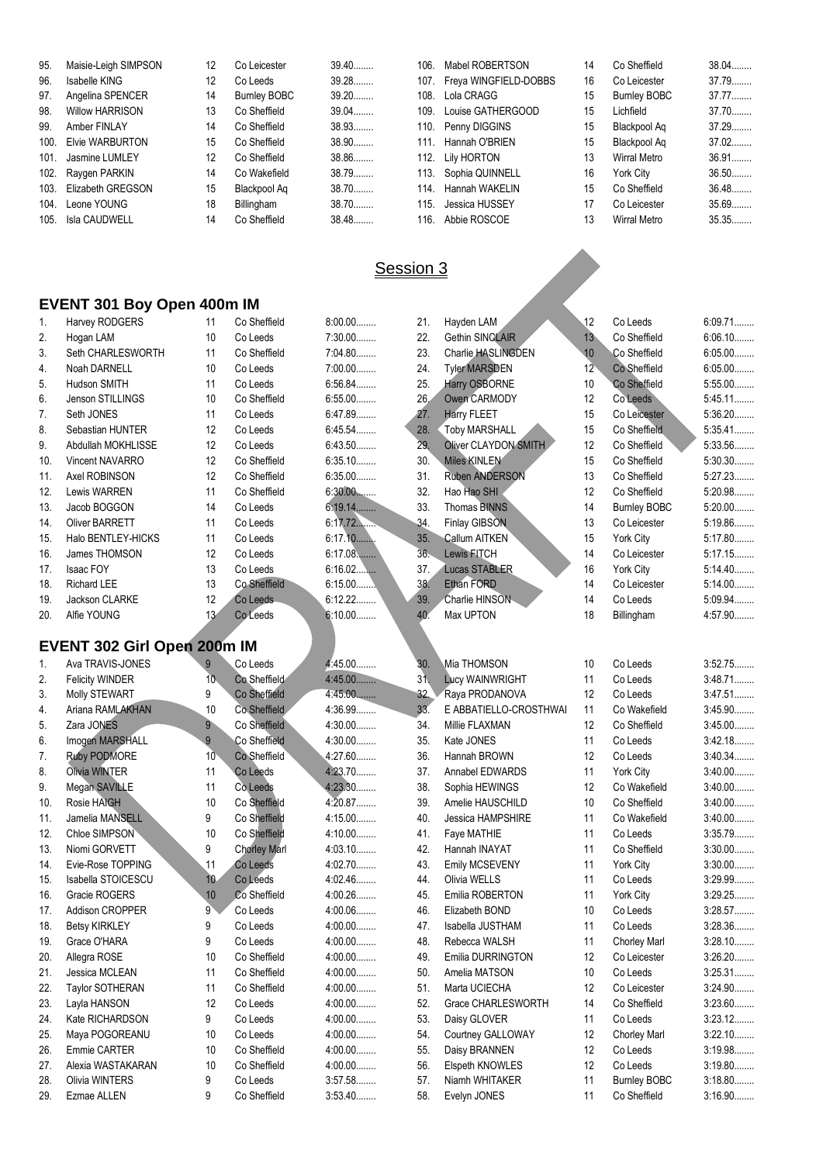| 95.  | Maisie-Leigh SIMPSON   | 12                | Co Leicester        | $39.40$ | 106. | Mabel ROBERTSON       | 14 | Co Sheffield        | 38.04   |
|------|------------------------|-------------------|---------------------|---------|------|-----------------------|----|---------------------|---------|
| 96.  | Isabelle KING          | $12 \overline{ }$ | Co Leeds            | 39.28   | 107. | Freya WINGFIELD-DOBBS | 16 | Co Leicester        | 37.79   |
| 97.  | Angelina SPENCER       | 14                | <b>Burnley BOBC</b> | $39.20$ | 108. | Lola CRAGG            | 15 | <b>Burnley BOBC</b> | 37.77   |
| 98.  | <b>Willow HARRISON</b> | 13                | Co Sheffield        | 39.04   | 109. | Louise GATHERGOOD     | 15 | Lichfield           | 37.70   |
| 99.  | Amber FINLAY           | 14                | Co Sheffield        | 38.93   | 110. | Penny DIGGINS         | 15 | Blackpool Ag        | 37.29   |
|      | 100. Elvie WARBURTON   | 15                | Co Sheffield        | 38.90   | 111. | Hannah O'BRIEN        | 15 | Blackpool Ag        | $37.02$ |
| 101. | Jasmine LUMLEY         | 12                | Co Sheffield        | 38.86   |      | 112. Lily HORTON      | 13 | Wirral Metro        | 36.91   |
|      | 102. Raygen PARKIN     | 14                | Co Wakefield        | 38.79   | 113. | Sophia QUINNELL       | 16 | York City           | $36.50$ |
| 103. | Elizabeth GREGSON      | 15                | Blackpool Ag        | 38.70   | 114. | Hannah WAKELIN        | 15 | Co Sheffield        | 36.48   |
| 104. | Leone YOUNG            | 18                | Billingham          | 38.70   | 115. | Jessica HUSSEY        | 17 | Co Leicester        | 35.69   |
|      | 105. Isla CAUDWELL     | 14                | Co Sheffield        | 38.48   | 116. | Abbie ROSCOE          | 13 | Wirral Metro        | 35.35   |

### Session 3

#### **EVENT 301 Boy Open 400m IM**

|                                   |                       |                 |              |           | <u>Session 3</u> |                        |                 |                     |           |  |  |  |
|-----------------------------------|-----------------------|-----------------|--------------|-----------|------------------|------------------------|-----------------|---------------------|-----------|--|--|--|
| <b>EVENT 301 Boy Open 400m IM</b> |                       |                 |              |           |                  |                        |                 |                     |           |  |  |  |
| 1.                                | Harvey RODGERS        | 11              | Co Sheffield | $8:00.00$ | 21.              | Hayden LAM             | .12             | Co Leeds            | 6:09.71   |  |  |  |
| 2.                                | Hogan LAM             | 10              | Co Leeds     | $7:30.00$ | 22.              | <b>Gethin SINGLAIR</b> | 13 <sup>°</sup> | Co Sheffield        | 6:06.10   |  |  |  |
| 3.                                | Seth CHARLESWORTH     | 11              | Co Sheffield | 7:04.80   | 23.              | Charlie HASLINGDEN     | 10              | Co Sheffield        | $6:05.00$ |  |  |  |
| 4.                                | Noah DARNELL          | 10              | Co Leeds     | $7:00.00$ | 24.              | <b>Tyler MARSDEN</b>   | 12 <sup>°</sup> | Co Sheffield        | $6:05.00$ |  |  |  |
| 5.                                | Hudson SMITH          | 11              | Co Leeds     | 6:56.84   | 25.              | Harry OSBORNE          | 10              | Co Sheffield        | $5:55.00$ |  |  |  |
| 6.                                | Jenson STILLINGS      | 10              | Co Sheffield | $6:55.00$ | 26.              | Owen CARMODY           | 12              | Co Leeds            | $5:45.11$ |  |  |  |
| 7.                                | Seth JONES            | 11              | Co Leeds     | 6:47.89   | 27.              | <b>Harry FLEET</b>     | 15              | Co Leicester        | 5:36.20   |  |  |  |
| 8.                                | Sebastian HUNTER      | 12              | Co Leeds     | 6:45.54   | 28.              | <b>Toby MARSHALL</b>   | 15              | Co Sheffield        | 5:35.41   |  |  |  |
| 9.                                | Abdullah MOKHLISSE    | 12              | Co Leeds     | 6:43.50   | 29.              | Oliver CLAYDON SMITH   | 12              | Co Sheffield        | 5:33.56   |  |  |  |
| 10.                               | Vincent NAVARRO       | 12              | Co Sheffield | $6:35.10$ | 30.              | <b>Miles KINLEN</b>    | 15              | Co Sheffield        | $5:30.30$ |  |  |  |
| 11.                               | Axel ROBINSON         | 12              | Co Sheffield | $6:35.00$ | 31.              | <b>Ruben ANDERSON</b>  | 13              | Co Sheffield        | 5:27.23   |  |  |  |
| 12.                               | Lewis WARREN          | 11              | Co Sheffield | 6:30.00   | 32.              | Hao Hao SHI            | 12              | Co Sheffield        | 5:20.98   |  |  |  |
| 13.                               | Jacob BOGGON          | 14              | Co Leeds     | 6:19.14   | 33.              | <b>Thomas BINNS</b>    | 14              | <b>Burnley BOBC</b> | 5:20.00   |  |  |  |
| 14.                               | <b>Oliver BARRETT</b> | 11              | Co Leeds     | 6:17.72   | 34.              | <b>Finlay GIBSON</b>   | 13              | Co Leicester        | 5:19.86   |  |  |  |
| 15.                               | Halo BENTLEY-HICKS    | 11              | Co Leeds     | 6:17.10   | 35.              | Callum AITKEN          | 15              | York City           | 5:17.80   |  |  |  |
| 16.                               | James THOMSON         | 12              | Co Leeds     | $6:17.08$ | 36.              | Lewis <b>FITCH</b>     | 14              | Co Leicester        | 5:17.15   |  |  |  |
| 17.                               | Isaac FOY             | 13              | Co Leeds     | $6:16.02$ | 37.              | <b>Lucas STABLER</b>   | 16              | York City           | 5:14.40   |  |  |  |
| 18.                               | <b>Richard LEE</b>    | 13              | Co Sheffield | $6:15.00$ | 38.              | Ethan FORD             | 14              | Co Leicester        | 5:14.00   |  |  |  |
| 19.                               | Jackson CLARKE        | 12              | Co Leeds     | 6:12.22   | 39.              | Charlie HINSON         | 14              | Co Leeds            | 5:09.94   |  |  |  |
| 20.                               | Alfie YOUNG           | 13 <sup>°</sup> | Co Leeds     | 6:10.00   | 40               | Max UPTON              | 18              | Billingham          | 4:57.90   |  |  |  |

# **EVENT 302 Girl Open 200m IM**

| 1.  | Ava TRAVIS-JONES       | 9               | Co Leeds            | 4:45.00   | 30. | Mia THOMSON            | 10 <sup>°</sup>  | Co Leeds            | 3:52.75   |
|-----|------------------------|-----------------|---------------------|-----------|-----|------------------------|------------------|---------------------|-----------|
| 2.  | <b>Felicity WINDER</b> | 10 <sub>1</sub> | Co Sheffield        | $4:45.00$ | 31. | <b>Lucy WAINWRIGHT</b> | 11               | Co Leeds            | 3:48.71   |
| 3.  | Molly STEWART          | 9               | Co Sheffield        | $4:45.00$ | 32. | Raya PRODANOVA         | 12               | Co Leeds            | 3:47.51   |
| 4.  | Ariana RAMLAKHAN       | 10              | Co Sheffield        | 4:36.99   | 33. | E ABBATIELLO-CROSTHWAI | 11               | Co Wakefield        | 3:45.90   |
| 5.  | Zara JONES             | 9               | Co Sheffield        | 4:30.00   | 34. | Millie FLAXMAN         | 12               | Co Sheffield        | $3:45.00$ |
| 6.  | Imogen MARSHALL        | 9               | Co Sheffield        | 4:30.00   | 35. | Kate JONES             | 11               | Co Leeds            | 3:42.18   |
| 7.  | <b>Ruby PODMORE</b>    | 10 <sup>°</sup> | Co Sheffield        | 4:27.60   | 36. | Hannah BROWN           | 12               | Co Leeds            | 3:40.34   |
| 8.  | Olivia WINTER          | 11              | Co Leeds            | 4:23.70   | 37. | Annabel EDWARDS        | 11               | York City           | $3:40.00$ |
| 9.  | Megan SAVILLE          | 11              | Co Leeds            | 4:23.30   | 38. | Sophia HEWINGS         | 12               | Co Wakefield        | $3:40.00$ |
| 10. | Rosie HAIGH            | 10              | Co Sheffield        | 4:20.87   | 39. | Amelie HAUSCHILD       | 10 <sup>°</sup>  | Co Sheffield        | 3:40.00   |
| 11. | Jamelia MANSELL        | 9               | Co Sheffield        | $4:15.00$ | 40. | Jessica HAMPSHIRE      | 11               | Co Wakefield        | $3:40.00$ |
| 12. | Chloe SIMPSON          | 10              | Co Sheffield        | 4:10.00   | 41. | Faye MATHIE            | 11               | Co Leeds            | 3:35.79   |
| 13. | Niomi GORVETT          | 9               | <b>Chorley Marl</b> | 4:03.10   | 42. | Hannah INAYAT          | 11               | Co Sheffield        | $3:30.00$ |
| 14. | Evie-Rose TOPPING      | 11              | Co Leeds            | 4:02.70   | 43. | Emily MCSEVENY         | 11               | <b>York City</b>    | $3:30.00$ |
| 15. | Isabella STOICESCU     | 10              | Co Leeds            | 4:02.46   | 44. | Olivia WELLS           | 11               | Co Leeds            | 3:29.99   |
| 16. | Gracie ROGERS          | 10              | Co Sheffield        | 4:00.26   | 45. | Emilia ROBERTON        | 11               | York City           | 3:29.25   |
| 17. | <b>Addison CROPPER</b> | $9^{\circ}$     | Co Leeds            | 4:00.06   | 46. | Elizabeth BOND         | 10 <sup>10</sup> | Co Leeds            | 3:28.57   |
| 18. | <b>Betsy KIRKLEY</b>   | 9               | Co Leeds            | 4:00.00   | 47. | Isabella JUSTHAM       | 11               | Co Leeds            | 3:28.36   |
| 19. | Grace O'HARA           | 9               | Co Leeds            | 4:00.00   | 48. | Rebecca WALSH          | 11               | Chorley Marl        | $3:28.10$ |
| 20. | Allegra ROSE           | 10              | Co Sheffield        | $4:00.00$ | 49. | Emilia DURRINGTON      | 12               | Co Leicester        | $3:26.20$ |
| 21. | Jessica MCLEAN         | 11              | Co Sheffield        | $4:00.00$ | 50. | Amelia MATSON          | 10 <sup>10</sup> | Co Leeds            | $3:25.31$ |
| 22. | Taylor SOTHERAN        | 11              | Co Sheffield        | $4:00.00$ | 51. | Marta UCIECHA          | 12               | Co Leicester        | 3:24.90   |
| 23. | Layla HANSON           | 12              | Co Leeds            | 4:00.00   | 52. | Grace CHARLESWORTH     | 14               | Co Sheffield        | $3:23.60$ |
| 24. | Kate RICHARDSON        | 9               | Co Leeds            | $4:00.00$ | 53. | Daisy GLOVER           | 11               | Co Leeds            | 3:23.12   |
| 25. | Maya POGOREANU         | 10              | Co Leeds            | $4:00.00$ | 54. | Courtney GALLOWAY      | 12               | Chorley Marl        | 3:22.10   |
| 26. | <b>Emmie CARTER</b>    | 10              | Co Sheffield        | 4:00.00   | 55. | Daisy BRANNEN          | 12               | Co Leeds            | 3:19.98   |
| 27. | Alexia WASTAKARAN      | 10              | Co Sheffield        | $4:00.00$ | 56. | Elspeth KNOWLES        | 12               | Co Leeds            | $3:19.80$ |
| 28. | Olivia WINTERS         | 9               | Co Leeds            | 3:57.58   | 57. | Niamh WHITAKER         | 11               | <b>Burnley BOBC</b> | 3:18.80   |
| 29. | Ezmae ALLEN            | 9               | Co Sheffield        | 3:53.40   | 58. | Evelyn JONES           | 11               | Co Sheffield        | 3:16.90   |
|     |                        |                 |                     |           |     |                        |                  |                     |           |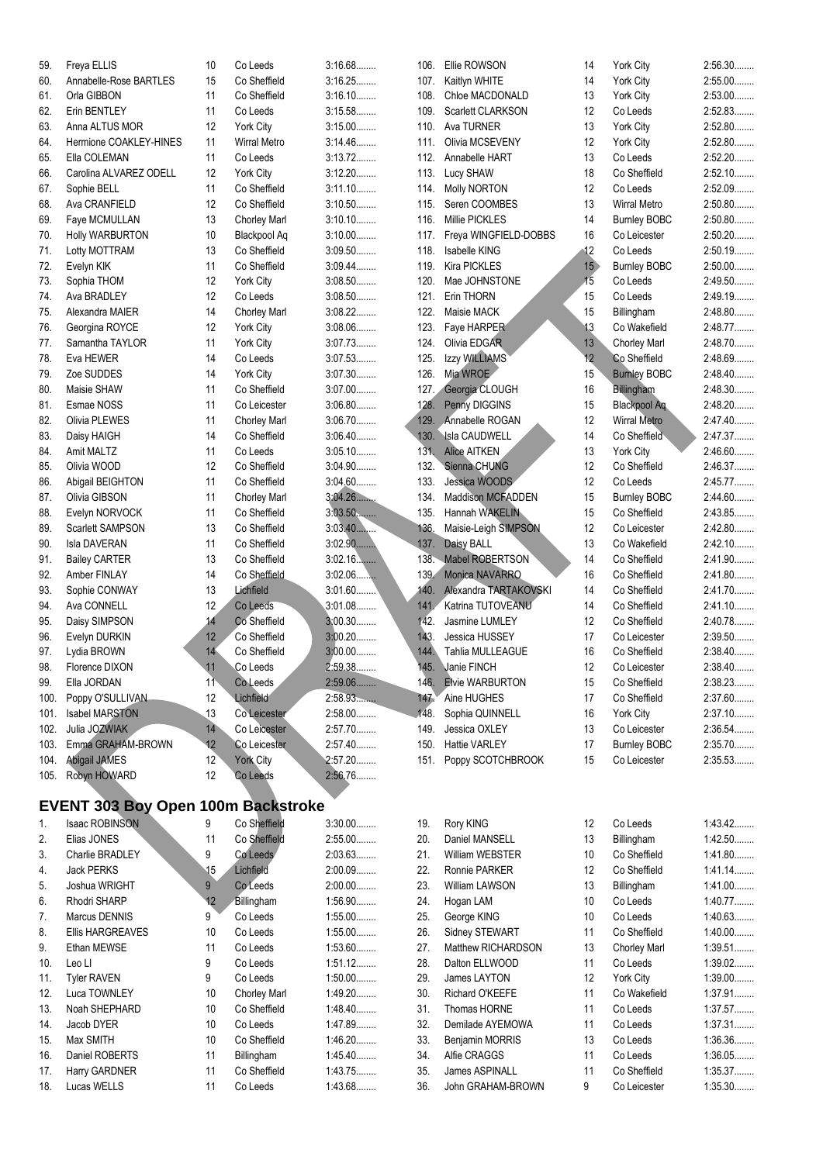| 59.  | Freya ELLIS            | 10 | Co Leeds     | 3:16.68   | 106. | Ellie ROWSON            | 14              | <b>York City</b>    | 2:56.30   |
|------|------------------------|----|--------------|-----------|------|-------------------------|-----------------|---------------------|-----------|
| 60.  | Annabelle-Rose BARTLES | 15 | Co Sheffield | 3:16.25   | 107. | Kaitlyn WHITE           | 14              | York City           | 2:55.00   |
| 61.  | Orla GIBBON            | 11 | Co Sheffield | 3:16.10   |      | 108. Chloe MACDONALD    | 13              | <b>York City</b>    | 2:53.00   |
| 62.  | Erin BENTLEY           | 11 | Co Leeds     | 3:15.58   | 109. | Scarlett CLARKSON       | 12              | Co Leeds            | 2:52.83   |
| 63.  | Anna ALTUS MOR         | 12 | York City    | $3:15.00$ |      | 110. Ava TURNER         | 13              | York City           | 2:52.80   |
| 64.  | Hermione COAKLEY-HINES | 11 | Wirral Metro | 3:14.46   | 111. | Olivia MCSEVENY         | 12              | York City           | $2:52.80$ |
| 65.  | Ella COLEMAN           | 11 | Co Leeds     | 3:13.72   | 112. | Annabelle HART          | 13              | Co Leeds            | 2:52.20   |
| 66.  | Carolina ALVAREZ ODELL | 12 | York City    | $3:12.20$ | 113. | Lucy SHAW               | 18              | Co Sheffield        | 2:52.10   |
| 67.  | Sophie BELL            | 11 | Co Sheffield | $3:11.10$ | 114. | Molly NORTON            | 12              | Co Leeds            | 2:52.09   |
| 68.  | Ava CRANFIELD          | 12 | Co Sheffield | $3:10.50$ | 115. | Seren COOMBES           | 13              | <b>Wirral Metro</b> | 2:50.80   |
| 69.  | Faye MCMULLAN          | 13 | Chorley Marl | $3:10.10$ | 116. | Millie PICKLES          | 14              | <b>Burnley BOBC</b> | 2:50.80   |
| 70.  | <b>Holly WARBURTON</b> | 10 | Blackpool Aq | $3:10.00$ | 117. | Freya WINGFIELD-DOBBS   | 16              | Co Leicester        | $2:50.20$ |
| 71.  | Lotty MOTTRAM          | 13 | Co Sheffield | $3:09.50$ | 118. | <b>Isabelle KING</b>    | 12              | Co Leeds            | 2:50.19   |
| 72.  | Evelyn KIK             | 11 | Co Sheffield | 3:09.44   | 119. | <b>Kira PICKLES</b>     | 15 <sub>o</sub> | <b>Burnley BOBC</b> | 2:50.00   |
| 73.  | Sophia THOM            | 12 | York City    | 3:08.50   | 120. | Mae JOHNSTONE           | $\overline{15}$ | Co Leeds            | 2:49.50   |
| 74.  | Ava BRADLEY            | 12 | Co Leeds     | 3:08.50   | 121. | Erin THORN              | 15              | Co Leeds            | 2:49.19   |
| 75.  | Alexandra MAIER        | 14 | Chorley Marl | 3:08.22   | 122. | Maisie MACK             | 15              | Billingham          | 2:48.80   |
| 76.  | Georgina ROYCE         | 12 | York City    | 3:08.06   | 123. | Faye HARPER             | 13              | Co Wakefield        | 2:48.77   |
| 77.  | Samantha TAYLOR        | 11 | York City    | 3:07.73   | 124. | Olivia EDGAR            | 13              | Chorley Marl        | 2:48.70   |
| 78.  | Eva HEWER              | 14 | Co Leeds     | 3:07.53   | 125. | Izzy WILLIAMS           | 12              | Co Sheffield        | 2:48.69   |
| 79.  | Zoe SUDDES             | 14 | York City    | 3:07.30   | 126. | Mia WROE                | 15              | <b>Burnley BOBC</b> | 2:48.40   |
| 80.  | Maisie SHAW            | 11 | Co Sheffield | $3:07.00$ | 127. | Georgia CLOUGH          | 16              | <b>Billingham</b>   | 2:48.30   |
| 81.  | Esmae NOSS             | 11 | Co Leicester | 3:06.80   | 128. | Penny DIGGINS           | 15              | <b>Blackpool Aq</b> | 2:48.20   |
| 82.  | Olivia PLEWES          | 11 | Chorley Marl | 3:06.70   |      | 129. Annabelle ROGAN    | 12              | <b>Wirral Metro</b> | 2:47.40   |
| 83.  | Daisy HAIGH            | 14 | Co Sheffield | 3.06.40   |      | 130. Isla CAUDWELL      | 14              | Co Sheffield        | 2:47.37   |
| 84.  | Amit MALTZ             | 11 | Co Leeds     | $3:05.10$ | 131  | <b>Alice AITKEN</b>     | 13              | <b>York City</b>    | 2:46.60   |
| 85.  | Olivia WOOD            | 12 | Co Sheffield | 3:04.90   | 132. | Sienna CHUNG            | 12              | Co Sheffield        | 2:46.37   |
| 86.  | Abigail BEIGHTON       | 11 | Co Sheffield | $3:04.60$ | 133. | Jessica WOODS           | 12              | Co Leeds            | 2:45.77   |
| 87.  | Olivia GIBSON          | 11 | Chorley Marl | 3:04.26   | 134. | Maddison MCFADDEN       | 15              | <b>Burnley BOBC</b> | 2:44.60   |
| 88.  | Evelyn NORVOCK         | 11 | Co Sheffield | $3:03.50$ | 135. | Hannah WAKELIN          | 15              | Co Sheffield        | 2:43.85   |
| 89.  | Scarlett SAMPSON       | 13 | Co Sheffield | 3:03.40   | 136. | Maisie-Leigh SIMPSON    | 12              | Co Leicester        | 2:42.80   |
| 90.  | Isla DAVERAN           | 11 | Co Sheffield | $3:02.90$ | 137. | Daisy BALL              | 13              | Co Wakefield        | 2:42.10   |
| 91.  | <b>Bailey CARTER</b>   | 13 | Co Sheffield | $3:02.16$ | 138. | Mabel ROBERTSON         | 14              | Co Sheffield        | 2:41.90   |
| 92.  | Amber FINLAY           | 14 | Co Sheffield | 3:02.06   | 139. | Monica NAVARRO          | 16              | Co Sheffield        | 2:41.80   |
| 93.  | Sophie CONWAY          | 13 | Lichfield    | $3:01.60$ | 140. | Alexandra TARTAKOVSKI   | 14              | Co Sheffield        | 2:41.70   |
| 94.  | Ava CONNELL            | 12 | Co Leeds     | 3:01.08   | 141. | Katrina TUTOVEANU       | 14              | Co Sheffield        | 2:41.10   |
| 95.  | Daisy SIMPSON          | 14 | Co Sheffield | 3:00.30   | 142. | Jasmine LUMLEY          | 12              | Co Sheffield        | 2:40.78   |
| 96.  | Evelyn DURKIN          | 12 | Co Sheffield | $3:00.20$ | 143. | Jessica HUSSEY          | 17              | Co Leicester        | 2:39.50   |
| 97.  | Lydia BROWN            | 14 | Co Sheffield | 3:00.00   | 144. | <b>Tahlia MULLEAGUE</b> | 16              | Co Sheffield        | 2:38.40   |
| 98.  | Florence DIXON         | 11 | Co Leeds     | 2:59.38   | 145. | <b>Janie FINCH</b>      | 12              | Co Leicester        | 2:38.40   |
| 99.  | Ella JORDAN            | 11 | Co Leeds     | 2:59.06   |      | 146. Elvie WARBURTON    | 15              | Co Sheffield        | 2:38.23   |
| 100. | Poppy O'SULLIVAN       | 12 | Lichfield    | 2:58.93   | 147. | Aine HUGHES             | 17              | Co Sheffield        | 2:37.60   |
| 101. | <b>Isabel MARSTON</b>  | 13 | Co Leicester | 2:58.00   | 148. | Sophia QUINNELL         | 16              | York City           | 2:37.10   |
| 102. | Julia JOZWIAK          | 14 | Co Leicester | 2:57.70   | 149. | Jessica OXLEY           | 13              | Co Leicester        | 2:36.54   |
| 103. | Emma GRAHAM-BROWN      | 12 | Co Leicester | 2:57.40   |      | 150. Hattie VARLEY      | 17              | <b>Burnley BOBC</b> | 2:35.70   |
| 104. | Abigail JAMES          | 12 | York City    | 2:57.20   | 151. | Poppy SCOTCHBROOK       | 15              | Co Leicester        | 2:35.53   |
| 105. | Robyn HOWARD           | 12 | Co Leeds     | 2:56.76   |      |                         |                 |                     |           |
|      |                        |    |              |           |      |                         |                 |                     |           |

#### **EVENT 303 Boy Open 100m Backstroke**

| 1.  | <b>Isaac ROBINSON</b> | 9  | Co Sheffield | $3:30.00$ |
|-----|-----------------------|----|--------------|-----------|
| 2.  | Elias JONES           | 11 | Co Sheffield | $2:55.00$ |
| 3.  | Charlie BRADLEY       | 9  | Co Leeds     | 2:03.63   |
| 4.  | Jack PERKS            | 15 | Lichfield    | 2:00.09   |
| 5.  | Joshua WRIGHT         | 9  | Co Leeds     | $2:00.00$ |
| 6.  | <b>Rhodri SHARP</b>   | 12 | Billingham   | 1:56.90   |
| 7.  | Marcus DENNIS         | 9  | Co Leeds     | $1:55.00$ |
| 8.  | Ellis HARGREAVES      | 10 | Co Leeds     | $1:55.00$ |
| 9.  | Ethan MEWSE           | 11 | Co Leeds     | $1:53.60$ |
| 10. | Leo LI                | 9  | Co Leeds     | $1:51.12$ |
| 11. | <b>Tyler RAVEN</b>    | 9  | Co Leeds     | $1:50.00$ |
| 12. | Luca TOWNLEY          | 10 | Chorley Marl | $1:49.20$ |
| 13. | Noah SHEPHARD         | 10 | Co Sheffield | $1:48.40$ |
| 14. | Jacob DYER            | 10 | Co Leeds     | 1:47.89   |
| 15. | Max SMITH             | 10 | Co Sheffield | $1:46.20$ |
| 16. | Daniel ROBERTS        | 11 | Billingham   | $1:45.40$ |
| 17. | Harry GARDNER         | 11 | Co Sheffield | 1:43.75   |
| 18. | Lucas WELLS           | 11 | Co Leeds     | 1:43.68   |
|     |                       |    |              |           |

| 19. | Rory KING              | 12 | Co Leeds     | 1:43.42<br>. |
|-----|------------------------|----|--------------|--------------|
| 20. | Daniel MANSELL         | 13 | Billingham   | 1:42.50.     |
| 21. | <b>William WEBSTER</b> | 10 | Co Sheffield | 1:41.80      |
| 22. | Ronnie PARKER          | 12 | Co Sheffield | $1.41.14$    |
| 23. | William LAWSON         | 13 | Billingham   | 1:41.00      |
| 24. | Hogan LAM              | 10 | Co Leeds     | 1:40.77      |
| 25. | George KING            | 10 | Co Leeds     | 1:40.63      |
| 26. | Sidney STEWART         | 11 | Co Sheffield | 1:40.00      |
| 27. | Matthew RICHARDSON     | 13 | Chorley Marl | 1:39.51      |
| 28. | Dalton ELLWOOD         | 11 | Co Leeds     | 1:39.02      |
| 29. | James LAYTON           | 12 | York City    | 1:39.00      |
| 30. | Richard O'KEEFE        | 11 | Co Wakefield | 1:37.91      |
| 31. | Thomas HORNE           | 11 | Co Leeds     | 1:37.57      |
| 32. | Demilade AYEMOWA       | 11 | Co Leeds     | 1:37.31      |
| 33. | <b>Benjamin MORRIS</b> | 13 | Co Leeds     | 1:36.36      |
| 34. | Alfie CRAGGS           | 11 | Co Leeds     | 1:36.05      |
| 35. | James ASPINALL         | 11 | Co Sheffield | 1:35.37      |
| 36. | John GRAHAM-BROWN      | 9  | Co Leicester | 1:35.30      |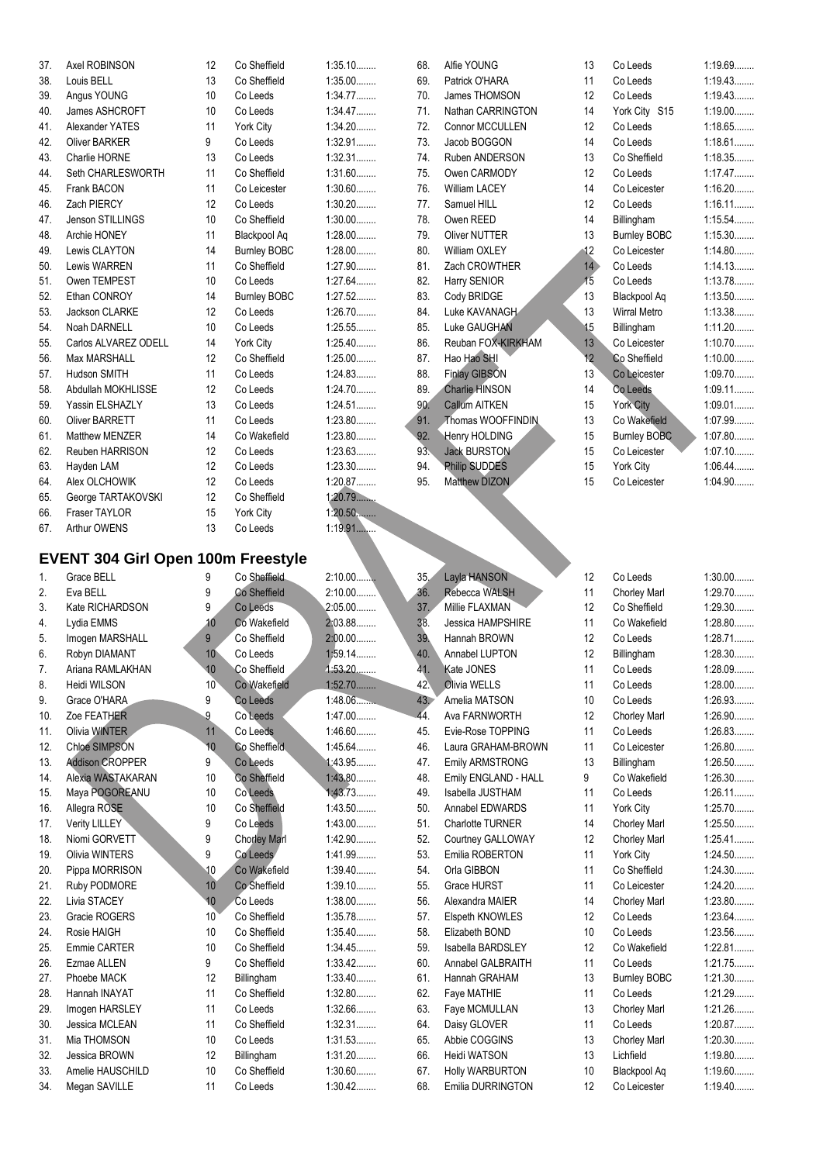| 37. | Axel ROBINSON        | 12              | Co Sheffield        | $1:35.10$ |
|-----|----------------------|-----------------|---------------------|-----------|
| 38. | Louis BELL           | 13              | Co Sheffield        | $1:35.00$ |
| 39. | Angus YOUNG          | 10 <sup>1</sup> | Co Leeds            | 1:34.77   |
| 40. | James ASHCROFT       | 10 <sup>1</sup> | Co Leeds            | 1:34.47   |
| 41. | Alexander YATES      | 11              | York City           | 1:34.20   |
| 42. | Oliver BARKER        | 9               | Co Leeds            | 1:32.91   |
| 43. | Charlie HORNE        | 13              | Co Leeds            | 1:32.31   |
| 44. | Seth CHARLESWORTH    | 11              | Co Sheffield        | $1:31.60$ |
| 45. | Frank BACON          | 11              | Co Leicester        | $1:30.60$ |
| 46. | Zach PIERCY          | 12 <sup>°</sup> | Co Leeds            | $1:30.20$ |
| 47. | Jenson STILLINGS     | 10 <sup>1</sup> | Co Sheffield        | $1:30.00$ |
| 48. | Archie HONEY         | 11              | Blackpool Aq        | $1:28.00$ |
| 49. | Lewis CLAYTON        | 14              | <b>Burnley BOBC</b> | $1:28.00$ |
| 50. | Lewis WARREN         | 11              | Co Sheffield        | 1:27.90   |
| 51. | Owen TEMPEST         | 10              | Co Leeds            | 1:27.64   |
| 52. | Ethan CONROY         | 14              | <b>Burnley BOBC</b> | 1:27.52   |
| 53. | Jackson CLARKE       | 12              | Co Leeds            | 1:26.70   |
| 54. | Noah DARNELL         | 10 <sup>1</sup> | Co Leeds            | 1:25.55   |
| 55. | Carlos ALVAREZ ODELL | 14              | York City           | 1:25.40   |
| 56. | <b>Max MARSHALL</b>  | 12 <sup>°</sup> | Co Sheffield        | $1:25.00$ |
| 57. | Hudson SMITH         | 11              | Co Leeds            | 1:24.83   |
| 58. | Abdullah MOKHLISSE   | 12              | Co Leeds            | 1:24.70   |
| 59. | Yassin ELSHAZLY      | 13              | Co Leeds            | 1:24.51   |
| 60. | Oliver BARRETT       | 11              | Co Leeds            | 1:23.80   |
| 61. | Matthew MENZER       | 14              | Co Wakefield        | 1:23.80   |
| 62. | Reuben HARRISON      | 12              | Co Leeds            | 1:23.63   |
| 63. | Hayden LAM           | 12 <sup>°</sup> | Co Leeds            | 1:23.30   |
| 64. | Alex OLCHOWIK        | 12 <sup>°</sup> | Co Leeds            | 1:20.87   |
| 65. | George TARTAKOVSKI   | 12              | Co Sheffield        | 1.20.79   |
| 66. | Fraser TAYLOR        | 15              | York City           | $1:20.50$ |
| 67. | Arthur OWENS         | 13              | Co Leeds            | $1:19.91$ |

| $5.00$      | 69. |
|-------------|-----|
| $4.77\dots$ | 70. |
| 4.47        | 71. |
| $4.20$      | 72. |
| .2.91       | 73. |
| $2.31$      | 74. |
| $1.60$      | 75. |
| $0.60$      | 76. |
| $0.20$      | 77. |
| $0.00$      | 78. |
| .8.00       | 79. |
| .8.00       | 80. |
| :7.90       | 81. |
| 27.64       | 82. |
| .7.52       | 83. |
| .6.70       | 84. |
| .5.55       | 85. |
| .5.40       | 86. |
| $.5.00$     | 87. |
| 4.83        | 88. |
| .4.70       | 89. |
| $4.51$      | 90. |
| 3.80        | 91. |
| 3.80        | 92. |
| 3.63        | 93. |
| 3.30        | 94. |
| $0.87$      | 95. |
| 0.79        |     |
| $0.50$      |     |

| 68. | Alfie YOUNG            | 13              | Co Leeds            | 1:19.69      |
|-----|------------------------|-----------------|---------------------|--------------|
| 69. | Patrick O'HARA         | 11              | Co Leeds            | 1:19.43      |
| 70. | James THOMSON          | 12              | Co Leeds            | 1:19.43      |
| 71. | Nathan CARRINGTON      | 14              | York City S15       | 1:19.00      |
| 72. | <b>Connor MCCULLEN</b> | 12 <sup>°</sup> | Co Leeds            | 1:18.65      |
| 73. | Jacob BOGGON           | 14              | Co Leeds            | 1:18.61      |
| 74. | Ruben ANDERSON         | 13              | Co Sheffield        | 1:18.35      |
| 75. | Owen CARMODY           | 12 <sup>°</sup> | Co Leeds            | 1:17.47      |
| 76. | William LACEY          | 14              | Co Leicester        | 1:16.20      |
| 77. | Samuel HILL            | 12              | Co Leeds            | $1:16.11$    |
| 78. | Owen REED              | 14              | Billingham          | 1:15.54      |
| 79. | <b>Oliver NUTTER</b>   | 13              | <b>Burnley BOBC</b> | 1:15.30      |
| 80. | William OXLEY          | 12              | Co Leicester        | 1:14.80      |
| 81. | Zach CROWTHER          | $14 -$          | Co Leeds            | 1:14.13      |
| 82. | Harry SENIOR           | 15              | Co Leeds            | 1:13.78      |
| 83. | Cody BRIDGE            | 13              | Blackpool Aq        | 1:13.50      |
| 84. | Luke KAVANAGH          | 13              | Wirral Metro        | 1:13.38      |
| 85. | Luke GAUGHAN           | 15              | Billingham          | 1:11.20      |
| 86. | Reuban FOX-KIRKHAM     | 13              | Co Leicester        | 1:10.70      |
| 87. | Hao Hao SHI            | 12 <sup>°</sup> | Co Sheffield        | $1:10.00$    |
| 88. | <b>Finlay GIBSON</b>   | 13              | Co Leicester        | 1:09.70      |
| 89. | <b>Charlie HINSON</b>  | 14              | Co Leeds            | $1:09.11$    |
| 90. | <b>Callum AITKEN</b>   | 15              | York City           | $1:09.01$    |
| 91. | Thomas WOOFFINDIN      | 13              | Co Wakefield        | 1:07.99      |
| 92. | Henry HOLDING          | 15              | <b>Burnley BOBC</b> | 1:07.80      |
| 93. | <b>Jack BURSTON</b>    | 15              | Co Leicester        | 1:07.10      |
| 94. | Philip SUDDES          | 15              | York City           | 1:06.44      |
| 95. | Matthew DIZON          | 15              | Co Leicester        | 1:04.90<br>. |
|     |                        |                 |                     |              |

#### **EVENT 304 Girl Open 100m Freestyle**

| 1.  | Grace BELL             | 9                | Co Sheffield        | $2:10.00$ |
|-----|------------------------|------------------|---------------------|-----------|
| 2.  | Eva BELL               | 9                | Co Sheffield        | $2:10.00$ |
| 3.  | Kate RICHARDSON        | 9                | Co Leeds            | $2:05.00$ |
| 4.  | Lydia EMMS             | 10               | Co Wakefield        | 2:03.88   |
| 5.  | Imogen MARSHALL        | 9                | Co Sheffield        | $2:00.00$ |
| 6.  | Robyn DIAMANT          | 10 <sup>1</sup>  | Co Leeds            | 1:59.14   |
| 7.  | Ariana RAMLAKHAN       | 10               | Co Sheffield        | $1:53.20$ |
| 8.  | Heidi WILSON           | 10 <sup>7</sup>  | Co Wakefield        | 1:52.70   |
| 9.  | Grace O'HARA           | 9                | Co Leeds            | 1:48.06   |
| 10. | Zoe FEATHER            | 9                | Co Leeds            | 1:47.00   |
| 11. | <b>Olivia WINTER</b>   | 11               | Co Leeds            | 1:46.60   |
| 12. | <b>Chloe SIMPSON</b>   | 10 <sup>10</sup> | Co Sheffield        | 1:45.64   |
| 13. | <b>Addison CROPPER</b> | 9                | Co Leeds            | 1:43.95   |
| 14. | Alexia WASTAKARAN      | 10               | Co Sheffield        | 1:43.80   |
| 15. | Maya POGOREANU         | 10               | Co Leeds            | 1:43.73   |
| 16. | Allegra ROSE           | 10               | Co Sheffield        | 1:43.50   |
| 17. | <b>Verity LILLEY</b>   | 9                | Co Leeds            | 1:43.00   |
| 18. | Niomi GORVETT          | 9                | <b>Chorley Marl</b> | 1:42.90   |
| 19. | Olivia WINTERS         | 9                | Co Leeds            | 1:41.99   |
| 20. | Pippa MORRISON         | 10               | Co Wakefield        | $1:39.40$ |
| 21. | Ruby PODMORE           | 10               | Co Sheffield        | 1:39.10   |
| 22. | Livia STACEY           | 10               | Co Leeds            | $1:38.00$ |
| 23. | Gracie ROGERS          | 10 <sup>1</sup>  | Co Sheffield        | 1:35.78   |
| 24. | Rosie HAIGH            | 10               | Co Sheffield        | 1:35.40   |
| 25. | <b>Emmie CARTER</b>    | 10               | Co Sheffield        | 1:34.45   |
| 26. | Ezmae ALLEN            | 9                | Co Sheffield        | 1:33.42   |
| 27. | Phoebe MACK            | 12               | Billingham          | 1:33.40   |
| 28. | Hannah INAYAT          | 11               | Co Sheffield        | 1:32.80   |
| 29. | Imogen HARSLEY         | 11               | Co Leeds            | 1:32.66   |
| 30. | <b>Jessica MCLEAN</b>  | 11               | Co Sheffield        | 1:32.31   |
| 31. | Mia THOMSON            | 10               | Co Leeds            | 1:31.53   |
| 32. | Jessica BROWN          | 12               | Billingham          | 1:31.20   |
| 33. | Amelie HAUSCHILD       | 10               | Co Sheffield        | $1:30.60$ |
| 34. | Megan SAVILLE          | 11               | Co Leeds            | 1:30.42   |

#### 35. Layla HANSON 12 Co Leeds 1:30.00........ 36. Rebecca WALSH 11 Chorley Marl 1:29.70........ 37. Millie FLAXMAN 12 Co Sheffield 1:29.30........ 38. Jessica HAMPSHIRE 11 Co Wakefield 1:28.80........ 39. Hannah BROWN 12 Co Leeds 1:28.71........ 40. Annabel LUPTON 12 Billingham 1:28.30........ 41. Kate JONES 11 Co Leeds 1:28.09........ 42. Olivia WELLS 11 Co Leeds 1:28.00........ 43. Amelia MATSON 10 Co Leeds 1:26.93........ 44. Ava FARNWORTH 12 Chorley Marl 1:26.90........ 45. Evie-Rose TOPPING 11 Co Leeds 1:26.83........ 46. Laura GRAHAM-BROWN 11 Co Leicester 1:26.80........ 47. Emily ARMSTRONG 13 Billingham 1:26.50........ 48. Emily ENGLAND - HALL 9 Co Wakefield 1:26.30........ 49. Isabella JUSTHAM 11 Co Leeds 1:26.11........ 50. Annabel EDWARDS 11 York City 1:25.70........ 51. Charlotte TURNER 14 C 52. Courtney GALLOWAY 12 C 53. Emilia ROBERTON 11 Y 54. Orla GIBBON 11 C 55. Grace HURST 11 C 56. Alexandra MAIER 14 C 57. Elspeth KNOWLES 12 C 58. Elizabeth BOND 10 C 59. Isabella BARDSLEY 12 Co Wakefield 1:22.81........ 60. Annabel GALBRAITH 11 Co Leeds 1:21.75........ 61. Hannah GRAHAM 13 Burnley BOBC 1:21.30........ 62. Faye MATHIE 11 Co Leeds 1:21.29........ 63. Faye MCMULLAN 13 Chorley Marl 1:21.26........ 64. Daisy GLOVER 11 C 65. Abbie COGGINS 13 Chorley Marl 1:20.30........

| 35.  | Layla HANSON             | 12 | Co Leeds            | $1:30.00$ |
|------|--------------------------|----|---------------------|-----------|
| 36.  | <b>Rebecca WALSH</b>     | 11 | <b>Chorley Marl</b> | 1:29.70   |
| 37.  | Millie FLAXMAN           | 12 | Co Sheffield        | 1:29.30   |
| 38.  | <b>Jessica HAMPSHIRE</b> | 11 | Co Wakefield        | 1:28.80   |
| 39.  | Hannah BROWN             | 12 | Co Leeds            | 1:28.71   |
| 40.  | Annabel LUPTON           | 12 | Billingham          | 1:28.30   |
| 41.  | Kate JONES               | 11 | Co Leeds            | 1:28.09   |
| 42.  | Olivia WELLS             | 11 | Co Leeds            | 1:28.00   |
| 43.7 | Amelia MATSON            | 10 | Co Leeds            | 1:26.93   |
| 44.  | Ava FARNWORTH            | 12 | Chorley Marl        | 1:26.90   |
| 45.  | Evie-Rose TOPPING        | 11 | Co Leeds            | 1:26.83   |
| 46.  | Laura GRAHAM-BROWN       | 11 | Co Leicester        | 1:26.80   |
| 47.  | <b>Emily ARMSTRONG</b>   | 13 | Billingham          | 1:26.50   |
| 48.  | Emily ENGLAND - HALL     | 9  | Co Wakefield        | 1:26.30   |
| 49.  | Isabella JUSTHAM         | 11 | Co Leeds            | 1:26.11   |
| 50.  | Annabel EDWARDS          | 11 | York City           | 1:25.70   |
| 51.  | <b>Charlotte TURNER</b>  | 14 | <b>Chorley Marl</b> | 1:25.50   |
| 52.  | Courtney GALLOWAY        | 12 | Chorley Marl        | 1:25.41   |
| 53.  | Emilia ROBERTON          | 11 | York City           | 1:24.50   |
| 54.  | Orla GIBBON              | 11 | Co Sheffield        | 1:24.30   |
| 55.  | <b>Grace HURST</b>       | 11 | Co Leicester        | 1:24.20   |
| 56.  | Alexandra MAIER          | 14 | <b>Chorley Marl</b> | 1:23.80   |
| 57.  | Elspeth KNOWLES          | 12 | Co Leeds            | 1:23.64   |
| 58.  | Elizabeth BOND           | 10 | Co Leeds            | 1:23.56   |
| 59.  | <b>Isabella BARDSLEY</b> | 12 | Co Wakefield        | 1:22.81   |
| 60.  | Annabel GALBRAITH        | 11 | Co Leeds            | 1:21.75   |
| 61.  | Hannah GRAHAM            | 13 | <b>Burnley BOBC</b> | 1:21.30   |
| 62.  | Faye MATHIE              | 11 | Co Leeds            | 1:21.29   |
| 63.  | Faye MCMULLAN            | 13 | <b>Chorley Marl</b> | 1:21.26   |
| 64.  | Daisy GLOVER             | 11 | Co Leeds            | 1:20.87   |
| 65.  | Abbie COGGINS            | 13 | Chorley Marl        | 1:20.30   |
| 66.  | <b>Heidi WATSON</b>      | 13 | Lichfield           | 1:19.80   |
| 67.  | <b>Holly WARBURTON</b>   | 10 | Blackpool Aq        | 1:19.60   |
| 68.  | Emilia DURRINGTON        | 12 | Co Leicester        | 1:19.40   |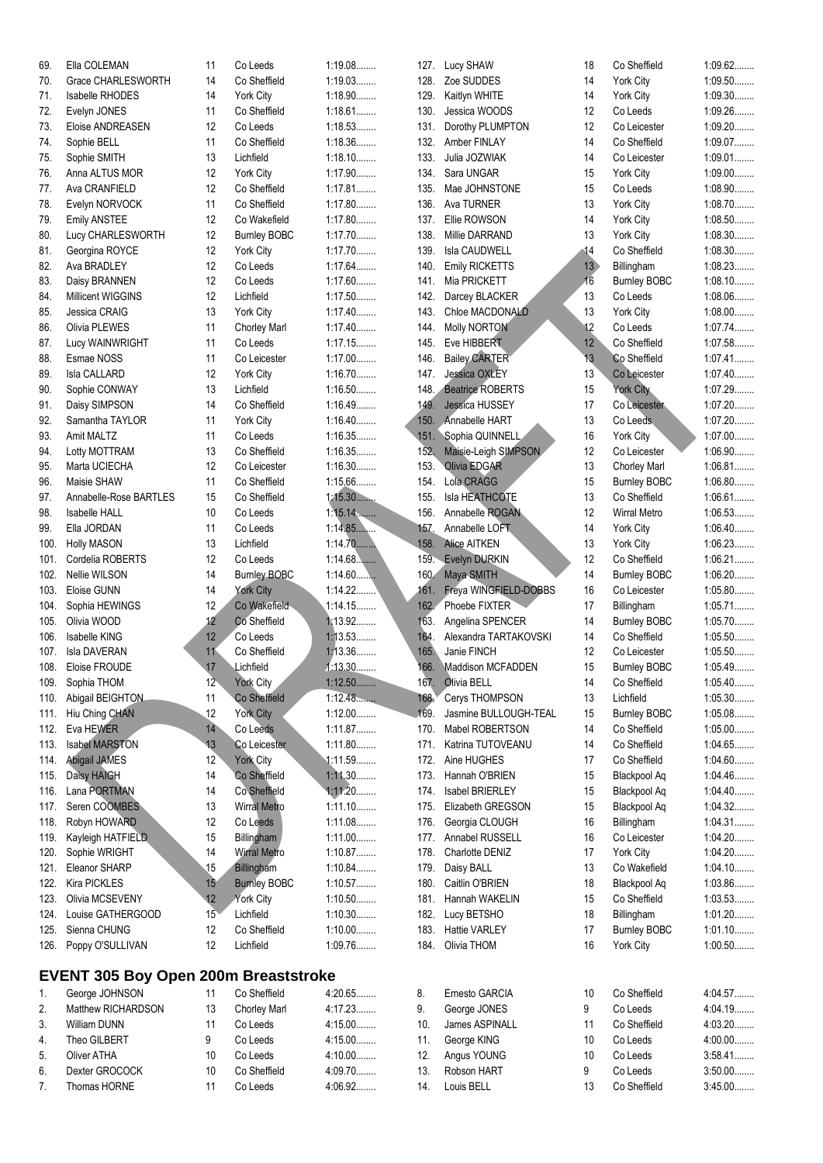|            | Ella COLEMAN                                |                 | Co Leeds            |           |      |                         |                 |                     | 1:09.62   |
|------------|---------------------------------------------|-----------------|---------------------|-----------|------|-------------------------|-----------------|---------------------|-----------|
| 69.        |                                             | 11              |                     | 1:19.08   |      | 127. Lucy SHAW          | 18              | Co Sheffield        |           |
| 70.        | Grace CHARLESWORTH                          | 14              | Co Sheffield        | 1:19.03   | 128. | Zoe SUDDES              | 14              | York City           | 1:09.50   |
| 71.        | <b>Isabelle RHODES</b>                      | 14              | York City           | 1:18.90   | 129. | Kaitlyn WHITE           | 14              | York City           | 1:09.30   |
| 72.        | Evelyn JONES                                | 11              | Co Sheffield        | 1:18.61   | 130. | Jessica WOODS           | 12              | Co Leeds            | 1:09.26   |
| 73.        | Eloise ANDREASEN                            | 12              | Co Leeds            | 1:18.53   | 131. | Dorothy PLUMPTON        | 12              | Co Leicester        | $1:09.20$ |
| 74.        | Sophie BELL                                 | 11              | Co Sheffield        | 1:18.36   | 132. | Amber FINLAY            | 14              | Co Sheffield        | 1:09.07   |
| 75.        | Sophie SMITH                                | 13              | Lichfield           | $1:18.10$ | 133. | Julia JOZWIAK           | 14              | Co Leicester        | $1:09.01$ |
| 76.        | Anna ALTUS MOR                              | 12              | York City           | 1:17.90   | 134. | Sara UNGAR              | 15              | York City           | $1:09.00$ |
| 77.        | Ava CRANFIELD                               | 12              | Co Sheffield        | 1:17.81   | 135. | Mae JOHNSTONE           | 15              | Co Leeds            | 1:08.90   |
| 78.        | Evelyn NORVOCK                              | 11              | Co Sheffield        | 1:17.80   | 136. | Ava TURNER              | 13              | York City           | 1:08.70   |
| 79.        | <b>Emily ANSTEE</b>                         | 12              | Co Wakefield        | 1:17.80   | 137. | Ellie ROWSON            | 14              | York City           | $1:08.50$ |
| 80.        | Lucy CHARLESWORTH                           | 12              | <b>Burnley BOBC</b> | 1:17.70   | 138. | Millie DARRAND          | 13              | York City           | 1:08.30   |
| 81.        | Georgina ROYCE                              | 12              | <b>York City</b>    | 1:17.70   | 139. | Isla CAUDWELL           | 14              | Co Sheffield        | 1:08.30   |
| 82.        | Ava BRADLEY                                 | 12              | Co Leeds            | 1:17.64   | 140. | Emily RICKETTS          | 13 <sup>°</sup> | Billingham          | 1:08.23   |
| 83.        | Daisy BRANNEN                               | 12              | Co Leeds            | 1:17.60   | 141. | Mia PRICKETT            | 16              | <b>Burnley BOBC</b> | 1:08.10   |
| 84.        | Millicent WIGGINS                           | 12              | Lichfield           | 1:17.50   | 142. | Darcey BLACKER          | 13              | Co Leeds            | $1:08.06$ |
| 85.        | Jessica CRAIG                               | 13              | York City           | 1:17.40   | 143. | Chloe MACDONALD         | 13              | York City           | $1:08.00$ |
| 86.        | Olivia PLEWES                               | 11              | <b>Chorley Marl</b> | 1:17.40   | 144. | <b>Molly NORTON</b>     | 12              | Co Leeds            | 1:07.74   |
| 87.        | Lucy WAINWRIGHT                             | 11              | Co Leeds            | 1:17.15   | 145. | Eve HIBBERT             | 12 <sup>°</sup> | Co Sheffield        | 1:07.58   |
| 88.        | Esmae NOSS                                  | 11              | Co Leicester        | $1:17.00$ | 146. | <b>Bailey CARTER</b>    | 13              | Co Sheffield        | $1:07.41$ |
| 89.        | <b>Isla CALLARD</b>                         | 12              | York City           | 1:16.70   | 147. | Jessica OXLEY           | 13              | Co Leicester        | $1:07.40$ |
| 90.        | Sophie CONWAY                               | 13              | Lichfield           | 1:16.50   | 148. | <b>Beatrice ROBERTS</b> | 15              | York City           | 1:07.29   |
| 91.        | Daisy SIMPSON                               | 14              | Co Sheffield        | 1:16.49   | 149. | Jessica HUSSEY          | 17              | Co Leicester        | $1:07.20$ |
| 92.        | Samantha TAYLOR                             | 11              | York City           | 1:16.40   |      | 150. Annabelle HART     | 13              | Co Leeds            | $1:07.20$ |
| 93.        | Amit MALTZ                                  | 11              | Co Leeds            | 1:16.35   | 151. | Sophia QUINNELL         | 16              | York City           | $1:07.00$ |
| 94.        | Lotty MOTTRAM                               | 13              | Co Sheffield        | 1:16.35   | 152. | Maisie-Leigh SIMPSON    | 12              | Co Leicester        | 1:06.90   |
| 95.        | Marta UCIECHA                               | 12              | Co Leicester        | 1:16.30   | 153. | <b>Olivia EDGAR</b>     | 13              | Chorley Marl        | 1:06.81   |
| 96.        | Maisie SHAW                                 | 11              | Co Sheffield        | 1:15.66   | 154. | Lola CRAGG              | 15              | <b>Burnley BOBC</b> | 1:06.80   |
|            | Annabelle-Rose BARTLES                      | 15              | Co Sheffield        | 1.15.30   | 155. | Isla HEATHCOTE          | 13              | Co Sheffield        | 1:06.61   |
| 97.<br>98. |                                             | 10              | Co Leeds            | 1:15.14   | 156. |                         | 12              |                     | 1:06.53   |
|            | <b>Isabelle HALL</b>                        |                 |                     |           |      | Annabelle ROGAN         |                 | Wirral Metro        |           |
| 99.        | Ella JORDAN                                 | 11              | Co Leeds            | 1:14.85   | 157. | Annabelle LOFT          | 14              | York City           | $1:06.40$ |
| 100.       | <b>Holly MASON</b>                          | 13              | Lichfield           | 1:14.70   | 158. | <b>Alice AITKEN</b>     | 13              | York City           | 1:06.23   |
| 101.       | Cordelia ROBERTS                            | 12              | Co Leeds            | $1:14.68$ | 159. | <b>Evelyn DURKIN</b>    | 12              | Co Sheffield        | 1:06.21   |
| 102.       | Nellie WILSON                               | 14              | <b>Burnley BOBC</b> | 1:14.60   | 160. | Maya SMITH              | 14              | <b>Burnley BOBC</b> | 1:06.20   |
| 103.       | Eloise GUNN                                 | 14              | <b>York City</b>    | $1:14.22$ | 161. | Freya WINGFIELD-DOBBS   | 16              | Co Leicester        | 1:05.80   |
| 104.       | Sophia HEWINGS                              | 12              | Co Wakefield        | 1:14.15   | 162. | Phoebe FIXTER           | 17              | Billingham          | 1:05.71   |
| 105.       | Olivia WOOD                                 | 12              | Co Sheffield        | 1:13.92   | 163. | Angelina SPENCER        | 14              | <b>Burnley BOBC</b> | 1:05.70   |
| 106.       | Isabelle KING                               | 12              | Co Leeds            | 1:13.53   | 164. | Alexandra TARTAKOVSKI   | 14              | Co Sheffield        | 1:05.50   |
| 107.       | <b>Isla DAVERAN</b>                         | 11              | Co Sheffield        | 1:13.36   | 165. | Janie FINCH             | 12              | Co Leicester        | 1:05.50   |
| 108.       | Eloise FROUDE                               | 17              | Lichfield           | 1:13.30   |      | 166. Maddison MCFADDEN  | 15              | <b>Burnley BOBC</b> | 1:05.49   |
| 109.       | Sophia THOM                                 | 12 <sup>5</sup> | <b>York City</b>    | 1:12.50   |      | 167. Olivia BELL        | 14              | Co Sheffield        | 1:05.40   |
| 110.       | Abigail BEIGHTON                            | 11              | Co Sheffield        | 1:12.48   | 168. | Cerys THOMPSON          | 13              | Lichfield           | 1:05.30   |
| 111.       | Hiu Ching CHAN                              | 12              | York City           | $1:12.00$ | 169. | Jasmine BULLOUGH-TEAL   | 15              | <b>Burnley BOBC</b> | 1:05.08   |
| 112.       | Eva HEWER                                   | 14              | Co Leeds            | 1:11.87   | 170. | Mabel ROBERTSON         | 14              | Co Sheffield        | $1:05.00$ |
| 113.       | <b>Isabel MARSTON</b>                       | 13              | Co Leicester        | 1:11.80   | 171. | Katrina TUTOVEANU       | 14              | Co Sheffield        | 1:04.65   |
| 114.       | Abigail JAMES                               | 12              | York City           | 1:11.59   | 172. | Aine HUGHES             | 17              | Co Sheffield        | 1:04.60   |
| 115.       | Daisy HAIGH                                 | 14              | Co Sheffield        | 1:11.30   | 173. | Hannah O'BRIEN          | 15              | Blackpool Aq        | 1.04.46   |
| 116.       | Lana PORTMAN                                | 14              | Co Sheffield        | 1:11.20   | 174. | Isabel BRIERLEY         | 15              | Blackpool Aq        | 1:04.40   |
| 117.       | Seren COOMBES                               | 13              | <b>Wirral Metro</b> | $1:11.10$ | 175. | Elizabeth GREGSON       | 15              | Blackpool Aq        | 1:04.32   |
| 118.       | Robyn HOWARD                                | 12              | Co Leeds            | 1:11.08   | 176. | Georgia CLOUGH          | 16              | Billingham          | 1:04.31   |
| 119.       | Kayleigh HATFIELD                           | 15              | Billingham          | $1:11.00$ | 177. | Annabel RUSSELL         | 16              | Co Leicester        | 1:04.20   |
| 120.       | Sophie WRIGHT                               | 14              | <b>Wirral Metro</b> | 1:10.87   | 178. | Charlotte DENIZ         | 17              | York City           | $1:04.20$ |
| 121.       | Eleanor SHARP                               | 15              | Billingham          | 1:10.84   | 179. | Daisy BALL              | 13              | Co Wakefield        | 1:04.10   |
| 122.       | Kira PICKLES                                | 15              | <b>Bumley BOBC</b>  | 1:10.57   | 180. | Caitlin O'BRIEN         | 18              | Blackpool Aq        | 1:03.86   |
| 123.       | Olivia MCSEVENY                             | 12              | <b>York City</b>    | $1:10.50$ | 181. | Hannah WAKELIN          | 15              | Co Sheffield        | 1:03.53   |
| 124.       | Louise GATHERGOOD                           | 15              | Lichfield           | 1:10.30   | 182. | Lucy BETSHO             | 18              | Billingham          | $1:01.20$ |
|            | Sienna CHUNG                                |                 |                     | $1:10.00$ |      |                         |                 |                     | 1:01.10   |
| 125.       |                                             | 12              | Co Sheffield        |           | 183. | <b>Hattie VARLEY</b>    | 17              | <b>Burnley BOBC</b> |           |
| 126.       | Poppy O'SULLIVAN                            | 12              | Lichfield           | 1:09.76   | 184. | Olivia THOM             | 16              | York City           | $1:00.50$ |
|            | <b>EVENT 305 Boy Open 200m Breaststroke</b> |                 |                     |           |      |                         |                 |                     |           |
| 1.         | George JOHNSON                              | 11              | Co Sheffield        | 4:20.65   | 8.   | Ernesto GARCIA          | 10              | Co Sheffield        | 4:04.57   |
| 2.         | Matthew RICHARDSON                          | 13              | <b>Chorley Marl</b> | 4:17.23   | 9.   | George JONES            | 9               | Co Leeds            | 4:04.19   |
| 3.         | William DUNN                                | 11              | Co Leeds            | 4:15.00   | 10.  | James ASPINALL          | 11              | Co Sheffield        | 4:03.20   |
| 4.         | Theo GILBERT                                | 9               | Co Leeds            | 4:15.00   | 11.  | George KING             | 10              | Co Leeds            | $4:00.00$ |
| 5.         | Oliver ATHA                                 | 10              | Co Leeds            | 4:10.00   | 12.  | Angus YOUNG             | 10              | Co Leeds            | 3:58.41   |
| 6.         | Dexter GROCOCK                              | 10              | Co Sheffield        | 4:09.70   | 13.  | Robson HART             | 9               | Co Leeds            | $3:50.00$ |
| 7.         | Thomas HORNE                                | 11              | Co Leeds            | 4:06.92   | 14.  | Louis BELL              | 13              | Co Sheffield        | $3:45.00$ |
|            |                                             |                 |                     |           |      |                         |                 |                     |           |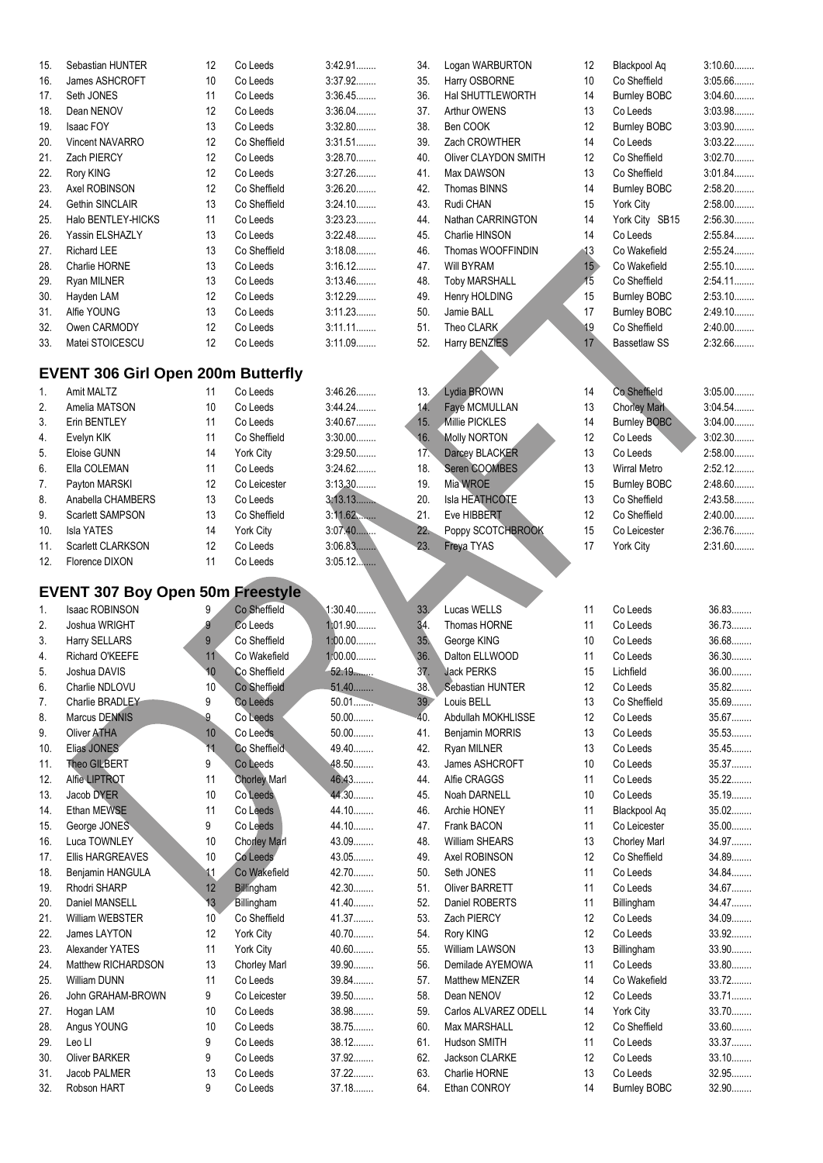| 15.               | Sebastian HUNTER                          | 12             | Co Leeds             | 3:42.91        | 34.        | Logan WARBURTON               | 12              | Blackpool Aq                    | 3:10.60                                                                |
|-------------------|-------------------------------------------|----------------|----------------------|----------------|------------|-------------------------------|-----------------|---------------------------------|------------------------------------------------------------------------|
| 16.               | James ASHCROFT                            | 10             | Co Leeds             | 3:37.92        | 35.        | Harry OSBORNE                 | 10              | Co Sheffield                    | 3:05.66                                                                |
| 17.               | Seth JONES                                | 11             | Co Leeds             | 3:36.45        | 36.        | Hal SHUTTLEWORTH              | 14              | <b>Burnley BOBC</b>             | 3:04.60                                                                |
| 18.               | Dean NENOV                                | 12             | Co Leeds             | 3:36.04        | 37.        | <b>Arthur OWENS</b>           | 13              | Co Leeds                        | 3:03.98                                                                |
|                   |                                           |                |                      |                |            |                               | 12              |                                 |                                                                        |
| 19.               | Isaac FOY                                 | 13             | Co Leeds             | 3:32.80        | 38.        | Ben COOK                      |                 | <b>Burnley BOBC</b>             | 3:03.90                                                                |
| 20.               | Vincent NAVARRO                           | 12             | Co Sheffield         | 3:31.51        | 39.        | Zach CROWTHER                 | 14              | Co Leeds                        | 3:03.22                                                                |
| 21.               | Zach PIERCY                               | 12             | Co Leeds             | 3:28.70        | 40.        | Oliver CLAYDON SMITH          | 12              | Co Sheffield                    | 3:02.70                                                                |
| 22.               | Rory KING                                 | 12             | Co Leeds             | 3:27.26        | 41.        | Max DAWSON                    | 13              | Co Sheffield                    | 3:01.84                                                                |
| 23.               | Axel ROBINSON                             | 12             | Co Sheffield         | 3:26.20        | 42.        | <b>Thomas BINNS</b>           | 14              | <b>Burnley BOBC</b>             | 2:58.20                                                                |
| 24.               | Gethin SINCLAIR                           | 13             | Co Sheffield         | 3:24.10        | 43.        | Rudi CHAN                     | 15              | York City                       | 2:58.00                                                                |
|                   |                                           |                |                      |                |            |                               |                 |                                 |                                                                        |
| 25.               | Halo BENTLEY-HICKS                        | 11             | Co Leeds             | 3:23.23        | 44.        | Nathan CARRINGTON             | 14              | York City SB15                  | 2:56.30                                                                |
| 26.               | Yassin ELSHAZLY                           | 13             | Co Leeds             | 3:22.48        | 45.        | Charlie HINSON                | 14              | Co Leeds                        | 2:55.84                                                                |
| 27.               | <b>Richard LEE</b>                        | 13             | Co Sheffield         | 3:18.08        | 46.        | Thomas WOOFFINDIN             | $\sqrt{3}$      | Co Wakefield                    | 2:55.24                                                                |
| 28.               | Charlie HORNE                             | 13             | Co Leeds             | 3:16.12        | 47.        | Will BYRAM                    | 15 <sub>2</sub> | Co Wakefield                    | 2:55.10                                                                |
| 29.               | Ryan MILNER                               | 13             | Co Leeds             | 3:13.46        | 48.        | <b>Toby MARSHALL</b>          | $\sqrt{15}$     | Co Sheffield                    | 2:54.11                                                                |
| 30.               | Hayden LAM                                | 12             | Co Leeds             | 3:12.29        | 49.        | Henry HOLDING                 | 15              | <b>Burnley BOBC</b>             | 2:53.10                                                                |
|                   |                                           |                |                      |                |            |                               |                 |                                 |                                                                        |
| 31.               | Alfie YOUNG                               | 13             | Co Leeds             | 3:11.23        | 50.        | Jamie BALL                    | 17              | <b>Burnley BOBC</b>             | 2:49.10                                                                |
| 32.               | Owen CARMODY                              | 12             | Co Leeds             | $3:11.11$      | 51.        | Theo CLARK                    | 19              | Co Sheffield                    | 2:40.00                                                                |
| 33.               | Matei STOICESCU                           | 12             | Co Leeds             | 3:11.09        | 52.        | Harry BENZIES                 | 17              | <b>Bassetlaw SS</b>             | 2:32.66                                                                |
|                   |                                           |                |                      |                |            |                               |                 |                                 |                                                                        |
|                   | <b>EVENT 306 Girl Open 200m Butterfly</b> |                |                      |                |            |                               |                 |                                 |                                                                        |
|                   |                                           |                |                      |                |            |                               |                 |                                 |                                                                        |
| 1.                | Amit MALTZ                                | 11             | Co Leeds             | 3:46.26        | 13.        | Lydia BROWN                   | 14              | Co Sheffield                    | $3:05.00$                                                              |
| 2.                | Amelia MATSON                             | 10             | Co Leeds             | 3:44.24        | 14.        | Faye MCMULLAN                 | 13              | Chorley Mark                    | 3:04.54                                                                |
| 3.                | Erin BENTLEY                              | 11             | Co Leeds             | 3:40.67        | 15.        | Millie PICKLES                | 14              | <b>Burnley BOBC</b>             | $3:04.00$                                                              |
| 4.                | Evelyn KIK                                | 11             | Co Sheffield         | $3:30.00$      | 16.        | <b>Molly NORTON</b>           | 12              | Co Leeds                        | 3:02.30                                                                |
| 5.                | Eloise GUNN                               | 14             | <b>York City</b>     | 3:29.50        | 17.        | Darcey BLACKER                | 13              | Co Leeds                        | 2:58.00                                                                |
|                   |                                           |                |                      |                |            |                               |                 |                                 | 2:52.12                                                                |
| 6.                | Ella COLEMAN                              | 11             | Co Leeds             | 3:24.62        | 18.        | Seren COOMBES                 | 13              | <b>Wirral Metro</b>             |                                                                        |
| 7.                | Payton MARSKI                             | 12             | Co Leicester         | 3:13.30        | 19.        | Mia WROE                      | 15              | <b>Burnley BOBC</b>             | 2:48.60                                                                |
| 8.                | Anabella CHAMBERS                         | 13             | Co Leeds             | 3:13.13        | 20.        | Isla HEATHCOTE                | 13              | Co Sheffield                    | 2:43.58                                                                |
| 9.                | Scarlett SAMPSON                          | 13             | Co Sheffield         | 3:11.62        | 21.        | Eve HIBBERT                   | 12              | Co Sheffield                    | 2:40.00                                                                |
| 10.               | Isla YATES                                | 14             | York City            | 3:07.40        | 22.        | Poppy SCOTCHBROOK             | 15              | Co Leicester                    | 2:36.76                                                                |
| 11.               | Scarlett CLARKSON                         | 12             | Co Leeds             | 3:06.83        | 23.        | Freya TYAS                    | 17              | York City                       | 2:31.60                                                                |
|                   |                                           |                |                      |                |            |                               |                 |                                 |                                                                        |
| 12.               | Florence DIXON                            | 11             | Co Leeds             | $3:05.12$      |            |                               |                 |                                 |                                                                        |
|                   |                                           |                |                      |                |            |                               |                 |                                 |                                                                        |
|                   | <b>EVENT 307 Boy Open 50m Freestyle</b>   |                |                      |                |            |                               |                 |                                 |                                                                        |
| 1.                | <b>Isaac ROBINSON</b>                     | 9              | Co Sheffield         | $1:30.40$      | 33.        | Lucas WELLS                   | 11              | Co Leeds                        | 36.83                                                                  |
| 2.                | Joshua WRIGHT                             | 9              | Co Leeds             | 1:01.90        | 34.        | Thomas HORNE                  | 11              | Co Leeds                        | 36.73                                                                  |
|                   |                                           | 9              | Co Sheffield         | $1:00.00$      | 35.        |                               | 10              | Co Leeds                        | 36.68                                                                  |
| 3.                | Harry SELLARS                             |                |                      |                |            | George KING                   |                 |                                 |                                                                        |
| 4.                | Richard O'KEEFE                           | 11             | Co Wakefield         | $1:00.00$      | 36.        | Dalton ELLWOOD                | 11              | Co Leeds                        | 36.30                                                                  |
| 5.                | Joshua DAVIS                              | 10             | Co Sheffield         | 52.19          | 37.        | <b>Jack PERKS</b>             | 15              | Lichfield                       | $36.00$                                                                |
| 6.                | Charlie NDLOVU                            | 10             | Co Sheffield         | $51.40$        | 38.        | Sebastian HUNTER              | 12              | Co Leeds                        | 35.82                                                                  |
| 7.                | Charlie BRADLEY                           | 9              | Co Leeds             | 50.01          | 39.        | Louis BELL                    | 13              | Co Sheffield                    | 35.69                                                                  |
| 8.                | Marcus DENNIS                             | $\overline{9}$ | Co Leeds             | $50.00$        | 40.        | Abdullah MOKHLISSE            | 12              | Co Leeds                        | 35.67                                                                  |
|                   |                                           |                |                      |                |            |                               |                 |                                 |                                                                        |
| 9.                | <b>Oliver ATHA</b>                        | 10             | Co Leeds             | 50.00          | 41.        | Benjamin MORRIS               | 13              | Co Leeds                        | 35.53                                                                  |
| 10.               | Elias JONES                               | 11             | Co Sheffield         | 49.40          | 42.        | Ryan MILNER                   | 13              | Co Leeds                        | 35.45                                                                  |
| 11.               | Theo GILBERT                              | 9              | Co Leeds             | 48.50          | 43.        | James ASHCROFT                | 10              | Co Leeds                        | 35.37                                                                  |
| 12.               | Alfie LIPTROT                             | 11             | <b>Chorley Marl</b>  | 46.43          | 44.        | Alfie CRAGGS                  | 11              | Co Leeds                        | 35.22                                                                  |
| 13.               | Jacob DYER                                | 10             | Co Leeds             | 44.30          | 45.        | Noah DARNELL                  | 10              | Co Leeds                        | 35.19                                                                  |
| 14.               | Ethan MEWSE                               | 11             | Co Leeds             | 44.10.         | 46.        | Archie HONEY                  | 11              | Blackpool Aq                    | $35.02$                                                                |
|                   |                                           |                |                      |                |            |                               |                 |                                 |                                                                        |
| 15.               | George JONES                              | 9              | Co Leeds             | 44.10.         | 47.        | Frank BACON                   | 11              | Co Leicester                    | $35.00$                                                                |
| 16.               | Luca TOWNLEY                              | 10             | <b>Chorley Marl</b>  | 43.09          | 48.        | William SHEARS                | 13              | Chorley Marl                    | 34.97                                                                  |
| 17.               |                                           |                | Co Leeds             | 43.05          | 49.        | Axel ROBINSON                 | 12              | Co Sheffield                    | 34.89                                                                  |
|                   | Ellis HARGREAVES                          | 10             |                      |                |            |                               |                 |                                 |                                                                        |
|                   |                                           |                |                      |                |            |                               |                 |                                 |                                                                        |
| 18.               | Benjamin HANGULA                          | 11             | Co Wakefield         | 42.70          | 50.        | Seth JONES                    | 11              | Co Leeds                        | 34.84                                                                  |
| 19.               | Rhodri SHARP                              | 12             | Billingham           | 42.30          | 51.        | <b>Oliver BARRETT</b>         | 11              | Co Leeds                        | 34.67                                                                  |
| 20.               | Daniel MANSELL                            | 13             | Billingham           | 41.40          | 52.        | Daniel ROBERTS                | 11              | Billingham                      | 34.47                                                                  |
| 21.               | William WEBSTER                           | 10             | Co Sheffield         | 41.37          | 53.        | Zach PIERCY                   | 12              | Co Leeds                        | 34.09                                                                  |
| 22.               | James LAYTON                              | 12             | York City            | 40.70          | 54.        | Rory KING                     | 12              | Co Leeds                        | 33.92                                                                  |
| 23.               | Alexander YATES                           | 11             | York City            | 40.60          | 55.        |                               | 13              | Billingham                      |                                                                        |
|                   |                                           |                |                      |                |            | William LAWSON                |                 |                                 |                                                                        |
|                   | Matthew RICHARDSON                        | 13             | <b>Chorley Marl</b>  | 39.90          | 56.        | Demilade AYEMOWA              | 11              | Co Leeds                        |                                                                        |
| 24.<br>25.        | William DUNN                              | 11             | Co Leeds             | 39.84          | 57.        | Matthew MENZER                | 14              | Co Wakefield                    | 33.72                                                                  |
|                   | John GRAHAM-BROWN                         | 9              | Co Leicester         | 39.50          | 58.        | Dean NENOV                    | 12              | Co Leeds                        |                                                                        |
|                   | Hogan LAM                                 | 10             | Co Leeds             | 38.98          | 59.        | Carlos ALVAREZ ODELL          | 14              | York City                       |                                                                        |
|                   | Angus YOUNG                               | 10             | Co Leeds             | 38.75          | 60.        | Max MARSHALL                  | 12              | Co Sheffield                    |                                                                        |
| 26.<br>27.<br>28. |                                           | 9              | Co Leeds             | 38.12          | 61.        |                               | 11              | Co Leeds                        |                                                                        |
| 29.               | Leo LI                                    |                |                      |                |            | Hudson SMITH                  |                 |                                 |                                                                        |
| 30.               | <b>Oliver BARKER</b>                      | 9              | Co Leeds             | 37.92          | 62.        | Jackson CLARKE                | 12              | Co Leeds                        | 33.10                                                                  |
| 31.<br>32.        | Jacob PALMER<br>Robson HART               | 13<br>9        | Co Leeds<br>Co Leeds | 37.22<br>37.18 | 63.<br>64. | Charlie HORNE<br>Ethan CONROY | 13<br>14        | Co Leeds<br><b>Burnley BOBC</b> | $33.90$<br>33.80<br>33.71<br>33.70<br>33.60<br>33.37<br>32.95<br>32.90 |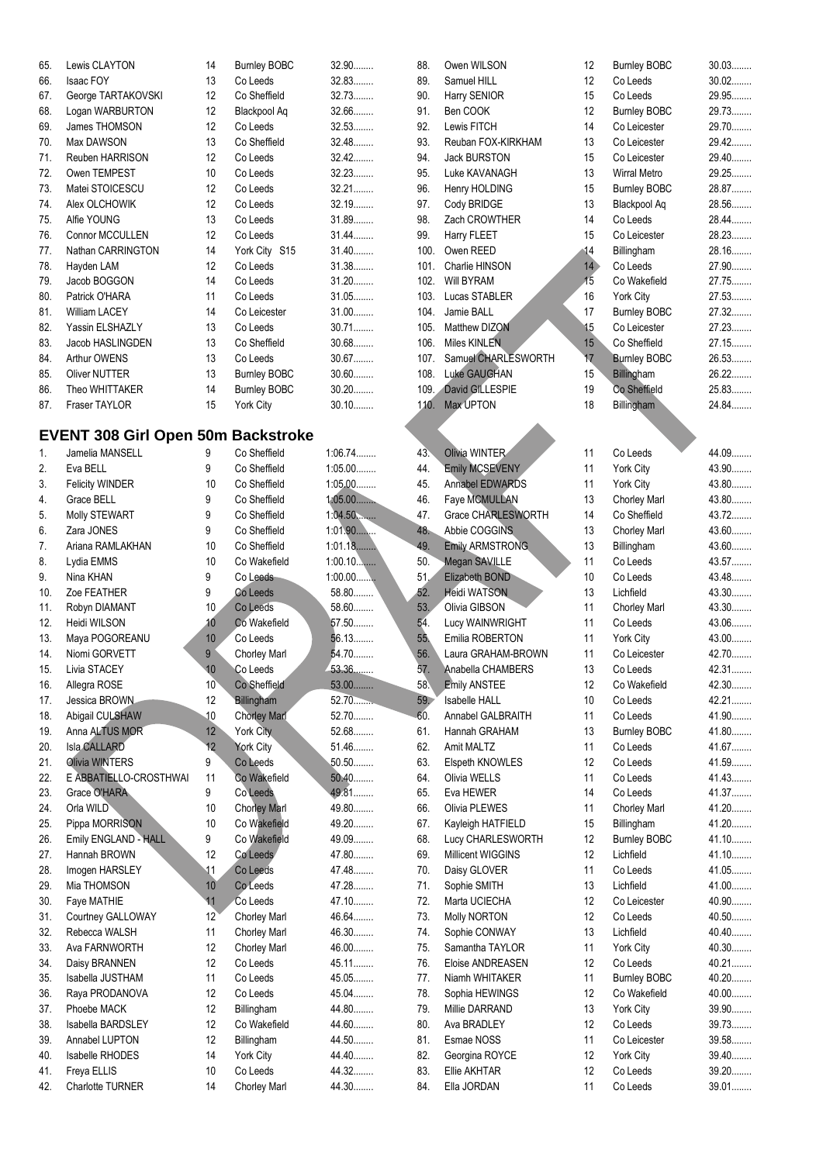| 65.      | Lewis CLAYTON                             | 14              | <b>Burnley BOBC</b>          | 32.90                  | 88.        | Owen WILSON                             |
|----------|-------------------------------------------|-----------------|------------------------------|------------------------|------------|-----------------------------------------|
| 66.      | <b>Isaac FOY</b>                          | 13              | Co Leeds                     | 32.83                  | 89.        | Samuel HILL                             |
| 67.      | George TARTAKOVSKI                        | 12              | Co Sheffield                 | 32.73                  | 90.        | Harry SENIOR                            |
| 68.      | Logan WARBURTON                           | 12              | Blackpool Aq                 | 32.66                  | 91.        | Ben COOK                                |
| 69.      | James THOMSON                             | 12              | Co Leeds                     | 32.53                  | 92.        | Lewis FITCH                             |
| 70.      | Max DAWSON                                | 13              | Co Sheffield                 | 32.48                  | 93.        | Reuban FOX-KIRKHAM                      |
| 71.      | Reuben HARRISON                           | 12              | Co Leeds                     | 32.42                  | 94.        | <b>Jack BURSTON</b>                     |
| 72.      | Owen TEMPEST                              | 10              | Co Leeds                     | 32.23                  | 95.        | Luke KAVANAGH                           |
| 73.      | Matei STOICESCU                           | 12              | Co Leeds                     | 32.21                  | 96.        | Henry HOLDING                           |
| 74.      | Alex OLCHOWIK                             | 12              | Co Leeds                     | 32.19                  | 97.        | Cody BRIDGE                             |
| 75.      | Alfie YOUNG                               | 13              | Co Leeds                     | 31.89                  | 98.        | Zach CROWTHER                           |
| 76.      | <b>Connor MCCULLEN</b>                    | 12              | Co Leeds                     | $31.44$                | 99.        | Harry FLEET                             |
| 77.      | Nathan CARRINGTON                         | 14              | York City S15                | $31.40$                | 100.       | Owen REED                               |
| 78.      | Hayden LAM                                | 12              | Co Leeds                     | 31.38                  | 101.       | Charlie HINSON                          |
| 79.      | Jacob BOGGON                              | 14              | Co Leeds                     | $31.20$                | 102.       | Will BYRAM                              |
| 80.      | Patrick O'HARA                            | 11              | Co Leeds                     | 31.05                  | 103.       | Lucas STABLER                           |
| 81.      | <b>William LACEY</b>                      | 14              | Co Leicester                 | $31.00$                | 104.       | Jamie BALL                              |
| 82.      | Yassin ELSHAZLY                           | 13              | Co Leeds                     | 30.71                  | 105.       | Matthew DIZON                           |
| 83.      | Jacob HASLINGDEN                          | 13              | Co Sheffield                 | 30.68                  | 106.       | Miles KINLEN                            |
| 84.      | Arthur OWENS                              | 13              | Co Leeds                     | 30.67                  | 107.       | Samuel CHARLESWORTH                     |
| 85.      | Oliver NUTTER                             | 13              | <b>Burnley BOBC</b>          | $30.60$                | 108.       | Luke GAUGHAN                            |
| 86.      | Theo WHITTAKER                            | 14              | <b>Burnley BOBC</b>          | $30.20$                |            | 109. David GILLESPIE                    |
| 87.      | Fraser TAYLOR                             | 15              | York City                    | 30.10                  | 110.       | Max UPTON                               |
|          |                                           |                 |                              |                        |            |                                         |
|          | <b>EVENT 308 Girl Open 50m Backstroke</b> |                 |                              |                        |            |                                         |
| 1.       | Jamelia MANSELL                           | 9               | Co Sheffield                 | 1:06.74                | 43.        | Olivia WINTER                           |
|          |                                           |                 |                              |                        |            |                                         |
| 2.       | Eva BELL                                  | 9               | Co Sheffield                 | $1:05.00$              | 44.        | <b>Emily MCSEVENY</b>                   |
| 3.       | <b>Felicity WINDER</b>                    | 10              | Co Sheffield                 | $1:05.00$              | 45.        | <b>Annabel EDWARDS</b>                  |
| 4.       | Grace BELL                                | 9<br>9          | Co Sheffield                 | $1:05.00$<br>$1.04.50$ | 46.<br>47. | Faye MCMULLAN<br>Grace CHARLESWORTH     |
| 5.       | Molly STEWART                             | 9               | Co Sheffield                 | $1:01.90$              | 48.        |                                         |
| 6.<br>7. | Zara JONES                                | 10              | Co Sheffield                 | $1:01.18$              | 49.        | Abbie COGGINS                           |
| 8.       | Ariana RAMLAKHAN                          | 10              | Co Sheffield<br>Co Wakefield | $1:00.10$              | 50.        | <b>Emily ARMSTRONG</b><br>Megan SAVILLE |
| 9.       | Lydia EMMS<br>Nina KHAN                   | 9               | Co Leeds                     | $1:00.00$              | 51.        | Elizabeth BOND                          |
| 10.      | Zoe FEATHER                               | 9               | Co Leeds                     | 58.80                  | 52.        | <b>Heidi WATSON</b>                     |
| 11.      | Robyn DIAMANT                             | 10              | Co Leeds                     | 58.60                  | 53.        | Olivia GIBSON                           |
| 12.      | Heidi WILSON                              | 10              | Co Wakefield                 | 57.50                  | 54.        | Lucy WAINWRIGHT                         |
| 13.      | Maya POGOREANU                            | 10              | Co Leeds                     | 56.13                  | 55.        | Emilia ROBERTON                         |
| 14.      | Niomi GORVETT                             | $\overline{9}$  | Chorley Marl                 | 54.70                  | 56.        | Laura GRAHAM-BROWN                      |
| 15.      | Livia STACEY                              | 10              |                              | $53.36$                | 57.        | Anabella CHAMBERS                       |
| 16.      | Allegra ROSE                              | 10 <sup>°</sup> | Co Leeds<br>Co Sheffield     | $53.00$                | 58.        | <b>Emily ANSTEE</b>                     |
| 17.      | Jessica BROWN                             | 12              | <b>Billingham</b>            | 52.70                  | 59.        | Isabelle HALL                           |
| 18.      | Abigail CULSHAW                           | 10              | <b>Chorley Marl</b>          | 52.70                  | 60.        | Annabel GALBRAITH                       |
| 19.      | Anna ALTUS MOR                            | 12              | York City                    | 52.68                  | 61.        | Hannah GRAHAM                           |
| 20.      | <b>Isla CALLARD</b>                       | 12              | York City                    | 51.46                  | 62.        | Amit MALTZ                              |
| 21.      | Olivia WINTERS                            | 9               | Co Leeds                     | $50.50$                | 63.        | Elspeth KNOWLES                         |
| 22.      | E ABBATIELLO-CROSTHWAI                    | 11              | Co Wakefield                 | 50.40                  | 64.        | Olivia WELLS                            |
| 23.      | Grace O'HARA                              | 9               | Co Leeds                     | 49.81                  | 65.        | Eva HEWER                               |
| 24.      | Orla WILD                                 | 10              | <b>Chorley Marl</b>          | 49.80                  | 66.        | Olivia PLEWES                           |
| 25.      | Pippa MORRISON                            | 10              | Co Wakefield                 | 49.20.                 | 67.        | Kayleigh HATFIELD                       |
| 26.      | Emily ENGLAND - HALL                      | 9               | Co Wakefield                 | 49.09                  | 68.        | Lucy CHARLESWORTH                       |
| 27.      | Hannah BROWN                              | 12              | Co Leeds                     | 47.80                  | 69.        | Millicent WIGGINS                       |
| 28.      | Imogen HARSLEY                            | 11              | Co Leeds                     | 47.48                  | 70.        | Daisy GLOVER                            |
| 29.      | Mia THOMSON                               | 10              | Co Leeds                     | 47.28                  | 71.        | Sophie SMITH                            |
| 30.      | Faye MATHIE                               | 11              | Co Leeds                     | 47.10                  | 72.        | Marta UCIECHA                           |
| 31.      | Courtney GALLOWAY                         | 12              | Chorley Marl                 | 46.64                  | 73.        | <b>Molly NORTON</b>                     |
| 32.      | Rebecca WALSH                             | 11              | Chorley Marl                 | 46.30                  | 74.        | Sophie CONWAY                           |
| 33.      | Ava FARNWORTH                             | 12              | Chorley Marl                 | 46.00                  | 75.        | Samantha TAYLOR                         |
| 34.      | Daisy BRANNEN                             | 12              | Co Leeds                     | 45.11                  | 76.        | Eloise ANDREASEN                        |
| 35.      | Isabella JUSTHAM                          | 11              | Co Leeds                     | 45.05                  | 77.        | Niamh WHITAKER                          |
| 36.      | Raya PRODANOVA                            | 12              | Co Leeds                     | 45.04                  | 78.        | Sophia HEWINGS                          |
| 37.      | Phoebe MACK                               | 12              | Billingham                   | 44.80                  | 79.        | Millie DARRAND                          |
| 38.      | Isabella BARDSLEY                         | 12              | Co Wakefield                 | 44.60                  | 80.        | Ava BRADLEY                             |
| 39.      | Annabel LUPTON                            | 12              | Billingham                   | 44.50                  | 81.        | Esmae NOSS                              |
| 40.      | Isabelle RHODES                           | 14              | York City                    | 44.40                  | 82.        | Georgina ROYCE                          |
| 41.      | Freya ELLIS                               | $10$            | Co Leeds                     | 44.32                  | 83.        | Ellie AKHTAR                            |
|          |                                           |                 |                              |                        |            |                                         |

42. Charlotte TURNER 14 Chorley Marl 44.30........

| 88.  | Owen WILSON            | 12     | <b>Burnley BOBC</b> | 30.03   |
|------|------------------------|--------|---------------------|---------|
| 89.  | Samuel HILL            | 12     | Co Leeds            | $30.02$ |
| 90.  | Harry SENIOR           | 15     | Co Leeds            | 29.95   |
| 91.  | Ben COOK               | 12     | <b>Burnley BOBC</b> | 29.73   |
| 92.  | Lewis FITCH            | 14     | Co Leicester        | 29.70   |
| 93.  | Reuban FOX-KIRKHAM     | 13     | Co Leicester        | 29.42   |
| 94.  | <b>Jack BURSTON</b>    | 15     | Co Leicester        | 29.40   |
| 95.  | Luke KAVANAGH          | 13     | Wirral Metro        | 29.25   |
|      |                        |        |                     |         |
| 96.  | Henry HOLDING          | 15     | <b>Burnley BOBC</b> | 28.87   |
| 97.  | Cody BRIDGE            | 13     | Blackpool Aq        | 28.56   |
| 98.  | Zach CROWTHER          | 14     | Co Leeds            | 28.44   |
| 99.  | Harry FLEET            | 15     | Co Leicester        | 28.23   |
| 100. | Owen REED              | 14     | Billingham          | 28.16   |
| 101. | Charlie HINSON         | $14 -$ | Co Leeds            | 27.90   |
| 102. | <b>Will BYRAM</b>      | 15     | Co Wakefield        | 27.75   |
| 103. | Lucas STABLER          | 16     | York City           | 27.53   |
| 104. | Jamie BALL             | 17     | <b>Burnley BOBC</b> | 27.32   |
| 105. | Matthew DIZON          | 15     | Co Leicester        | 27.23   |
| 106. | <b>Miles KINLEN</b>    | 15     | Co Sheffield        | 27.15   |
| 107. | Samuel CHARLESWORTH    | 17     | <b>Burnley BOBC</b> | 26.53   |
| 108. | Luke GAUGHAN           | 15     |                     | $26.22$ |
|      |                        |        | Billingham          |         |
| 109. | David GILLESPIE        | 19     | Co Sheffield        | 25.83   |
| 110. | Max UPTON              | 18     | Billingham          | 24.84   |
|      |                        |        |                     |         |
|      |                        |        |                     |         |
| 43.  | <b>Olivia WINTER</b>   | 11     | Co Leeds            | 44.09   |
| 44.  | <b>Emily MCSEVENY</b>  | 11     | York City           | 43.90   |
| 45.  | <b>Annabel EDWARDS</b> | 11     | York City           | 43.80   |
| 46.  | Faye MCMULLAN          | 13     | Chorley Marl        | 43.80   |
| 47.  | Grace CHARLESWORTH     | 14     | Co Sheffield        | 43.72   |
| 48.  | Abbie COGGINS          | 13     | Chorley Marl        | 43.60   |
| 49.  | <b>Emily ARMSTRONG</b> | 13     | Billingham          | 43.60   |
|      | Megan SAVILLE          | 11     | Co Leeds            | 43.57   |
| 50.  |                        |        |                     |         |
| 51.  | Elizabeth BOND         | 10     | Co Leeds            | 43.48   |
| 52.  | <b>Heidi WATSON</b>    | 13     | Lichfield           | 43.30   |
| 53.  | Olivia GIBSON          | 11     | Chorley Marl        | 43.30   |
| 54.  | Lucy WAINWRIGHT        | 11     | Co Leeds            | 43.06   |
| 55.  | Emilia ROBERTON        | 11     | York City           | 43.00   |
| 56.  | Laura GRAHAM-BROWN     | 11     | Co Leicester        | 42.70   |
| 57.  | Anabella CHAMBERS      | 13     | Co Leeds            | 42.31   |
| 58.  | <b>Emily ANSTEE</b>    | 12     | Co Wakefield        | 42.30   |
| 59.  | Isabelle HALL          | 10     | Co Leeds            | 42.21   |
| 60.  | Annabel GALBRAITH      | 11     | Co Leeds            | 41.90   |
| 61.  | Hannah GRAHAM          | 13     | <b>Burnley BOBC</b> | 41.80   |
| 62.  | Amit MALTZ             | 11     | Co Leeds            | 41.67   |
| 63.  | Elspeth KNOWLES        | 12     | Co Leeds            | 41.59   |
| 64.  | Olivia WELLS           | 11     | Co Leeds            | 41.43   |
|      |                        | 14     |                     | 41.37   |
| 65.  | Eva HEWER              |        | Co Leeds            |         |
| 66.  | Olivia PLEWES          | 11     | Chorley Marl        | 41.20   |
| 67.  | Kayleigh HATFIELD      | 15     | Billingham          | $41.20$ |
| 68.  | Lucy CHARLESWORTH      | 12     | <b>Burnley BOBC</b> | 41.10.  |
| 69.  | Millicent WIGGINS      | 12     | Lichfield           | 41.10.  |
| 70.  | Daisy GLOVER           | 11     | Co Leeds            | 41.05   |
| 71.  | Sophie SMITH           | 13     | Lichfield           | 41.00   |
| 72.  | Marta UCIECHA          | 12     | Co Leicester        | 40.90   |
| 73.  | Molly NORTON           | 12     | Co Leeds            | 40.50   |
| 74.  | Sophie CONWAY          | 13     | Lichfield           | 40.40   |
| 75.  | Samantha TAYLOR        | 11     | York City           | 40.30   |
| 76.  | Eloise ANDREASEN       | 12     | Co Leeds            | 40.21   |
| 77.  | Niamh WHITAKER         | 11     | <b>Burnley BOBC</b> | 40.20   |
|      |                        |        |                     | 40.00   |
| 78.  | Sophia HEWINGS         | 12     | Co Wakefield        |         |
| 79.  | Millie DARRAND         | 13     | York City           | 39.90   |
| 80.  | Ava BRADLEY            | 12     | Co Leeds            | 39.73   |
| 81.  | Esmae NOSS             | 11     | Co Leicester        | 39.58   |
| 82.  | Georgina ROYCE         | 12     | York City           | 39.40   |
| 83.  | Ellie AKHTAR           | 12     | Co Leeds            | 39.20   |
| 84.  | Ella JORDAN            | 11     | Co Leeds            | 39.01   |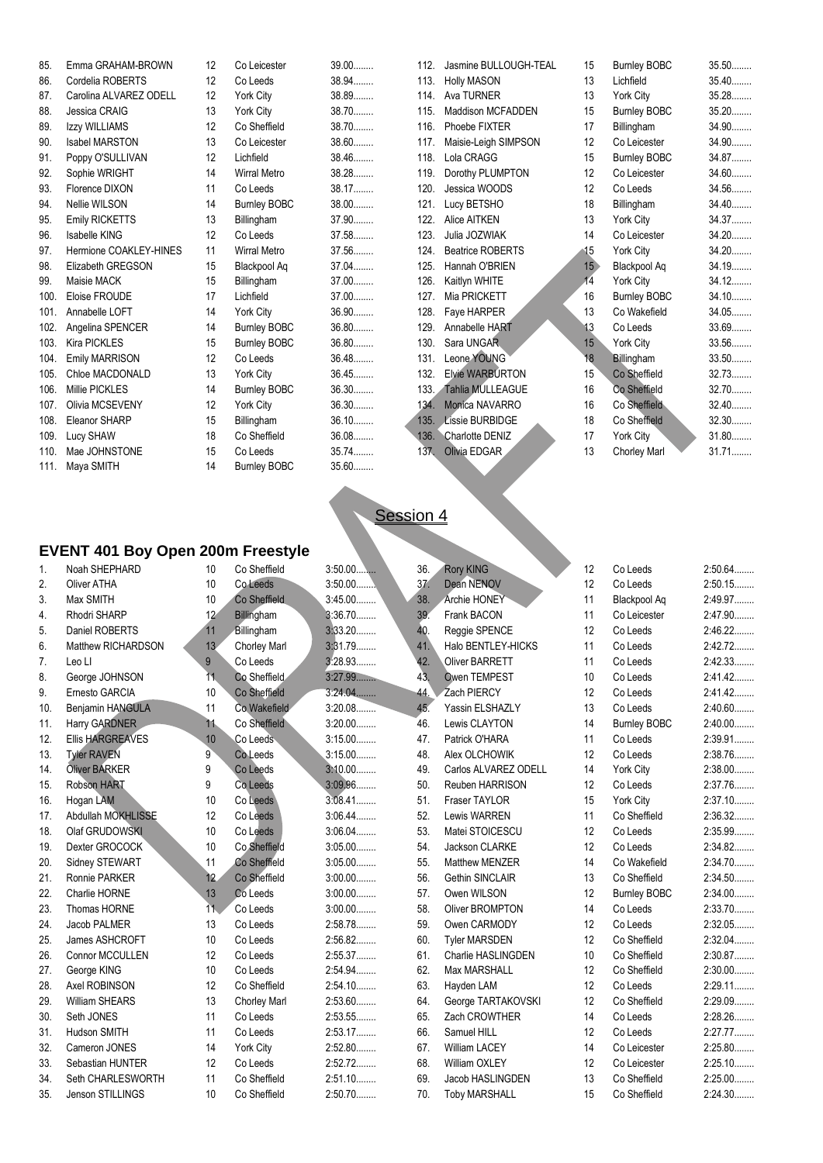85. Emma GRAHAM-BROWN 12 Co Leicester 39.00........ 86. Cordelia ROBERTS 12 Co Leeds 38.94........ 87. Carolina ALVAREZ ODELL 12 York City 38.89........ 88. Jessica CRAIG 13 York City 38.70........ 89. Izzy WILLIAMS 12 Co Sheffield 38.70........ 90. Isabel MARSTON 13 Co Leicester 38.60........ 91. Poppy O'SULLIVAN 12 Lichfield 38.46........ 92. Sophie WRIGHT 14 Wirral Metro 38.28........ 93. Florence DIXON 11 Co Leeds 38.17........<br>94. Nellie WILSON 14 Burnley BOBC 38.00........ 95. Emily RICKETTS 13 Billingham 37.90........ 96. Isabelle KING 12 Co Leeds 37.58........ 97. Hermione COAKLEY-HINES 11 Wirral Metro 37.56........ 98. Elizabeth GREGSON 15 Blackpool Aq 37.04........<br>15 Billingham 37.00........ 99. Maisie MACK 15 Billingham 100. Eloise FROUDE 17 Lichfield 37.00........ 101. Annabelle LOFT 14 York City 36.90....... 102. Angelina SPENCER 14 Burnley BOBC 36.80........<br>103. Kira PICKLES 15 Burnley BOBC 36.80........ 103. Kira PICKLES 15 Burnley BOBC 36.80........ 104. Emily MARRISON 12 Co Leeds 105. Chloe MACDONALD 13 York City 36.45........ 106. Millie PICKLES 14 Burnley BOBC 36.30........ 107. Olivia MCSEVENY 12 York City 36.30........<br>108. Eleanor SHARP 15 Billingham 36.10........ 108. Eleanor SHARP 15 Billingham 36.10........<br>109. Lucv SHAW 18 Co Sheffield 36.08........ 109. Lucy SHAW 18 Co Sheffield 36.08........<br>110. Mae JOHNSTONE 15 Co Leeds 35.74........ 110. Mae JOHNSTONE 15 Co Leeds 111. Maya SMITH 14 Burnley BOBC 35.60........

14 Burnley BOBC 38.00........

| 112. | Jasmine BULLOUGH-TEAL   | 15     | <b>Burnley BOBC</b> | 35.50   |
|------|-------------------------|--------|---------------------|---------|
| 113. | <b>Holly MASON</b>      | 13     | Lichfield           | 35.40   |
| 114. | Ava TURNER              | 13     | York City           | 35.28   |
| 115. | Maddison MCFADDEN       | 15     | <b>Burnley BOBC</b> | 35.20   |
| 116. | Phoebe FIXTER           | 17     | Billingham          | 34.90   |
| 117. | Maisie-Leigh SIMPSON    | 12     | Co Leicester        | 34.90   |
| 118. | Lola CRAGG              | 15     | <b>Burnley BOBC</b> | 34.87   |
| 119. | Dorothy PLUMPTON        | 12     | Co Leicester        | 34.60   |
| 120. | Jessica WOODS           | 12     | Co Leeds            | 34.56   |
| 121. | Lucy BETSHO             | 18     | Billingham          | 34.40   |
| 122. | Alice AITKEN            | 13     | York City           | 34.37   |
| 123. | Julia JOZWIAK           | 14     | Co Leicester        | 34.20   |
| 124. | <b>Beatrice ROBERTS</b> | 15     | York City           | 34.20   |
| 125. | Hannah O'BRIEN          | $15 -$ | Blackpool Aq        | 34.19.  |
| 126. | Kaitlyn WHITE           | 14     | York City           | 34.12   |
| 127. | Mia PRICKETT            | 16     | <b>Burnley BOBC</b> | 34.10.  |
| 128. | Faye HARPER             | 13     | Co Wakefield        | 34.05   |
| 129. | Annabelle HART          | 13     | Co Leeds            | 33.69   |
| 130. | Sara UNGAR              | 15     | York City           | 33.56   |
| 131. | Leone YOUNG             | 18     | Billingham          | 33.50   |
| 132. | <b>Elvie WARBURTON</b>  | 15     | Co Sheffield        | 32.73.  |
| 133. | <b>Tahlia MULLEAGUE</b> | 16     | Co Sheffield        | 32.70   |
| 134. | Monica NAVARRO          | 16     | Co Sheffield        | 32.40   |
|      | 135. Lissie BURBIDGE    | 18     | Co Sheffield        | 32.30   |
| 136. | Charlotte DENIZ         | 17     | York City           | 31.80   |
| 137. | Olivia EDGAR            | 13     | <b>Chorley Marl</b> | $31.71$ |
|      |                         |        |                     |         |

#### Session 4

 $\overline{\phantom{a}}$ 

#### 1. Noah SHEPHARD 10 Co Sheffield 3:50.00... 2. Oliver ATHA 10 Co Leeds 3:50.00... 3. Max SMITH 10 Co Sheffield 3:45.00....... 4. Rhodri SHARP 12 Billingham 3:36.70........ 5. Daniel ROBERTS 11 Billingham 3:33.20........ 6. Matthew RICHARDSON 13 Chorley Marl 3:31.79........ 7. Leo LI 9 Co Leeds 3:28.93........ 8. George JOHNSON 11 Co Sheffield 3:27.99...... 9. Ernesto GARCIA 10 Co Sheffield 3:24.04.... 10. Benjamin HANGULA 11 Co Wakefield 3:20.08.........<br>11 Harry GARDNER 11 Co Sheffield 3:20.00........ 11. Harry GARDNER 11 Co Sheffield 3:20.00.........<br>12 Ellis HARGREAVES 10 Co Leeds 3:15.00........ 12. Ellis HARGREAVES 10 Co Leeds 13. Tyler RAVEN 9 Co Leeds 3:15.00........ 14. Oliver BARKER 9 Co Leeds 3:10.00........ 15. Robson HART 9 Co Leeds 3:09.96........ 16. Hogan LAM 10 Co Leeds 3:08.41........<br>17 Abdullah MOKHLISSE 12 Co Leeds 3:06.44........ 17. Abdullah MOKHLISSE 12 Co Leeds 3:06.44........<br>18. Olaf GRUDOWSKI 10 Co Leeds 3:06.04........ 18. Olaf GRUDOWSKI 10 Co Leeds 19. Dexter GROCOCK 10 Co Sheffield 3:05.00........ 20. Sidney STEWART 11 Co Sheffield 3:05.00........ 21. Ronnie PARKER 12 Co Sheffield 3:00.00........ 22. Charlie HORNE 13 Co Leeds 3:00.00........ 23. Thomas HORNE 11 Co Leeds 3:00.00........ 24. Jacob PALMER 13 Co Leeds 2:58.78........ 25. James ASHCROFT 10 Co Leeds 2:56.82........ 26. Connor MCCULLEN 12 Co Leeds 2:55.37........ 27. George KING 10 Co Leeds 2:54.94........ 28. Axel ROBINSON 12 Co Sheffield 2:54.10........ 29. William SHEARS 13 Chorley Marl 2:53.60........ 30. Seth JONES 11 Co Leeds 2:53.55........ 31. Hudson SMITH 11 Co Leeds 2:53.17........ 32. Cameron JONES 14 York City 2:52.80........ 33. Sebastian HUNTER 12 Co Leeds 2:52.72........ 34. Seth CHARLESWORTH 11 Co Sheffield 2:51.10........ 35. Jenson STILLINGS 10 Co Sheffield 2:50.70........ 36. Rory KING 12 Co Leeds 2:50.64......... 37. Dean NENOV 12 Co Leeds 2:50.15........ 38. Archie HONEY 11 Blackpool Aq 2:49.97........ 39. Frank BACON 11 Co Leicester 2:47.90........ 40. Reggie SPENCE 12 Co Leeds 2:46.22........ 41. Halo BENTLEY-HICKS 11 Co Leeds 2:42.72........ 42. Oliver BARRETT 11 Co Leeds 2:42.33........ 43. Owen TEMPEST 10 Co Leeds 2:41.42........ 44. Zach PIERCY 12 Co Leeds 2:41.42........ 45. Yassin ELSHAZLY 13 Co Leeds 2:40.60........<br>46 Lewis CLAYTON 14 Burnley BOBC 2:40.00........ 46. Lewis CLAYTON 14 Burnley BOBC 47. Patrick O'HARA 11 Co Leeds 2:39.91........ 48 Alex OLCHOWIK 12 Co Leeds 2:38.76........ 49. Carlos ALVAREZ ODELL 14 York City 2:38.00........ 50. Reuben HARRISON 12 Co Leeds 2:37.76........ 51. Fraser TAYLOR 15 York City 2:37.10........ 52. Lewis WARREN 11 Co Sheffield 2:36.32........ 53. Matei STOICESCU 12 Co Leeds 2:35.99........ 54. Jackson CLARKE 12 Co Leeds 2:34.82........ 55. Matthew MENZER 14 Co Wakefield 2:34.70........ 56. Gethin SINCLAIR 13 Co Sheffield 2:34.50........ 57. Owen WILSON 12 Burnley BOBC 2:34.00........ 58. Oliver BROMPTON 14 Co Leeds 2:33.70........ 59. Owen CARMODY 12 Co Leeds 2:32.05........ 60. Tyler MARSDEN 12 Co Sheffield 2:32.04........ 61. Charlie HASLINGDEN 10 Co Sheffield 2:30.87........ 62. Max MARSHALL 12 Co Sheffield 2:30.00........ 63. Hayden LAM 12 Co Leeds 2:29.11........ 64. George TARTAKOVSKI 12 Co Sheffield 2:29.09........ 65. Zach CROWTHER 14 Co Leeds 2:28.26........ 66. Samuel HILL 12 Co Leeds 2:27.77........ 67. William LACEY 14 Co Leicester 2:25.80........ 68. William OXLEY 12 Co Leicester 2:25.10........ 69. Jacob HASLINGDEN 13 Co Sheffield 2:25.00........ 70. Toby MARSHALL 15 Co Sheffield 2:24.30........

#### **EVENT 401 Boy Open 200m Freestyle**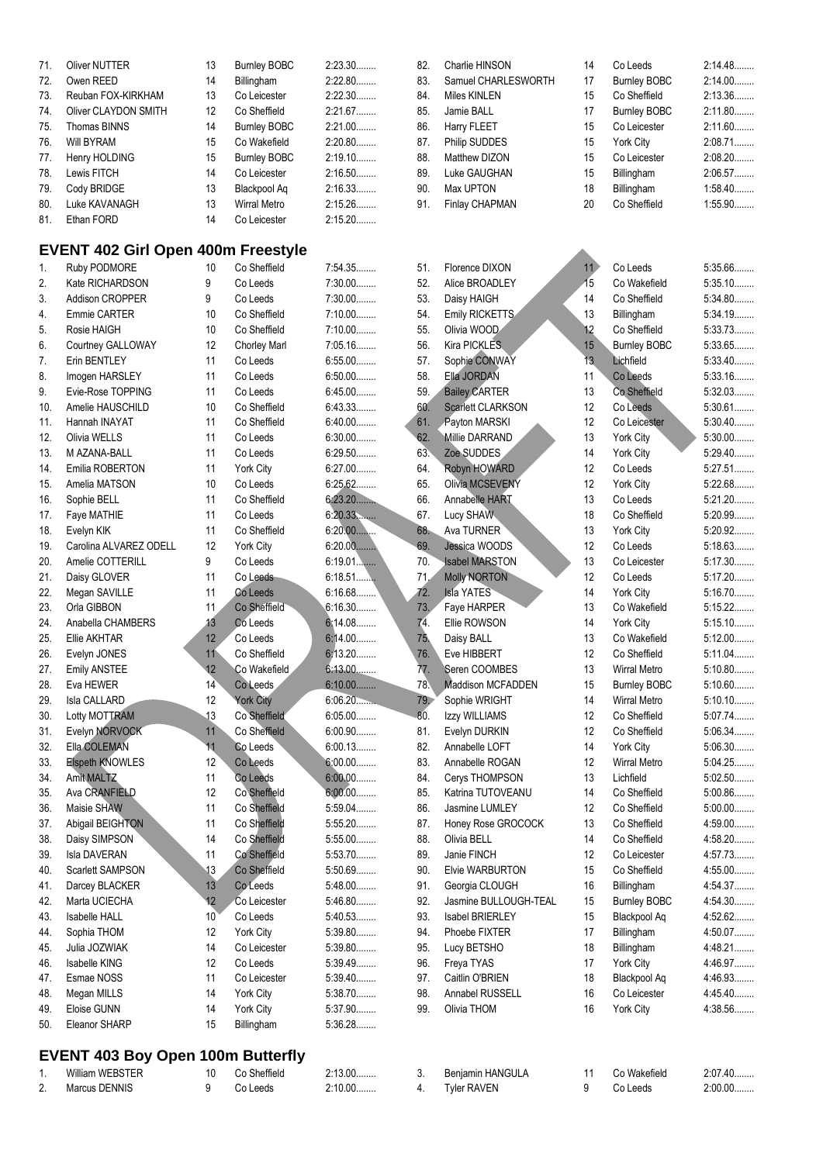| 71. | <b>Oliver NUTTER</b>                      | 13 | <b>Burnley BOBC</b> | 2:23.30     | 82. | Charlie HINSON           | 14                | Co Leeds            | 2:14.48   |
|-----|-------------------------------------------|----|---------------------|-------------|-----|--------------------------|-------------------|---------------------|-----------|
| 72. | Owen REED                                 | 14 | Billingham          | 2:22.80     | 83. | Samuel CHARLESWORTH      | 17                | <b>Burnley BOBC</b> | $2:14.00$ |
| 73. | Reuban FOX-KIRKHAM                        | 13 | Co Leicester        | 2:22.30     | 84. | Miles KINLEN             | 15                | Co Sheffield        | 2:13.36   |
| 74. | Oliver CLAYDON SMITH                      | 12 | Co Sheffield        | 2:21.67     | 85. | Jamie BALL               | 17                | <b>Burnley BOBC</b> | 2:11.80   |
| 75. | <b>Thomas BINNS</b>                       | 14 | <b>Burnley BOBC</b> | 2:21.00     | 86. | Harry FLEET              | 15                | Co Leicester        | 2:11.60   |
| 76. | <b>Will BYRAM</b>                         | 15 | Co Wakefield        | 2:20.80     | 87. | Philip SUDDES            | 15                | York City           | 2:08.71   |
| 77. | Henry HOLDING                             | 15 | <b>Burnley BOBC</b> | 2:19.10     | 88. | Matthew DIZON            | 15                | Co Leicester        | 2:08.20   |
| 78. |                                           | 14 |                     | 2:16.50     | 89. |                          | 15                |                     | 2:06.57   |
|     | Lewis FITCH                               |    | Co Leicester        |             |     | Luke GAUGHAN             |                   | Billingham          |           |
| 79. | Cody BRIDGE                               | 13 | Blackpool Aq        | 2:16.33     | 90. | Max UPTON                | 18                | Billingham          | 1:58.40   |
| 80. | Luke KAVANAGH                             | 13 | Wirral Metro        | 2:15.26     | 91. | Finlay CHAPMAN           | 20                | Co Sheffield        | 1:55.90   |
| 81. | Ethan FORD                                | 14 | Co Leicester        | 2:15.20     |     |                          |                   |                     |           |
|     |                                           |    |                     |             |     |                          |                   |                     |           |
|     | <b>EVENT 402 Girl Open 400m Freestyle</b> |    |                     |             |     |                          |                   |                     |           |
| 1.  | Ruby PODMORE                              | 10 | Co Sheffield        | 7:54.35     | 51. | Florence DIXON           | 11                | Co Leeds            | 5:35.66   |
| 2.  | Kate RICHARDSON                           | 9  | Co Leeds            | 7:30.00     | 52. | Alice BROADLEY           | 15                | Co Wakefield        | $5:35.10$ |
| 3.  | Addison CROPPER                           | 9  | Co Leeds            | 7:30.00     | 53. | Daisy HAIGH              | 14                | Co Sheffield        | 5:34.80   |
| 4.  | Emmie CARTER                              | 10 | Co Sheffield        | 7:10.00     | 54. | Emily RICKETTS           | 13                | Billingham          | 5:34.19   |
| 5.  | Rosie HAIGH                               | 10 | Co Sheffield        | 7:10.00     | 55. | Olivia WOOD              | 12                | Co Sheffield        | 5:33.73   |
| 6.  | Courtney GALLOWAY                         | 12 | Chorley Marl        | 7:05.16     | 56. | Kira PICKLES             | 15                | <b>Burnley BOBC</b> | 5:33.65   |
| 7.  | Erin BENTLEY                              | 11 | Co Leeds            | $6:55.00$   | 57. | Sophie CONWAY            | 13                | Lichfield           | $5:33.40$ |
| 8.  | Imogen HARSLEY                            | 11 | Co Leeds            | $6:50.00$   | 58. | Ella JORDAN              | 11                | Co Leeds            | 5:33.16   |
| 9.  | Evie-Rose TOPPING                         | 11 | Co Leeds            | $6:45.00$   | 59. | <b>Bailey CARTER</b>     | 13                | Co Sheffield        | 5:32.03   |
| 10. | Amelie HAUSCHILD                          | 10 | Co Sheffield        | 6:43.33     | 60. | <b>Scarlett CLARKSON</b> | 12                | Co Leeds            | 5:30.61   |
|     |                                           |    |                     |             |     |                          |                   |                     |           |
| 11. | Hannah INAYAT                             | 11 | Co Sheffield        | $6:40.00$   | 61. | Payton MARSKI            | 12                | Co Leicester        | $5:30.40$ |
| 12. | Olivia WELLS                              | 11 | Co Leeds            | $6:30.00$   | 62. | Millie DARRAND           | 13                | York City           | $5:30.00$ |
| 13. | M AZANA-BALL                              | 11 | Co Leeds            | $6:29.50$   | 63. | Zoe SUDDES               | 14                | York City           | $5:29.40$ |
| 14. | Emilia ROBERTON                           | 11 | <b>York City</b>    | 6:27.00     | 64. | Robyn HOWARD             | $12 \overline{ }$ | Co Leeds            | $5:27.51$ |
| 15. | Amelia MATSON                             | 10 | Co Leeds            | 6:25.62     | 65. | Olivia MCSEVENY          | 12                | York City           | 5:22.68   |
| 16. | Sophie BELL                               | 11 | Co Sheffield        | 6:23.20     | 66. | Annabelle HART           | 13                | Co Leeds            | $5:21.20$ |
| 17. | Faye MATHIE                               | 11 | Co Leeds            | $6:20.33$   | 67. | Lucy SHAW                | 18                | Co Sheffield        | 5:20.99   |
| 18. | Evelyn KIK                                | 11 | Co Sheffield        | $6:20.00$   | 68. | Ava TURNER               | 13                | York City           | $5:20.92$ |
| 19. | Carolina ALVAREZ ODELL                    | 12 | York City           | $6:20.00$   | 69. | Jessica WOODS            | 12                | Co Leeds            | 5:18.63   |
| 20. | Amelie COTTERILL                          | 9  | Co Leeds            | $6:19.01$   | 70. | <b>Isabel MARSTON</b>    | 13                | Co Leicester        | 5:17.30   |
| 21. | Daisy GLOVER                              | 11 | Co Leeds            | $6:18.51$ . | 71. | <b>Molly NORTON</b>      | 12                | Co Leeds            | $5:17.20$ |
| 22. | Megan SAVILLE                             | 11 | Co Leeds            | 6:16.68     | 72. | <b>Isla YATES</b>        | 14                | York City           | 5:16.70   |
| 23. | Orla GIBBON                               | 11 | Co Sheffield        | 6:16.30     | 73. | Faye HARPER              | 13                | Co Wakefield        | $5:15.22$ |
| 24. | Anabella CHAMBERS                         | 13 | Co Leeds            | 6:14.08     | 74. | Ellie ROWSON             | 14                | York City           | $5:15.10$ |
|     |                                           |    |                     |             |     |                          |                   |                     |           |
| 25. | Ellie AKHTAR                              | 12 | Co Leeds            | $6:14.00$   | 75. | Daisy BALL               | 13                | Co Wakefield        | 5:12.00   |
| 26. | Evelyn JONES                              | 11 | Co Sheffield        | 6:13.20     | 76. | Eve HIBBERT              | 12                | Co Sheffield        | $5:11.04$ |
| 27. | <b>Emily ANSTEE</b>                       | 12 | Co Wakefield        | $6:13.00$   | 77. | Seren COOMBES            | 13                | <b>Wirral Metro</b> | $5:10.80$ |
| 28. | Eva HEWER                                 | 14 | Co Leeds            | $6:10.00$   | 78. | Maddison MCFADDEN        | 15                | <b>Burnley BOBC</b> | 5:10.60   |
| 29. | Isla CALLARD                              | 12 | <b>York City</b>    | 6:06.20     | 79. | Sophie WRIGHT            | 14                | Wirral Metro        | $5:10.10$ |
| 30. | Lotty MOTTRAM                             | 13 | Co Sheffield        | $6:05.00$   | 80. | Izzy WILLIAMS            | 12                | Co Sheffield        | 5:07.74   |
| 31. | Evelyn NORVOCK                            | 11 | Co Sheffield        | 6:00.90     | 81. | Evelyn DURKIN            | 12                | Co Sheffield        | 5:06.34   |
| 32. | Ella COLEMAN                              | 11 | Co Leeds            | 6:00.13     | 82. | Annabelle LOFT           | 14                | York City           | 5:06.30   |
| 33. | <b>Elspeth KNOWLES</b>                    | 12 | Co Leeds            | 6:00.00     | 83. | Annabelle ROGAN          | 12                | Wirral Metro        | 5:04.25   |
| 34. | <b>Amit MALTZ</b>                         | 11 | Co Leeds            | $6:00.00$   | 84. | Cerys THOMPSON           | 13                | Lichfield           | 5:02.50   |
| 35. | Ava CRANFIELD                             | 12 | Co Sheffield        | $6:00.00$   | 85. | Katrina TUTOVEANU        | 14                | Co Sheffield        | 5:00.86   |
| 36. | Maisie SHAW                               | 11 | Co Sheffield        | 5:59.04     | 86. | Jasmine LUMLEY           | 12                | Co Sheffield        | $5:00.00$ |
| 37. | Abigail BEIGHTON                          | 11 | Co Sheffield        | $5:55.20$   | 87. | Honey Rose GROCOCK       | 13                | Co Sheffield        | 4:59.00   |
|     |                                           |    | Co Sheffield        | 5:55.00     | 88. | Olivia BELL              | 14                |                     | 4:58.20   |
| 38. | Daisy SIMPSON                             | 14 |                     |             |     |                          |                   | Co Sheffield        |           |
| 39. | Isla DAVERAN                              | 11 | Co Sheffield        | 5:53.70     | 89. | Janie FINCH              | 12                | Co Leicester        | 4:57.73   |
| 40. | Scarlett SAMPSON                          | 13 | Co Sheffield        | 5:50.69     | 90. | Elvie WARBURTON          | 15                | Co Sheffield        | $4:55.00$ |
| 41. | Darcey BLACKER                            | 13 | Co Leeds            | 5:48.00     | 91. | Georgia CLOUGH           | 16                | Billingham          | 4:54.37   |
| 42. | Marta UCIECHA                             | 12 | Co Leicester        | 5:46.80     | 92. | Jasmine BULLOUGH-TEAL    | 15                | <b>Burnley BOBC</b> | 4:54.30   |
| 43. | <b>Isabelle HALL</b>                      | 10 | Co Leeds            | 5:40.53     | 93. | Isabel BRIERLEY          | 15                | Blackpool Aq        | 4:52.62   |
| 44. | Sophia THOM                               | 12 | York City           | $5:39.80$   | 94. | Phoebe FIXTER            | 17                | Billingham          | 4:50.07   |
| 45. | Julia JOZWIAK                             | 14 | Co Leicester        | $5:39.80$   | 95. | Lucy BETSHO              | 18                | Billingham          | 4:48.21   |
| 46. | Isabelle KING                             | 12 | Co Leeds            | 5:39.49     | 96. | Freya TYAS               | 17                | York City           | 4:46.97   |
| 47. | Esmae NOSS                                | 11 | Co Leicester        | $5:39.40$   | 97. | Caitlin O'BRIEN          | 18                | Blackpool Aq        | 4:46.93   |
| 48. | Megan MILLS                               | 14 | <b>York City</b>    | 5:38.70     | 98. | Annabel RUSSELL          | 16                | Co Leicester        | 4:45.40   |
| 49. | Eloise GUNN                               | 14 | York City           | 5:37.90     | 99. | Olivia THOM              | 16                | York City           | 4:38.56   |
| 50. | Eleanor SHARP                             | 15 | Billingham          | 5:36.28     |     |                          |                   |                     |           |
|     |                                           |    |                     |             |     |                          |                   |                     |           |

#### **EVENT 403 Boy Open 100m Butterfly**

| William WEBSTER | Co Sheffield | $2:13.00$ |
|-----------------|--------------|-----------|
| Marcus DENNIS   | Co Leeds     | 2:10.00   |

|    | Benjamin HANGULA | Co Wakefield | 2:07.40 |
|----|------------------|--------------|---------|
| 4. | Tyler RAVEN      | Co Leeds     | 2:00.00 |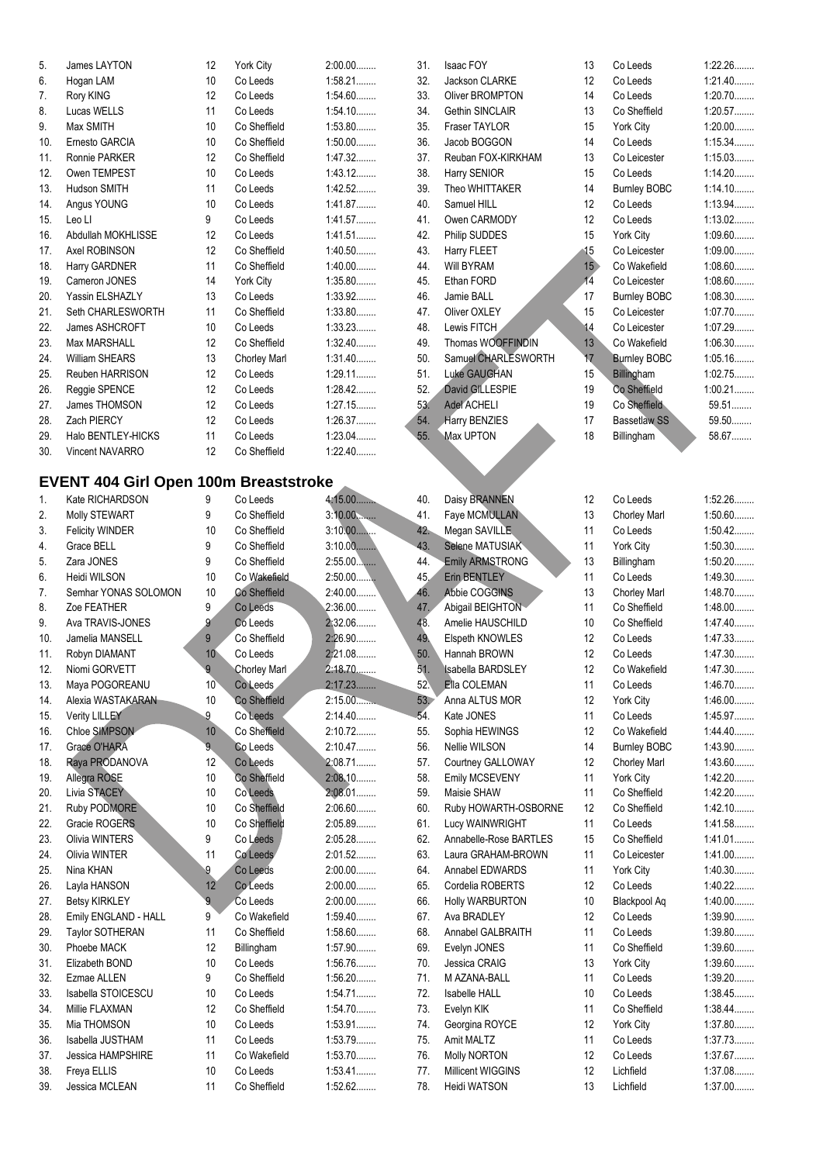| 5.         | James LAYTON                                 | 12              | York City            | $2:00.00$          | 31.        |
|------------|----------------------------------------------|-----------------|----------------------|--------------------|------------|
| 6.         | Hogan LAM                                    | 10              | Co Leeds             | 1:58.21            | 32.        |
| 7.         | Rory KING                                    | 12              | Co Leeds             | 1:54.60            | 33.        |
| 8.         | Lucas WELLS                                  | 11              | Co Leeds             | 1:54.10            | 34.        |
| 9.         | Max SMITH                                    | 10              | Co Sheffield         | 1:53.80            | 35.        |
| 10.        | Ernesto GARCIA                               | 10              | Co Sheffield         | $1:50.00$          | 36.        |
| 11.        | Ronnie PARKER                                | 12              | Co Sheffield         | 1:47.32            | 37.        |
| 12.        | Owen TEMPEST                                 | 10              | Co Leeds             | 1:43.12            | 38.        |
| 13.        | Hudson SMITH                                 | 11              | Co Leeds             | 1:42.52            | 39.        |
| 14.        | Angus YOUNG                                  | 10              | Co Leeds             | 1:41.87            | 40.        |
| 15.        | Leo LI                                       | 9               | Co Leeds             | 1:41.57            | 41.        |
| 16.        | Abdullah MOKHLISSE                           | 12              | Co Leeds             | 1:41.51            | 42.        |
| 17.        | Axel ROBINSON                                | 12              | Co Sheffield         | 1:40.50            | 43.        |
| 18.        | Harry GARDNER                                | 11              | Co Sheffield         | $1:40.00$          | 44.        |
| 19.        | Cameron JONES                                | 14              | York City            | 1:35.80            | 45.        |
| 20.        | Yassin ELSHAZLY                              | 13              | Co Leeds             | 1:33.92            | 46.        |
| 21.        | Seth CHARLESWORTH                            | 11              | Co Sheffield         | 1:33.80            | 47.        |
| 22.        | James ASHCROFT                               | 10              | Co Leeds             | 1:33.23            | 48.        |
| 23.        | Max MARSHALL                                 | 12              | Co Sheffield         | 1:32.40            | 49.        |
| 24.        | William SHEARS                               | 13              | Chorley Marl         | 1:31.40            | 50.        |
| 25.        | Reuben HARRISON                              | 12              | Co Leeds             | $1:29.11$          | 51.        |
| 26.        | Reggie SPENCE                                | 12              | Co Leeds             | 1:28.42            | 52.        |
| 27.        | James THOMSON                                | 12              | Co Leeds             | 1:27.15            | 53.        |
| 28.        | Zach PIERCY                                  | 12              | Co Leeds             | 1:26.37            | 54.        |
| 29.        | Halo BENTLEY-HICKS                           | 11              | Co Leeds             | 1:23.04            | 55.        |
| 30.        | <b>Vincent NAVARRO</b>                       | 12              | Co Sheffield         | $1:22.40$          |            |
|            |                                              |                 |                      |                    |            |
|            | <b>EVENT 404 Girl Open 100m Breaststroke</b> |                 |                      |                    |            |
| 1.         | Kate RICHARDSON                              | 9               | Co Leeds             | 4:15.00            | 40.        |
| 2.         | Molly STEWART                                | 9               | Co Sheffield         | 3:10.00            | 41.        |
| 3.         | <b>Felicity WINDER</b>                       | 10              | Co Sheffield         | $3:10.00$          | 42.        |
| 4.         | Grace BELL                                   | 9               | Co Sheffield         | $3:10.00$          | 43.        |
| 5.         | Zara JONES                                   | 9               | Co Sheffield         | $2:55.00$          | 44.        |
| 6.         | Heidi WILSON                                 | 10              | Co Wakefield         | $2:50.00$          | 45.        |
| 7.         | Semhar YONAS SOLOMON                         | 10              | Co Sheffield         | 2:40.00            | 46.        |
| 8.         | Zoe FEATHER                                  | 9               | Co Leeds             | $2:36.00$          | 47.        |
| 9.         | Ava TRAVIS-JONES                             | 9               | Co Leeds             | 2:32.06            | 48.        |
| 10.        | Jamelia MANSELL                              | 9               | Co Sheffield         | 2:26.90            | 49.        |
| 11.        | Robyn DIAMANT                                | 10 <sup>°</sup> | Co Leeds             | 2:21.08            | 50.        |
| 12.        | Niomi GORVETT                                | 9               | <b>Chorley Marl</b>  | 2:18.70            | 51.        |
| 13.        | Maya POGOREANU                               | 10 <sup>7</sup> | Co Leeds             | 2:17.23            | 52.        |
| 14.        | Alexia WASTAKARAN                            | 10              | Co Sheffield         | 2:15.00            | 53.        |
| 15.        | Verity LILLEY                                | 9               | Co Leeds             | 2:14.40            | 54.        |
| 16.        | Chloe SIMPSON                                | 10              | Co Sheffield         | 2:10.72            | 55.        |
| 17.        | Grace O'HARA                                 | 9 <sub>1</sub>  | Co Leeds             | 2:10.47            | 56.        |
| 18.        | Raya PRODANOVA                               | 12              | Co Leeds             | 2:08.71            | 57.        |
| 19.        | Allegra ROSE                                 | 10              | Co Sheffield         | 2:08.10            | 58.        |
| 20.        | Livia STACEY                                 | 10              | Co Leeds             | 2:08.01            | 59.        |
| 21.        | Ruby PODMORE                                 | 10              | Co Sheffield         | 2:06.60            | 60.        |
| 22.        | Gracie ROGERS                                | 10              | Co Sheffield         | 2:05.89            | 61.        |
| 23.        |                                              |                 |                      |                    |            |
|            |                                              |                 |                      |                    |            |
|            | Olivia WINTERS                               | 9               | Co Leeds             | 2:05.28            | 62.        |
| 24.        | Olivia WINTER                                | 11              | Co Leeds             | 2:01.52            | 63.        |
| 25.<br>26. | Nina KHAN<br>Layla HANSON                    | 9<br>12         | Co Leeds<br>Co Leeds | 2:00.00<br>2:00.00 | 64.<br>65. |

26. Layla HANSON 12 Co Leeds 2:00.00........<br>27. Betsy KIRKLEY 9 Co Leeds 2:00.00........ 27. Betsy KIRKLEY 9 Co Leeds 2:00.00........<br>28. Emily ENGLAND - HALL 9 Co Wakefield 1:59.40........ 28. Emily ENGLAND - HALL 9 Co Wakefield 1:59.40........<br>29. Taylor SOTHERAN 11 Co Sheffield 1:58.60........

30. Phoebe MACK 12 Billingham 1:57.90........ 31. Elizabeth BOND 10 Co Leeds 1:56.76........<br>32. Ezmae ALLEN 9 Co Sheffield 1:56.20........

33. Isabella STOICESCU 10 Co Leeds 1:54.71........ 34. Millie FLAXMAN 12 Co Sheffield 1:54.70........ 35. Mia THOMSON 10 Co Leeds 1:53.91........ 36. Isabella JUSTHAM 11 Co Leeds 1:53.79........ 37. Jessica HAMPSHIRE 11 Co Wakefield 1:53.70........ 38. Freya ELLIS 10 Co Leeds 1:53.41........ 39. Jessica MCLEAN 11 Co Sheffield 1:52.62........

29. Taylor SOTHERAN 11 Co Sheffield

32. Ezmae ALLEN 9 Co Sheffield

| 31. | <b>Isaac FOY</b>       | 13              | Co Leeds            | 1:22.26   |
|-----|------------------------|-----------------|---------------------|-----------|
| 32. | Jackson CLARKE         | 12              | Co Leeds            | 1:21.40   |
| 33. | Oliver BROMPTON        | 14              | Co Leeds            | 1:20.70   |
| 34. | <b>Gethin SINCLAIR</b> | 13              | Co Sheffield        | 1:20.57   |
| 35. | Fraser TAYLOR          | 15              | York City           | $1:20.00$ |
| 36. | Jacob BOGGON           | 14              | Co Leeds            | 1:15.34   |
| 37. | Reuban FOX-KIRKHAM     | 13              | Co Leicester        | 1:15.03   |
| 38. | Harry SENIOR           | 15              | Co Leeds            | 1:14.20   |
| 39. | Theo WHITTAKER         | 14              | <b>Burnley BOBC</b> | 1:14.10   |
| 40. | Samuel HILL            | 12              | Co Leeds            | 1:13.94   |
| 41. | Owen CARMODY           | 12              | Co Leeds            | 1:13.02   |
| 42. | Philip SUDDES          | 15              | York City           | 1:09.60   |
| 43. | Harry FLEET            | 15              | Co Leicester        | $1:09.00$ |
| 44. | Will BYRAM             | 15 <sup>2</sup> | Co Wakefield        | 1:08.60   |
| 45. | Ethan FORD             | 14              | Co Leicester        | $1:08.60$ |
| 46. | Jamie BALL             | 17              | <b>Burnley BOBC</b> | 1:08.30   |
| 47. | Oliver OXLEY           | 15              | Co Leicester        | 1:07.70   |
| 48. | Lewis FITCH            | 14              | Co Leicester        | 1:07.29   |
| 49. | Thomas WOOFFINDIN      | 13              | Co Wakefield        | 1:06.30   |
| 50. | Samuel CHARLESWORTH    | 17 <sup>5</sup> | <b>Burnley BOBC</b> | 1:05.16   |
| 51. | <b>Luke GAUGHAN</b>    | 15              | Billingham          | 1:02.75   |
| 52. | David GILLESPIE        | 19              | Co Sheffield        | 1:00.21   |
| 53. | <b>Adel ACHELI</b>     | 19              | Co Sheffield        | 59.51     |
| 54. | <b>Harry BENZIES</b>   | 17              | <b>Bassetlaw SS</b> | 59.50     |
| 55. | Max UPTON              | 18              | Billingham          | 58.67     |
|     |                        |                 |                     |           |
|     |                        |                 |                     |           |
|     |                        |                 |                     |           |

| 40.  | Daisy BRANNEN          | 12 | Co Leeds            | 1:52.26   |
|------|------------------------|----|---------------------|-----------|
| 41.  | Faye MCMULLAN          | 13 | <b>Chorley Marl</b> | $1:50.60$ |
| 42.  | Megan SAVILLE          | 11 | Co Leeds            | 1:50.42   |
| 43.  | Selene MATUSIAK        | 11 | York City           | 1:50.30   |
| 44.  | <b>Emily ARMSTRONG</b> | 13 | Billingham          | $1:50.20$ |
| 45.  | Erin BENTLEY           | 11 | Co Leeds            | 1:49.30   |
| 46.  | <b>Abbie COGGINS</b>   | 13 | <b>Chorley Marl</b> | 1:48.70   |
| 47.  | Abigail BEIGHTON       | 11 | Co Sheffield        | 1:48.00   |
| 48.  | Amelie HAUSCHILD       | 10 | Co Sheffield        | 1:47.40   |
| 49.  | Elspeth KNOWLES        | 12 | Co Leeds            | 1:47.33   |
| 50.  | Hannah BROWN           | 12 | Co Leeds            | 1:47.30   |
| 51.  | Isabella BARDSLEY      | 12 | Co Wakefield        | 1:47.30   |
| 52.  | Ella COLEMAN           | 11 | Co Leeds            | 1:46.70   |
| 53.7 | Anna ALTUS MOR         | 12 | York City           | $1:46.00$ |
| 54.  | Kate JONES             | 11 | Co Leeds            | 1:45.97   |
| 55.  | Sophia HEWINGS         | 12 | Co Wakefield        | 1:44.40   |
| 56.  | <b>Nellie WILSON</b>   | 14 | <b>Burnley BOBC</b> | 1:43.90   |
| 57.  | Courtney GALLOWAY      | 12 | <b>Chorley Marl</b> | 1:43.60   |
| 58.  | Emily MCSEVENY         | 11 | York City           | 1:42.20   |
| 59.  | Maisie SHAW            | 11 | Co Sheffield        | 1:42.20   |
| 60.  | Ruby HOWARTH-OSBORNE   | 12 | Co Sheffield        | 1:42.10   |
| 61.  | Lucy WAINWRIGHT        | 11 | Co Leeds            | 1:41.58   |
| 62.  | Annabelle-Rose BARTLES | 15 | Co Sheffield        | $1:41.01$ |
| 63.  | Laura GRAHAM-BROWN     | 11 | Co Leicester        | $1:41.00$ |
| 64.  | Annabel EDWARDS        | 11 | York City           | 1:40.30   |
| 65.  | Cordelia ROBERTS       | 12 | Co Leeds            | 1:40.22   |
| 66.  | <b>Holly WARBURTON</b> | 10 | Blackpool Aq        | $1:40.00$ |
| 67.  | Ava BRADLEY            | 12 | Co Leeds            | 1:39.90   |
| 68.  | Annabel GALBRAITH      | 11 | Co Leeds            | 1:39.80   |
| 69.  | Evelyn JONES           | 11 | Co Sheffield        | $1:39.60$ |
| 70.  | Jessica CRAIG          | 13 | <b>York City</b>    | $1:39.60$ |
| 71.  | M AZANA-BALL           | 11 | Co Leeds            | 1:39.20   |
| 72.  | <b>Isabelle HALL</b>   | 10 | Co Leeds            | 1:38.45   |
| 73.  | Evelyn KIK             | 11 | Co Sheffield        | 1:38.44   |
| 74.  | Georgina ROYCE         | 12 | York City           | 1:37.80   |
| 75.  | <b>Amit MALTZ</b>      | 11 | Co Leeds            | 1:37.73   |
| 76.  | <b>Molly NORTON</b>    | 12 | Co Leeds            | 1:37.67   |
| 77.  | Millicent WIGGINS      | 12 | Lichfield           | 1:37.08   |
| 78.  | <b>Heidi WATSON</b>    | 13 | Lichfield           | $1:37.00$ |
|      |                        |    |                     |           |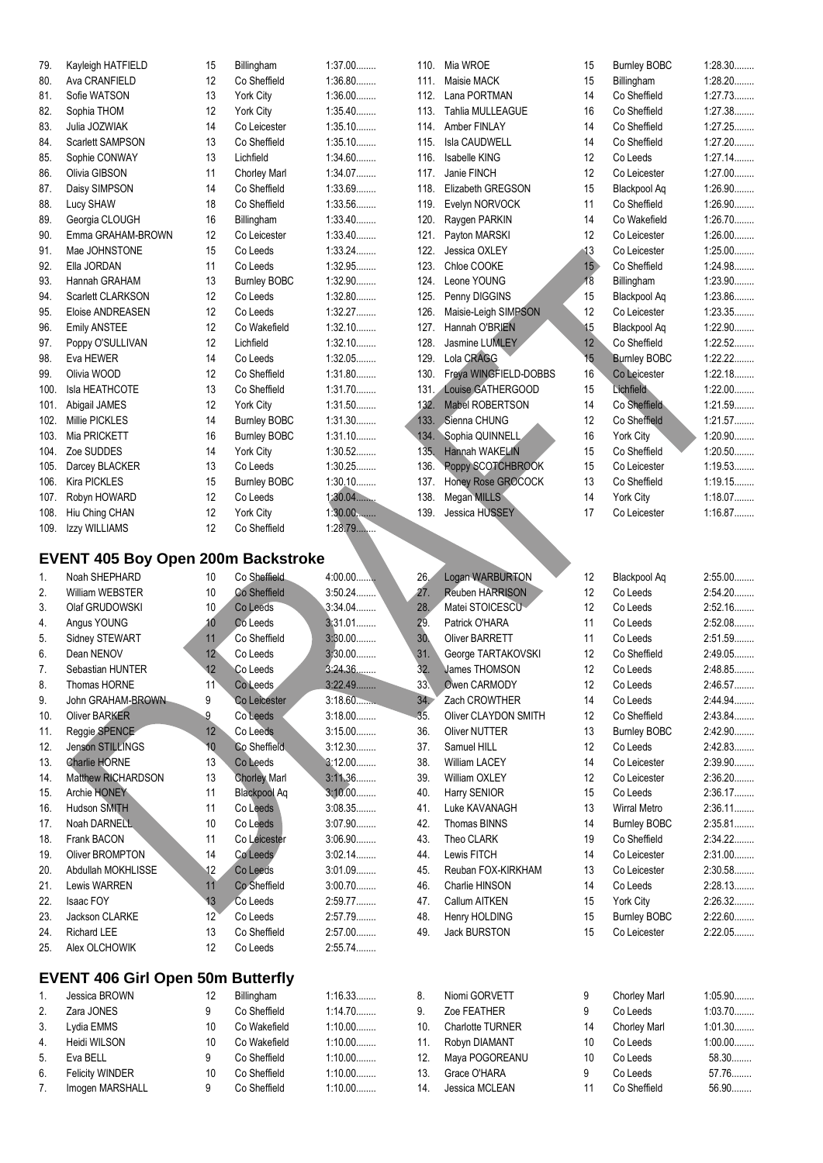| 79.  | Kayleigh HATFIELD        | 15 | Billingham          | $1:37.00$ |
|------|--------------------------|----|---------------------|-----------|
| 80.  | Ava CRANFIELD            | 12 | Co Sheffield        | 1:36.80   |
| 81.  | Sofie WATSON             | 13 | York City           | $1:36.00$ |
| 82.  | Sophia THOM              | 12 | York City           | 1:35.40   |
| 83.  | Julia JOZWIAK            | 14 | Co Leicester        | $1:35.10$ |
| 84.  | <b>Scarlett SAMPSON</b>  | 13 | Co Sheffield        | 1:35.10   |
| 85.  | Sophie CONWAY            | 13 | Lichfield           | 1:34.60   |
| 86.  | Olivia GIBSON            | 11 | <b>Chorley Marl</b> | 1:34.07   |
| 87.  | Daisy SIMPSON            | 14 | Co Sheffield        | 1:33.69   |
| 88.  | Lucy SHAW                | 18 | Co Sheffield        | 1:33.56   |
| 89.  | Georgia CLOUGH           | 16 | Billingham          | $1:33.40$ |
| 90.  | Emma GRAHAM-BROWN        | 12 | Co Leicester        | $1:33.40$ |
| 91.  | Mae JOHNSTONE            | 15 | Co Leeds            | 1:33.24   |
| 92.  | Ella JORDAN              | 11 | Co Leeds            | 1:32.95   |
| 93.  | Hannah GRAHAM            | 13 | <b>Burnley BOBC</b> | 1:32.90   |
| 94.  | <b>Scarlett CLARKSON</b> | 12 | Co Leeds            | 1:32.80   |
| 95.  | <b>Eloise ANDREASEN</b>  | 12 | Co Leeds            | 1:32.27   |
| 96.  | Emily ANSTEE             | 12 | Co Wakefield        | 1:32.10   |
| 97.  | Poppy O'SULLIVAN         | 12 | Lichfield           | 1:32.10   |
| 98.  | Eva HEWER                | 14 | Co Leeds            | 1:32.05   |
| 99.  | Olivia WOOD              | 12 | Co Sheffield        | $1:31.80$ |
| 100. | Isla HEATHCOTE           | 13 | Co Sheffield        | 1:31.70   |
| 101. | Abigail JAMES            | 12 | York City           | 1:31.50   |
| 102. | Millie PICKLES           | 14 | <b>Burnley BOBC</b> | 1:31.30   |
| 103. | Mia PRICKETT             | 16 | <b>Burnley BOBC</b> | $1:31.10$ |
| 104. | Zoe SUDDES               | 14 | York City           | 1:30.52   |
| 105. | Darcey BLACKER           | 13 | Co Leeds            | 1:30.25   |
| 106. | Kira PICKLES             | 15 | <b>Burnley BOBC</b> | $1:30.10$ |
| 107. | Robyn HOWARD             | 12 | Co Leeds            | 1.30.04   |
| 108. | Hiu Ching CHAN           | 12 | York City           | $1:30.00$ |
| 109. | Izzy WILLIAMS            | 12 | Co Sheffield        | 1:28.79   |

#### **EVENT 405 Boy Open 200m Backstroke**

| 1.  | Noah SHEPHARD           | 10           | Co Sheffield        | $4:00.00$ |
|-----|-------------------------|--------------|---------------------|-----------|
| 2.  | <b>William WEBSTER</b>  | 10           | Co Sheffield        | $3:50.24$ |
| 3.  | Olaf GRUDOWSKI          | 10           | Co Leeds            | 3:34.04   |
| 4.  | Angus YOUNG             | 10           | Co Leeds            | 3:31.01   |
| 5.  | Sidney STEWART          | 11           | Co Sheffield        | $3:30.00$ |
| 6.  | Dean NENOV              | 12           | Co Leeds            | 3:30.00   |
| 7.  | Sebastian HUNTER        | 12           | Co Leeds            | 3:24.36   |
| 8.  | Thomas HORNE            | 11           | Co Leeds            | 3:22.49   |
| 9.  | John GRAHAM-BROWN       | 9            | Co Leicester        | 3:18.60   |
| 10. | <b>Oliver BARKER</b>    | 9            | Co Leeds            | $3:18.00$ |
| 11. | Reggie SPENCE           | 12           | Co Leeds            | $3:15.00$ |
| 12. | <b>Jenson STILLINGS</b> | 10           | Co Sheffield        | 3:12.30   |
| 13. | <b>Charlie HORNE</b>    | 13           | Co Leeds            | $3:12.00$ |
| 14. | Matthew RICHARDSON      | 13           | <b>Chorley Marl</b> | 3:11.36   |
| 15. | <b>Archie HONEY</b>     | 11           | <b>Blackpool Aq</b> | $3:10.00$ |
| 16. | Hudson SMITH            | 11           | Co Leeds            | 3:08.35   |
| 17. | Noah DARNELL            | 10           | Co Leeds            | 3:07.90   |
| 18. | Frank BACON             | 11           | Co Leicester        | 3:06.90   |
| 19. | Oliver BROMPTON         | 14           | Co Leeds            | 3:02.14   |
| 20. | Abdullah MOKHLISSE      | 12           | Co Leeds            | 3:01.09   |
| 21. | Lewis WARREN            | 11           | Co Sheffield        | $3:00.70$ |
| 22. | Isaac FOY               | 13           | Co Leeds            | 2:59.77   |
| 23. | <b>Jackson CLARKE</b>   | $12^{\circ}$ | Co Leeds            | 2:57.79   |
| 24. | <b>Richard LEE</b>      | 13           | Co Sheffield        | $2:57.00$ |
| 25. | Alex OLCHOWIK           | 12           | Co Leeds            | 2:55.74   |
|     |                         |              |                     |           |

# **EVENT 406 Girl Open 50m Butterfly**

| $\mathbf{1}$ .                  | Jessica BROWN          | 12 | Billingham   | 1:16.33   |
|---------------------------------|------------------------|----|--------------|-----------|
| 2.                              | Zara JONES             | 9  | Co Sheffield | 1:14.70   |
| 3.                              | Lydia EMMS             | 10 | Co Wakefield | $1:10.00$ |
| $\overline{4}$ .                | Heidi WILSON           | 10 | Co Wakefield | $1:10.00$ |
| 5.                              | Eva BELL               | 9  | Co Sheffield | $1:10.00$ |
| 6.                              | <b>Felicity WINDER</b> | 10 | Co Sheffield | $1:10.00$ |
| $7_{\scriptscriptstyle{\circ}}$ | Imogen MARSHALL        | 9  | Co Sheffield | $1:10.00$ |

| 110. | Mia WROE                | 15              | <b>Burnley BOBC</b> | 1:28.30   |
|------|-------------------------|-----------------|---------------------|-----------|
| 111. | Maisie MACK             | 15              | Billingham          | 1:28.20   |
| 112. | Lana PORTMAN            | 14              | Co Sheffield        | 1:27.73   |
| 113. | <b>Tahlia MULLEAGUE</b> | 16              | Co Sheffield        | 1:27.38   |
| 114. | Amber FINLAY            | 14              | Co Sheffield        | 1:27.25   |
| 115. | Isla CAUDWELL           | 14              | Co Sheffield        | 1:27.20   |
| 116. | Isabelle KING           | 12              | Co Leeds            | 1:27.14   |
| 117. | Janie FINCH             | 12              | Co Leicester        | $1:27.00$ |
| 118. | Elizabeth GREGSON       | 15              | Blackpool Aq        | 1:26.90   |
| 119. | Evelyn NORVOCK          | 11              | Co Sheffield        | 1:26.90   |
| 120. | Raygen PARKIN           | 14              | Co Wakefield        | 1:26.70   |
| 121. | Payton MARSKI           | 12              | Co Leicester        | $1:26.00$ |
| 122. | Jessica OXLEY           | 13              | Co Leicester        | $1:25.00$ |
| 123. | Chloe COOKE             | 15 <sup>2</sup> | Co Sheffield        | 1:24.98   |
| 124. | Leone YOUNG             | 18              | Billingham          | 1:23.90   |
| 125. | Penny DIGGINS           | 15              | Blackpool Aq        | 1:23.86   |
| 126. | Maisie-Leigh SIMPSON    | 12              | Co Leicester        | 1:23.35   |
| 127. | Hannah O'BRIEN          | 15              | Blackpool Aq        | 1:22.90   |
| 128. | Jasmine LUMLEY          | 12              | Co Sheffield        | 1:22.52   |
| 129. | Lola CRAGG              | 15              | <b>Burnley BOBC</b> | 1:22.22   |
| 130. | Freya WINGFIELD-DOBBS   | 16              | Co Leicester        | 1:22.18   |
| 131. | Louise GATHERGOOD       | 15              | Lichfield           | $1:22.00$ |
| 132. | <b>Mabel ROBERTSON</b>  | 14              | Co Sheffield        | 1:21.59   |
| 133. | Sienna CHUNG            | 12              | Co Sheffield        | 1:21.57   |
| 134. | Sophia QUINNELL         | 16              | York City           | 1:20.90   |
| 135, | <b>Hannah WAKELIN</b>   | 15              | Co Sheffield        | 1:20.50   |
| 136. | Poppy SCOTCHBROOK       | 15              | Co Leicester        | 1:19.53   |
| 137. | Honey Rose GROCOCK      | 13              | Co Sheffield        | 1:19.15   |
| 138. | Megan MILLS             | 14              | York City           | 1:18.07   |
| 139. | <b>Jessica HUSSEY</b>   | 17              | Co Leicester        | 1:16.87   |

| 26. | Logan WARBURTON        | 12              | Blackpool Aq        | $2:55.00$ |
|-----|------------------------|-----------------|---------------------|-----------|
| 27. | <b>Reuben HARRISON</b> | 12              | Co Leeds            | 2:54.20   |
| 28. | Matei STOICESCU        | 12 <sup>°</sup> | Co Leeds            | 2:52.16   |
| 29. | Patrick O'HARA         | 11              | Co Leeds            | 2:52.08   |
| 30. | Oliver BARRETT         | 11              | Co Leeds            | 2:51.59   |
| 31. | George TARTAKOVSKI     | 12              | Co Sheffield        | 2:49.05   |
| 32. | <b>Mames THOMSON</b>   | 12              | Co Leeds            | 2:48.85   |
| 33. | Owen CARMODY           | 12              | Co Leeds            | 2:46.57   |
| 34. | Zach CROWTHER          | 14              | Co Leeds            | 2:44.94   |
| 35. | Oliver CLAYDON SMITH   | 12              | Co Sheffield        | 2:43.84   |
| 36. | Oliver NUTTER          | 13              | <b>Burnley BOBC</b> | 2:42.90   |
| 37. | Samuel HILL            | 12              | Co Leeds            | 2:42.83   |
| 38. | <b>William LACEY</b>   | 14              | Co Leicester        | $2:39.90$ |
| 39. | William OXLEY          | 12              | Co Leicester        | 2:36.20   |
| 40. | Harry SENIOR           | 15              | Co Leeds            | 2:36.17   |
| 41. | Luke KAVANAGH          | 13              | Wirral Metro        | $2:36.11$ |
| 42. | Thomas BINNS           | 14              | <b>Burnley BOBC</b> | 2:35.81   |
| 43. | Theo CLARK             | 19              | Co Sheffield        | 2:34.22   |
| 44. | Lewis FITCH            | 14              | Co Leicester        | 2:31.00   |
| 45. | Reuban FOX-KIRKHAM     | 13              | Co Leicester        | 2:30.58   |
| 46. | Charlie HINSON         | 14              | Co Leeds            | 2:28.13   |
| 47. | Callum AITKEN          | 15              | York City           | 2:26.32   |
| 48. | Henry HOLDING          | 15              | <b>Burnley BOBC</b> | 2:22.60   |
| 49. | <b>Jack BURSTON</b>    | 15              | Co Leicester        | 2:22.05   |
|     |                        |                 |                     |           |
|     |                        |                 |                     |           |

| 8.  | Niomi GORVETT           | 9  | <b>Chorley Marl</b> | 1:05.90   |
|-----|-------------------------|----|---------------------|-----------|
| 9.  | Zoe FEATHER             | 9  | Co Leeds            | 1:03.70   |
| 10. | <b>Charlotte TURNER</b> | 14 | <b>Chorley Marl</b> | 1:01.30   |
| 11. | Robyn DIAMANT           | 10 | Co Leeds            | $1:00.00$ |
| 12. | Maya POGOREANU          | 10 | Co Leeds            | 58.30     |
| 13  | Grace O'HARA            | 9  | Co Leeds            | 57.76     |
| 14. | Jessica MCLEAN          | 11 | Co Sheffield        | 56.90     |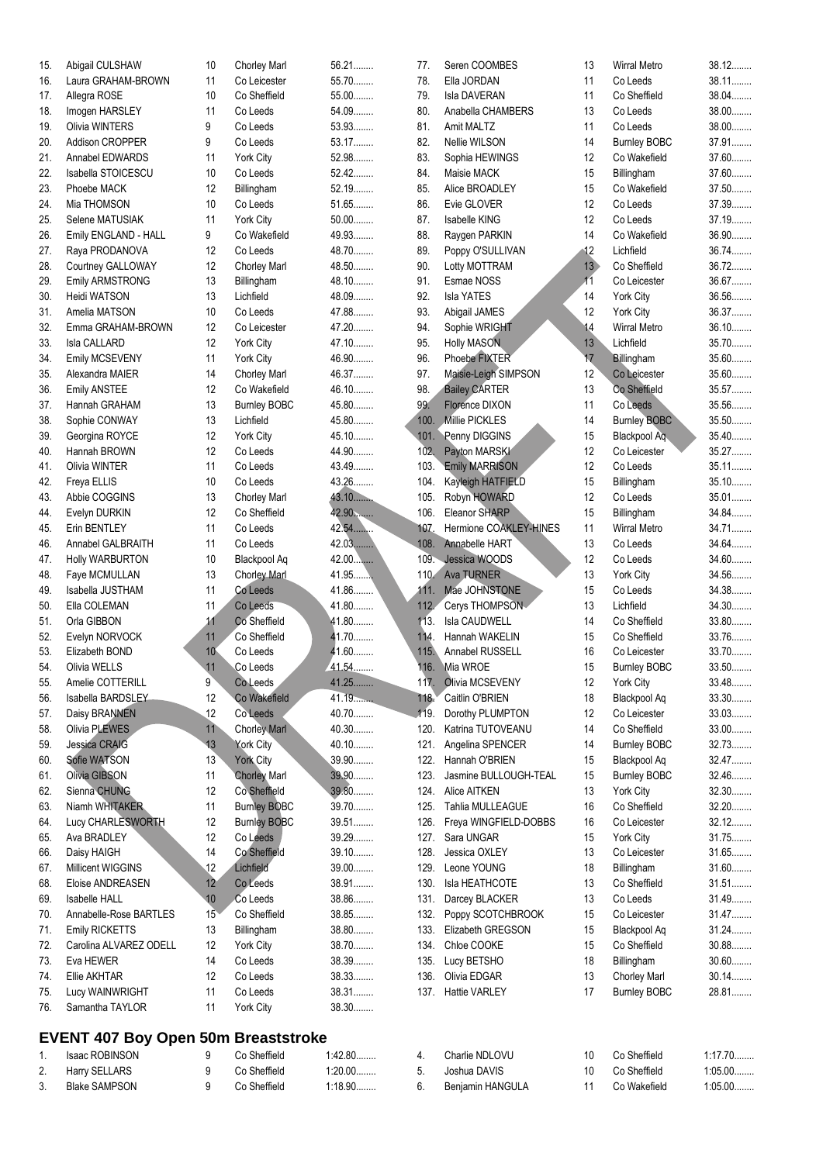| 15. | Abigail CULSHAW                    | 10              | <b>Chorley Marl</b>     | 56.21   | 77.  | Seren COOMBES                       | 13              | <b>Wirral Metro</b> | 38.12   |
|-----|------------------------------------|-----------------|-------------------------|---------|------|-------------------------------------|-----------------|---------------------|---------|
| 16. | Laura GRAHAM-BROWN                 | 11              | Co Leicester            | 55.70   | 78.  | Ella JORDAN                         | 11              | Co Leeds            | 38.11.  |
| 17. | Allegra ROSE                       | 10              | Co Sheffield            | 55.00   | 79.  | <b>Isla DAVERAN</b>                 | 11              | Co Sheffield        | 38.04   |
| 18. | Imogen HARSLEY                     | 11              | Co Leeds                | 54.09   | 80.  | Anabella CHAMBERS                   | 13              | Co Leeds            | $38.00$ |
| 19. | <b>Olivia WINTERS</b>              | 9               | Co Leeds                | 53.93   | 81.  | Amit MALTZ                          | 11              | Co Leeds            | $38.00$ |
| 20. | Addison CROPPER                    | 9               | Co Leeds                | 53.17   | 82.  | <b>Nellie WILSON</b>                | 14              | <b>Burnley BOBC</b> | 37.91   |
| 21. | Annabel EDWARDS                    | 11              | York City               | 52.98   | 83.  | Sophia HEWINGS                      | 12              | Co Wakefield        | 37.60   |
| 22. | Isabella STOICESCU                 | 10              | Co Leeds                | 52.42   | 84.  | Maisie MACK                         | 15              | Billingham          | 37.60   |
| 23. | Phoebe MACK                        | 12              | Billingham              | 52.19   | 85.  | Alice BROADLEY                      | 15              | Co Wakefield        | $37.50$ |
| 24. | Mia THOMSON                        | 10              | Co Leeds                | 51.65   | 86.  | Evie GLOVER                         | 12              | Co Leeds            | 37.39   |
| 25. | Selene MATUSIAK                    | 11              | York City               | $50.00$ | 87.  | Isabelle KING                       | 12              | Co Leeds            | 37.19   |
| 26. | Emily ENGLAND - HALL               | 9               | Co Wakefield            | 49.93   | 88.  | Raygen PARKIN                       | 14              | Co Wakefield        | 36.90   |
| 27. | Raya PRODANOVA                     | 12              | Co Leeds                | 48.70   | 89.  | Poppy O'SULLIVAN                    | 12              | Lichfield           | 36.74   |
| 28. | Courtney GALLOWAY                  | 12              | Chorley Marl            | 48.50   | 90.  | Lotty MOTTRAM                       | 13 <sup>°</sup> | Co Sheffield        | $36.72$ |
| 29. | <b>Emily ARMSTRONG</b>             | 13              |                         | 48.10.  | 91.  | Esmae NOSS                          | 11              | Co Leicester        | 36.67   |
|     | Heidi WATSON                       | 13              | Billingham<br>Lichfield | 48.09   | 92.  | <b>Isla YATES</b>                   | 14              |                     | 36.56   |
| 30. |                                    |                 |                         |         |      |                                     |                 | York City           |         |
| 31. | Amelia MATSON                      | 10              | Co Leeds                | 47.88   | 93.  | Abigail JAMES                       | 12              | York City           | 36.37   |
| 32. | Emma GRAHAM-BROWN                  | 12              | Co Leicester            | 47.20   | 94.  | Sophie WRIGHT                       | 14              | <b>Wirral Metro</b> | 36.10   |
| 33. | Isla CALLARD                       | 12              | York City               | 47.10   | 95.  | <b>Holly MASON</b>                  | 13              | Lichfield           | $35.70$ |
| 34. | Emily MCSEVENY                     | 11              | York City               | 46.90   | 96.  | Phoebe FIXTER                       | 17              | Billingham          | $35.60$ |
| 35. | Alexandra MAIER                    | 14              | Chorley Marl            | 46.37   | 97.  | Maisie-Leigh SIMPSON                | 12              | Co Leicester        | $35.60$ |
| 36. | <b>Emily ANSTEE</b>                | 12              | Co Wakefield            | 46.10   | 98.  | <b>Bailey CARTER</b>                | 13              | Co Sheffield        | 35.57   |
| 37. | Hannah GRAHAM                      | 13              | <b>Burnley BOBC</b>     | 45.80   | 99.  | Florence DIXON                      | 11              | Co Leeds            | 35.56   |
| 38. | Sophie CONWAY                      | 13              | Lichfield               | 45.80   | 100. | Millie PICKLES                      | 14              | <b>Burnley BOBC</b> | 35.50   |
| 39. | Georgina ROYCE                     | 12              | York City               | 45.10   | 101. | Penny DIGGINS                       | 15              | Blackpool Aq.       | $35.40$ |
| 40. | Hannah BROWN                       | 12              | Co Leeds                | 44.90   | 102, | Payton MARSKI                       | 12              | Co Leicester        | 35.27   |
| 41. | Olivia WINTER                      | 11              | Co Leeds                | 43.49   | 103. | <b>Emily MARRISON</b>               | 12              | Co Leeds            | $35.11$ |
| 42. | Freya ELLIS                        | 10              | Co Leeds                | 43.26   | 104. | Kayleigh HATFIELD                   | 15              | Billingham          | $35.10$ |
| 43. | Abbie COGGINS                      | 13              | Chorley Marl            | 43.10   | 105. | Robyn HOWARD                        | 12              | Co Leeds            | $35.01$ |
| 44. | Evelyn DURKIN                      | 12              | Co Sheffield            | 42.90   | 106. | Eleanor SHARP                       | 15              | Billingham          | 34.84.  |
| 45. | Erin BENTLEY                       | 11              | Co Leeds                | 42.54   | 107. | Hermione COAKLEY-HINES              | 11              | Wirral Metro        | 34.71   |
| 46. | Annabel GALBRAITH                  | 11              | Co Leeds                | $42.03$ | 108. | Annabelle HART                      | 13              | Co Leeds            | 34.64.  |
| 47. | <b>Holly WARBURTON</b>             | 10              | <b>Blackpool Aq</b>     | 42.00   | 109. | Jessica WOODS                       | 12              | Co Leeds            | 34.60   |
| 48. | Faye MCMULLAN                      | 13              | <b>Chorley Marl</b>     | 41.95   | 110. | Ava TURNER                          | 13              | York City           | 34.56   |
| 49. | Isabella JUSTHAM                   | 11              | Co Leeds                | 41.86   | 111. | Mae JOHNSTONE                       | 15              | Co Leeds            | 34.38   |
| 50. | Ella COLEMAN                       | 11              | Co Leeds                | 41.80   | 112. | Cerys THOMPSON-                     | 13              | Lichfield           | 34.30   |
| 51. | Orla GIBBON                        | 11              | Co Sheffield            | 41.80   | 113. | Isla CAUDWELL                       | 14              | Co Sheffield        | 33.80   |
| 52. | Evelyn NORVOCK                     | 11              | Co Sheffield            | 41.70   | 114. | Hannah WAKELIN                      | 15              | Co Sheffield        | 33.76   |
| 53. | Elizabeth BOND                     | 10 <sup>°</sup> | Co Leeds                | 41.60   | 115. | Annabel RUSSELL                     | 16              | Co Leicester        | 33.70   |
| 54. | Olivia WELLS                       | 11              | Co Leeds                | 41.54.  |      | 116. Mia WROE                       | 15              | <b>Burnley BOBC</b> | 33.50   |
|     | Amelie COTTERILL                   | 9               | Co Leeds                | 41.25.  | 117. | Olivia MCSEVENY                     | 12              | York City           | 33.48   |
| 55. |                                    |                 | Co Wakefield            | 41.19.  |      |                                     |                 |                     | 33.30   |
| 56. | Isabella BARDSLEY<br>Daisy BRANNEN | 12              |                         | 40.70   | 118. | Caitlin O'BRIEN<br>Dorothy PLUMPTON | 18              | Blackpool Aq        | $33.03$ |
| 57. |                                    | 12              | Co Leeds                |         | 119. |                                     | 12              | Co Leicester        |         |
| 58. | Olivia PLEWES                      | 11              | <b>Chorley Marl</b>     | 40.30   | 120. | Katrina TUTOVEANU                   | 14              | Co Sheffield        | $33.00$ |
| 59. | Jessica CRAIG                      | 13              | <b>York City</b>        | 40.10   | 121. | Angelina SPENCER                    | 14              | <b>Burnley BOBC</b> | 32.73   |
| 60. | Sofie WATSON                       | 13              | York City               | 39.90   | 122. | Hannah O'BRIEN                      | 15              | Blackpool Aq        | 32.47   |
| 61. | Olivia GIBSON                      | 11              | <b>Chorley Marl</b>     | 39.90   | 123. | Jasmine BULLOUGH-TEAL               | 15              | <b>Burnley BOBC</b> | 32.46   |
| 62. | Sienna CHUNG                       | 12              | Co Sheffield            | 39.80   | 124. | Alice AITKEN                        | 13              | York City           | 32.30   |
| 63. | Niamh WHITAKER                     | 11              | <b>Burnley BOBC</b>     | 39.70   | 125. | <b>Tahlia MULLEAGUE</b>             | 16              | Co Sheffield        | 32.20   |
| 64. | Lucy CHARLESWORTH                  | 12              | <b>Burnley BOBC</b>     | 39.51   | 126. | Freya WINGFIELD-DOBBS               | 16              | Co Leicester        | $32.12$ |
| 65. | Ava BRADLEY                        | 12              | Co Leeds                | 39.29   | 127. | Sara UNGAR                          | 15              | York City           | $31.75$ |
| 66. | Daisy HAIGH                        | 14              | Co Sheffield            | 39.10   | 128. | Jessica OXLEY                       | 13              | Co Leicester        | 31.65   |
| 67. | Millicent WIGGINS                  | 12              | Lichfield               | 39.00   | 129. | Leone YOUNG                         | 18              | Billingham          | $31.60$ |
| 68. | Eloise ANDREASEN                   | 12              | Co Leeds                | 38.91   | 130. | Isla HEATHCOTE                      | 13              | Co Sheffield        | $31.51$ |
| 69. | <b>Isabelle HALL</b>               | 10              | Co Leeds                | 38.86   | 131. | Darcey BLACKER                      | 13              | Co Leeds            | 31.49   |
| 70. | Annabelle-Rose BARTLES             | 15              | Co Sheffield            | 38.85   | 132. | Poppy SCOTCHBROOK                   | 15              | Co Leicester        | 31.47   |
| 71. | Emily RICKETTS                     | 13              | Billingham              | 38.80   | 133. | Elizabeth GREGSON                   | 15              | Blackpool Aq        | $31.24$ |
| 72. | Carolina ALVAREZ ODELL             | 12              | York City               | 38.70   | 134. | Chloe COOKE                         | 15              | Co Sheffield        | 30.88   |
| 73. | Eva HEWER                          | 14              | Co Leeds                | 38.39   | 135. | Lucy BETSHO                         | 18              | Billingham          | $30.60$ |
| 74. | Ellie AKHTAR                       | 12              | Co Leeds                | 38.33   | 136. | Olivia EDGAR                        | 13              | Chorley Marl        | $30.14$ |
| 75. | Lucy WAINWRIGHT                    | 11              | Co Leeds                | 38.31   | 137. | <b>Hattie VARLEY</b>                | 17              | <b>Burnley BOBC</b> | 28.81   |
| 76. | Samantha TAYLOR                    | 11              | York City               | 38.30   |      |                                     |                 |                     |         |
|     |                                    |                 |                         |         |      |                                     |                 |                     |         |

# **EVENT 407 Boy Open 50m Breaststroke**

|    | <b>Isaac ROBINSON</b> | Co Sheffield | 1.42.80   |
|----|-----------------------|--------------|-----------|
|    | 2. Harry SELLARS      | Co Sheffield | $1:20.00$ |
| 3. | <b>Blake SAMPSON</b>  | Co Sheffield | 1:18.90   |

| 4. Charlie NDLOVU   | 10 Co Sheffield | $1.17.70$ |
|---------------------|-----------------|-----------|
| 5. Joshua DAVIS     | 10 Co Sheffield | $1:05.00$ |
| 6. Benjamin HANGULA | 11 Co Wakefield | $1:05.00$ |